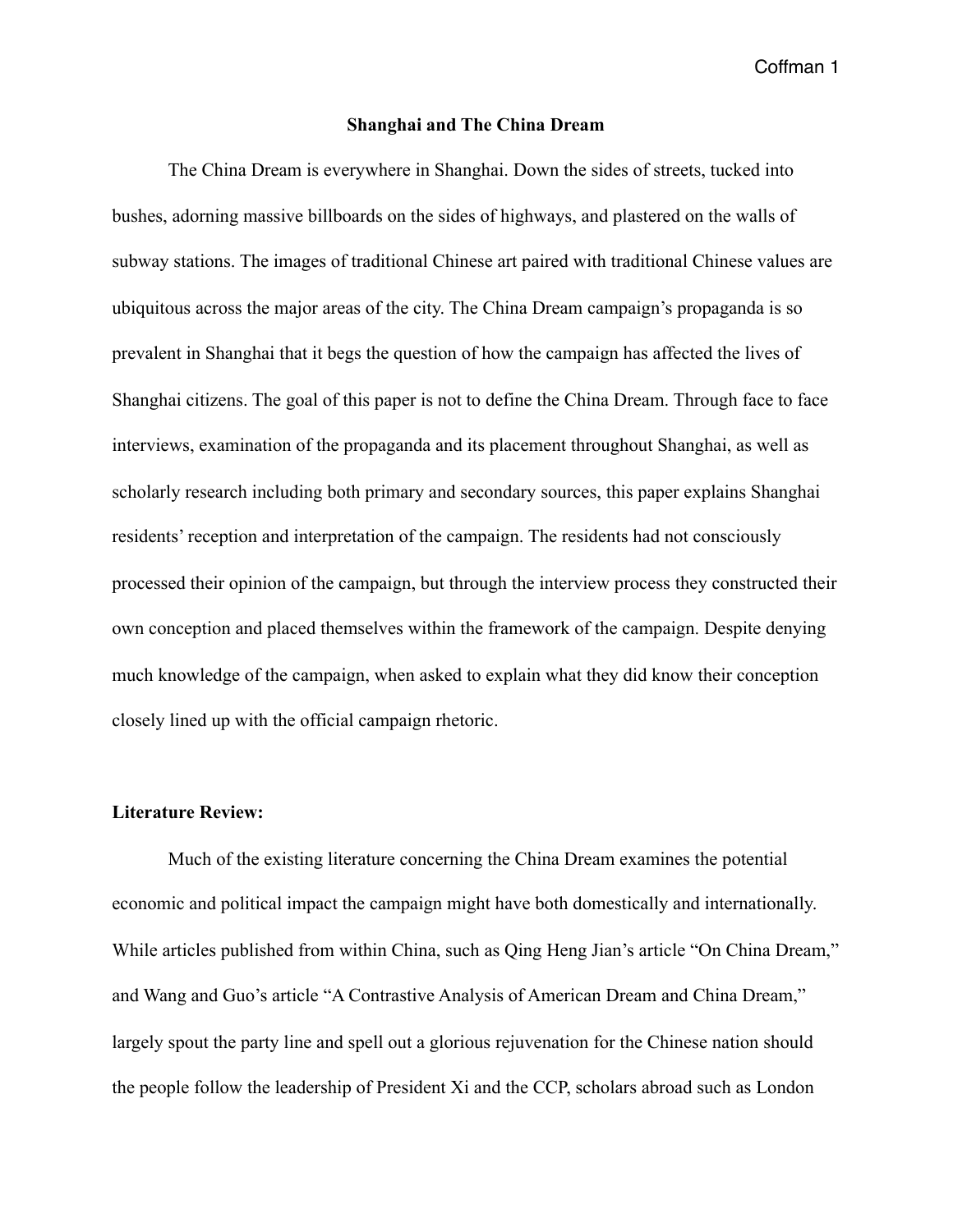#### **Shanghai and The China Dream**

 The China Dream is everywhere in Shanghai. Down the sides of streets, tucked into bushes, adorning massive billboards on the sides of highways, and plastered on the walls of subway stations. The images of traditional Chinese art paired with traditional Chinese values are ubiquitous across the major areas of the city. The China Dream campaign's propaganda is so prevalent in Shanghai that it begs the question of how the campaign has affected the lives of Shanghai citizens. The goal of this paper is not to define the China Dream. Through face to face interviews, examination of the propaganda and its placement throughout Shanghai, as well as scholarly research including both primary and secondary sources, this paper explains Shanghai residents' reception and interpretation of the campaign. The residents had not consciously processed their opinion of the campaign, but through the interview process they constructed their own conception and placed themselves within the framework of the campaign. Despite denying much knowledge of the campaign, when asked to explain what they did know their conception closely lined up with the official campaign rhetoric.

#### **Literature Review:**

 Much of the existing literature concerning the China Dream examines the potential economic and political impact the campaign might have both domestically and internationally. While articles published from within China, such as Qing Heng Jian's article "On China Dream," and Wang and Guo's article "A Contrastive Analysis of American Dream and China Dream," largely spout the party line and spell out a glorious rejuvenation for the Chinese nation should the people follow the leadership of President Xi and the CCP, scholars abroad such as London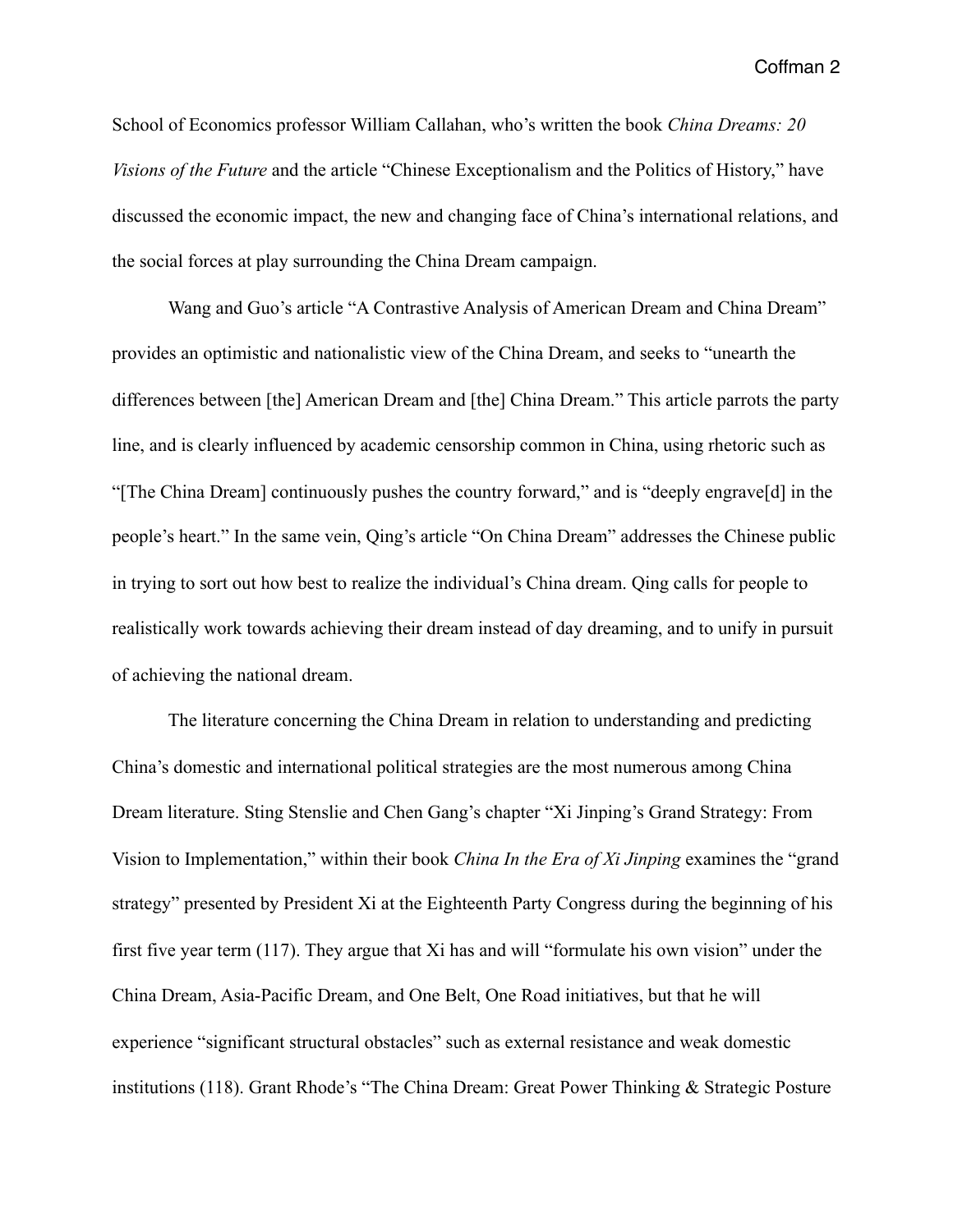School of Economics professor William Callahan, who's written the book *China Dreams: 20 Visions of the Future* and the article "Chinese Exceptionalism and the Politics of History," have discussed the economic impact, the new and changing face of China's international relations, and the social forces at play surrounding the China Dream campaign.

Wang and Guo's article "A Contrastive Analysis of American Dream and China Dream" provides an optimistic and nationalistic view of the China Dream, and seeks to "unearth the differences between [the] American Dream and [the] China Dream." This article parrots the party line, and is clearly influenced by academic censorship common in China, using rhetoric such as "[The China Dream] continuously pushes the country forward," and is "deeply engrave[d] in the people's heart." In the same vein, Qing's article "On China Dream" addresses the Chinese public in trying to sort out how best to realize the individual's China dream. Qing calls for people to realistically work towards achieving their dream instead of day dreaming, and to unify in pursuit of achieving the national dream.

 The literature concerning the China Dream in relation to understanding and predicting China's domestic and international political strategies are the most numerous among China Dream literature. Sting Stenslie and Chen Gang's chapter "Xi Jinping's Grand Strategy: From Vision to Implementation," within their book *China In the Era of Xi Jinping* examines the "grand strategy" presented by President Xi at the Eighteenth Party Congress during the beginning of his first five year term (117). They argue that Xi has and will "formulate his own vision" under the China Dream, Asia-Pacific Dream, and One Belt, One Road initiatives, but that he will experience "significant structural obstacles" such as external resistance and weak domestic institutions (118). Grant Rhode's "The China Dream: Great Power Thinking & Strategic Posture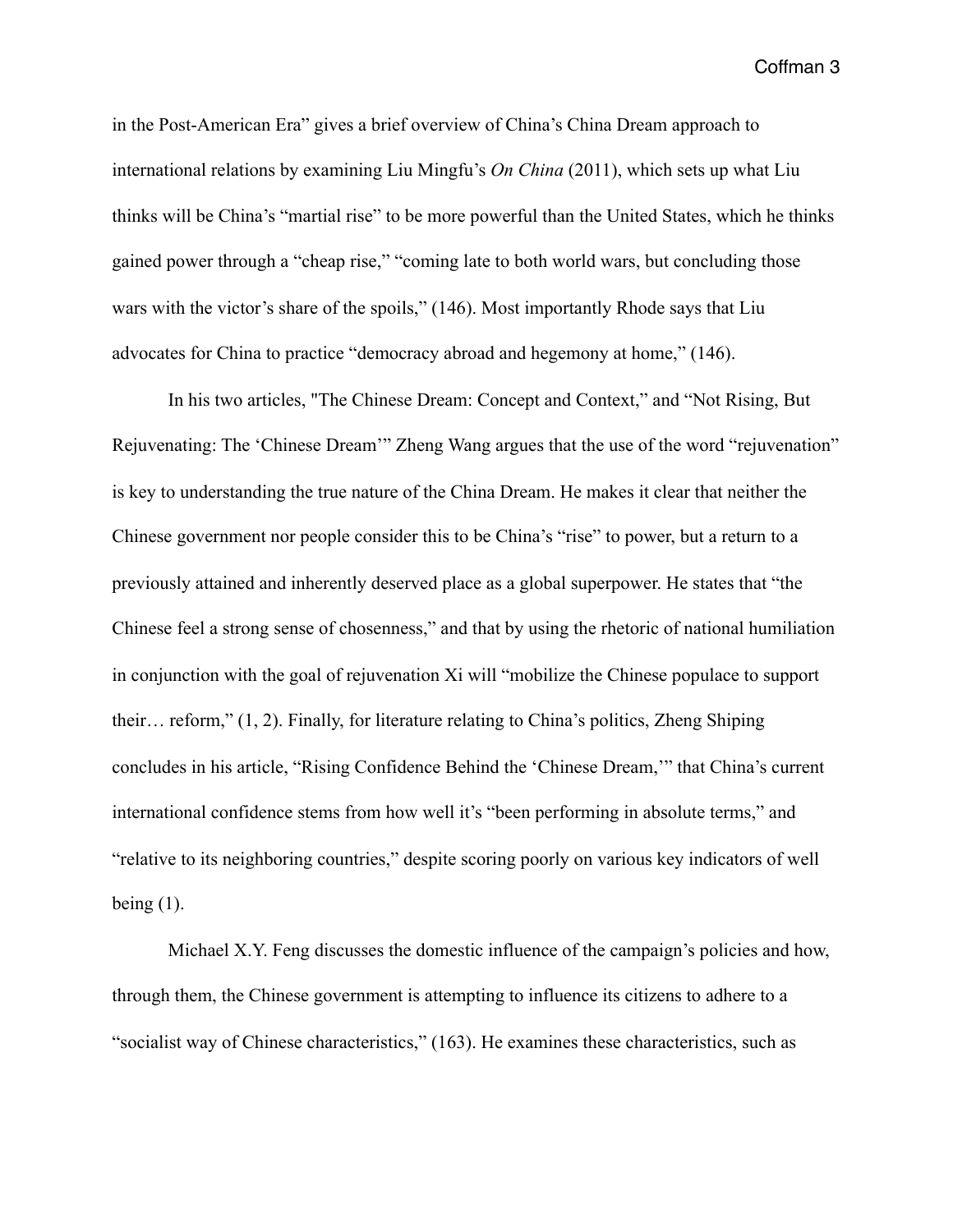in the Post-American Era" gives a brief overview of China's China Dream approach to international relations by examining Liu Mingfu's *On China* (2011), which sets up what Liu thinks will be China's "martial rise" to be more powerful than the United States, which he thinks gained power through a "cheap rise," "coming late to both world wars, but concluding those wars with the victor's share of the spoils," (146). Most importantly Rhode says that Liu advocates for China to practice "democracy abroad and hegemony at home," (146).

 In his two articles, "The Chinese Dream: Concept and Context," and "Not Rising, But Rejuvenating: The 'Chinese Dream'" Zheng Wang argues that the use of the word "rejuvenation" is key to understanding the true nature of the China Dream. He makes it clear that neither the Chinese government nor people consider this to be China's "rise" to power, but a return to a previously attained and inherently deserved place as a global superpower. He states that "the Chinese feel a strong sense of chosenness," and that by using the rhetoric of national humiliation in conjunction with the goal of rejuvenation Xi will "mobilize the Chinese populace to support their… reform," (1, 2). Finally, for literature relating to China's politics, Zheng Shiping concludes in his article, "Rising Confidence Behind the 'Chinese Dream,'" that China's current international confidence stems from how well it's "been performing in absolute terms," and "relative to its neighboring countries," despite scoring poorly on various key indicators of well being  $(1)$ .

Michael X.Y. Feng discusses the domestic influence of the campaign's policies and how, through them, the Chinese government is attempting to influence its citizens to adhere to a "socialist way of Chinese characteristics," (163). He examines these characteristics, such as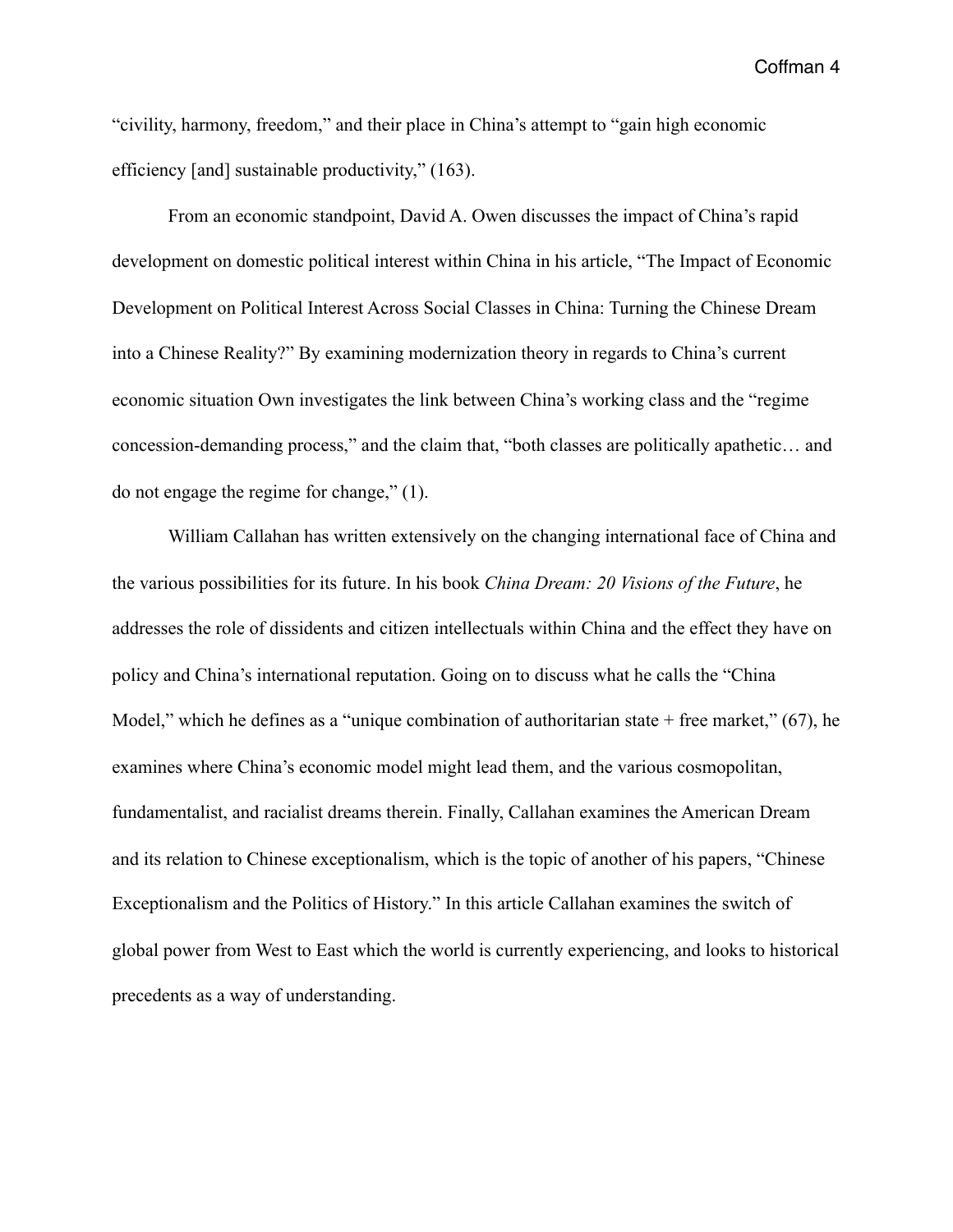"civility, harmony, freedom," and their place in China's attempt to "gain high economic efficiency [and] sustainable productivity," (163).

 From an economic standpoint, David A. Owen discusses the impact of China's rapid development on domestic political interest within China in his article, "The Impact of Economic Development on Political Interest Across Social Classes in China: Turning the Chinese Dream into a Chinese Reality?" By examining modernization theory in regards to China's current economic situation Own investigates the link between China's working class and the "regime concession-demanding process," and the claim that, "both classes are politically apathetic… and do not engage the regime for change," (1).

 William Callahan has written extensively on the changing international face of China and the various possibilities for its future. In his book *China Dream: 20 Visions of the Future*, he addresses the role of dissidents and citizen intellectuals within China and the effect they have on policy and China's international reputation. Going on to discuss what he calls the "China Model," which he defines as a "unique combination of authoritarian state  $+$  free market," (67), he examines where China's economic model might lead them, and the various cosmopolitan, fundamentalist, and racialist dreams therein. Finally, Callahan examines the American Dream and its relation to Chinese exceptionalism, which is the topic of another of his papers, "Chinese Exceptionalism and the Politics of History." In this article Callahan examines the switch of global power from West to East which the world is currently experiencing, and looks to historical precedents as a way of understanding.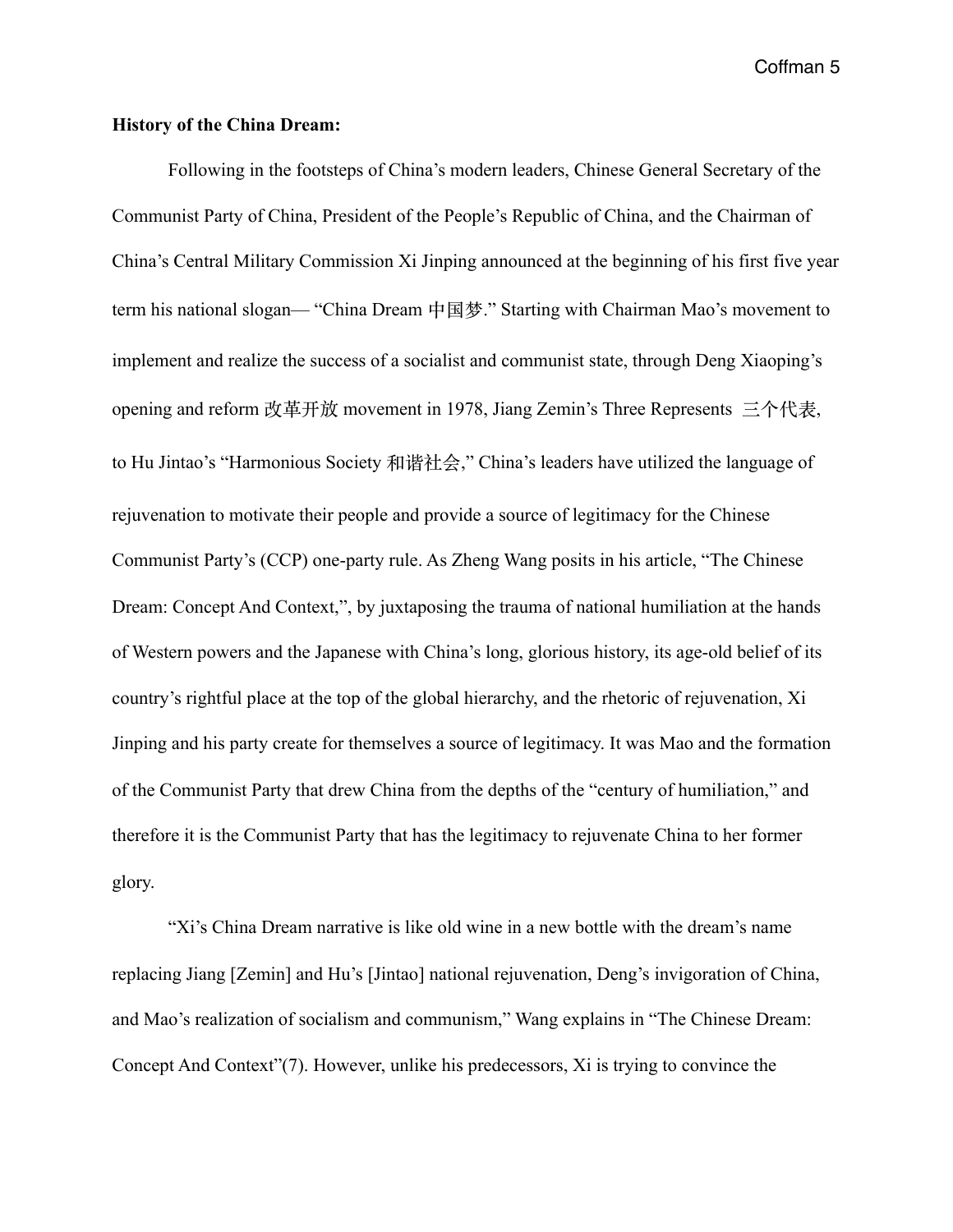## **History of the China Dream:**

Following in the footsteps of China's modern leaders, Chinese General Secretary of the Communist Party of China, President of the People's Republic of China, and the Chairman of China's Central Military Commission Xi Jinping announced at the beginning of his first five year term his national slogan— "China Dream 中国梦." Starting with Chairman Mao's movement to implement and realize the success of a socialist and communist state, through Deng Xiaoping's opening and reform 改⾰开放 movement in 1978, Jiang Zemin's Three Represents 三个代表, to Hu Jintao's "Harmonious Society 和谐社会," China's leaders have utilized the language of rejuvenation to motivate their people and provide a source of legitimacy for the Chinese Communist Party's (CCP) one-party rule. As Zheng Wang posits in his article, "The Chinese Dream: Concept And Context,", by juxtaposing the trauma of national humiliation at the hands of Western powers and the Japanese with China's long, glorious history, its age-old belief of its country's rightful place at the top of the global hierarchy, and the rhetoric of rejuvenation, Xi Jinping and his party create for themselves a source of legitimacy. It was Mao and the formation of the Communist Party that drew China from the depths of the "century of humiliation," and therefore it is the Communist Party that has the legitimacy to rejuvenate China to her former glory.

 "Xi's China Dream narrative is like old wine in a new bottle with the dream's name replacing Jiang [Zemin] and Hu's [Jintao] national rejuvenation, Deng's invigoration of China, and Mao's realization of socialism and communism," Wang explains in "The Chinese Dream: Concept And Context"(7). However, unlike his predecessors, Xi is trying to convince the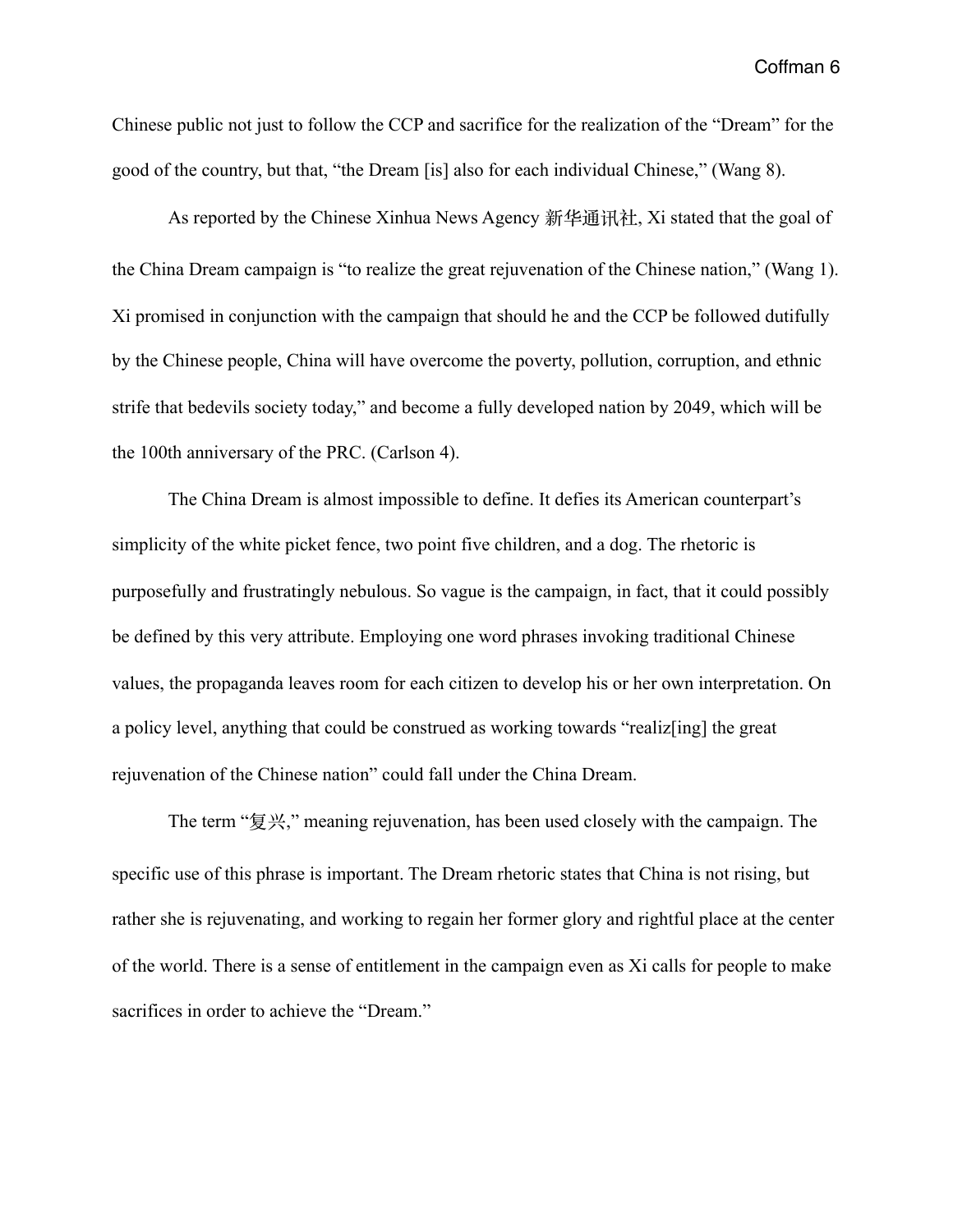Chinese public not just to follow the CCP and sacrifice for the realization of the "Dream" for the good of the country, but that, "the Dream [is] also for each individual Chinese," (Wang 8).

 As reported by the Chinese Xinhua News Agency 新华通讯社, Xi stated that the goal of the China Dream campaign is "to realize the great rejuvenation of the Chinese nation," (Wang 1). Xi promised in conjunction with the campaign that should he and the CCP be followed dutifully by the Chinese people, China will have overcome the poverty, pollution, corruption, and ethnic strife that bedevils society today," and become a fully developed nation by 2049, which will be the 100th anniversary of the PRC. (Carlson 4).

 The China Dream is almost impossible to define. It defies its American counterpart's simplicity of the white picket fence, two point five children, and a dog. The rhetoric is purposefully and frustratingly nebulous. So vague is the campaign, in fact, that it could possibly be defined by this very attribute. Employing one word phrases invoking traditional Chinese values, the propaganda leaves room for each citizen to develop his or her own interpretation. On a policy level, anything that could be construed as working towards "realiz[ing] the great rejuvenation of the Chinese nation" could fall under the China Dream.

 The term "复兴," meaning rejuvenation, has been used closely with the campaign. The specific use of this phrase is important. The Dream rhetoric states that China is not rising, but rather she is rejuvenating, and working to regain her former glory and rightful place at the center of the world. There is a sense of entitlement in the campaign even as Xi calls for people to make sacrifices in order to achieve the "Dream."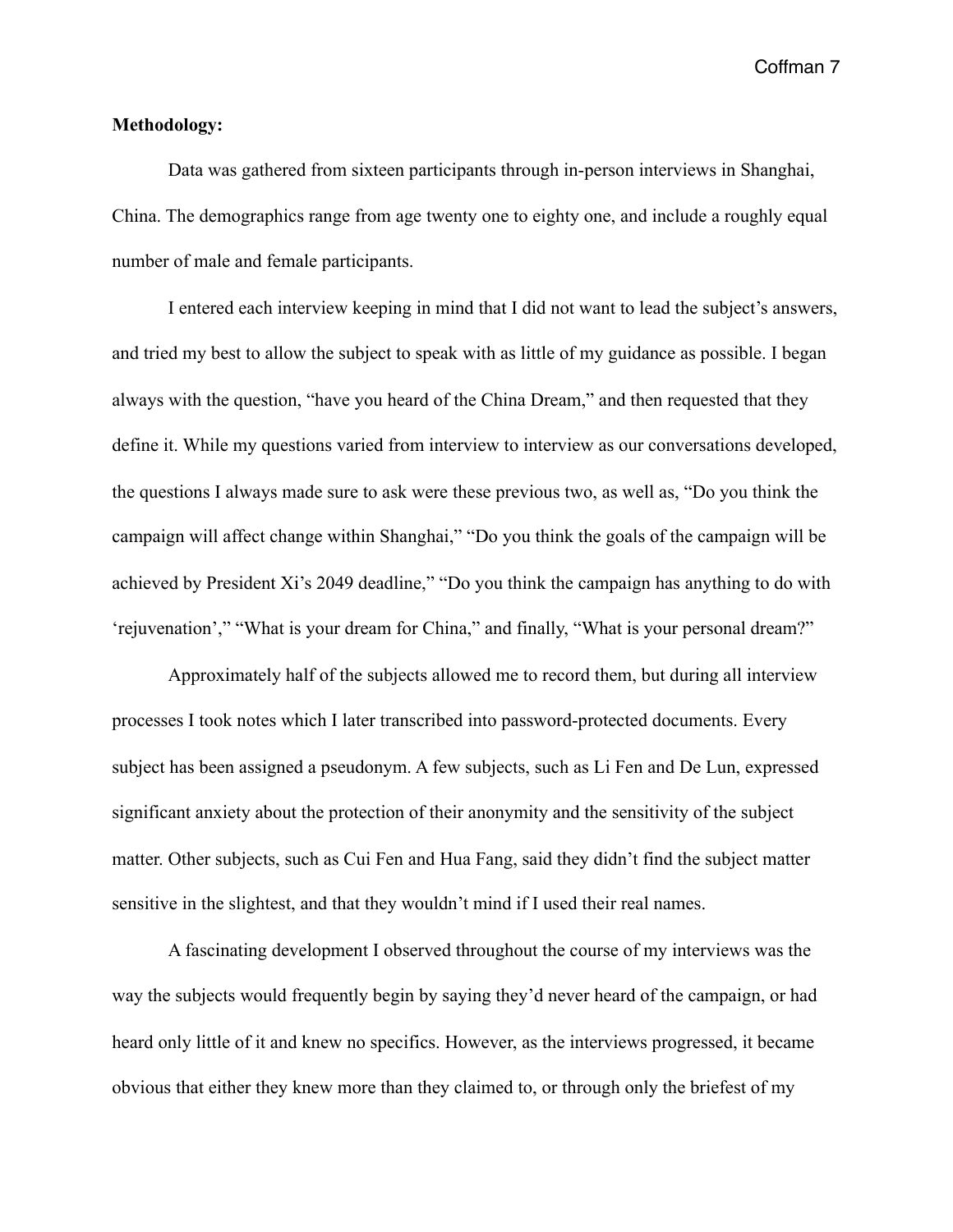## **Methodology:**

 Data was gathered from sixteen participants through in-person interviews in Shanghai, China. The demographics range from age twenty one to eighty one, and include a roughly equal number of male and female participants.

 I entered each interview keeping in mind that I did not want to lead the subject's answers, and tried my best to allow the subject to speak with as little of my guidance as possible. I began always with the question, "have you heard of the China Dream," and then requested that they define it. While my questions varied from interview to interview as our conversations developed, the questions I always made sure to ask were these previous two, as well as, "Do you think the campaign will affect change within Shanghai," "Do you think the goals of the campaign will be achieved by President Xi's 2049 deadline," "Do you think the campaign has anything to do with 'rejuvenation'," "What is your dream for China," and finally, "What is your personal dream?"

 Approximately half of the subjects allowed me to record them, but during all interview processes I took notes which I later transcribed into password-protected documents. Every subject has been assigned a pseudonym. A few subjects, such as Li Fen and De Lun, expressed significant anxiety about the protection of their anonymity and the sensitivity of the subject matter. Other subjects, such as Cui Fen and Hua Fang, said they didn't find the subject matter sensitive in the slightest, and that they wouldn't mind if I used their real names.

 A fascinating development I observed throughout the course of my interviews was the way the subjects would frequently begin by saying they'd never heard of the campaign, or had heard only little of it and knew no specifics. However, as the interviews progressed, it became obvious that either they knew more than they claimed to, or through only the briefest of my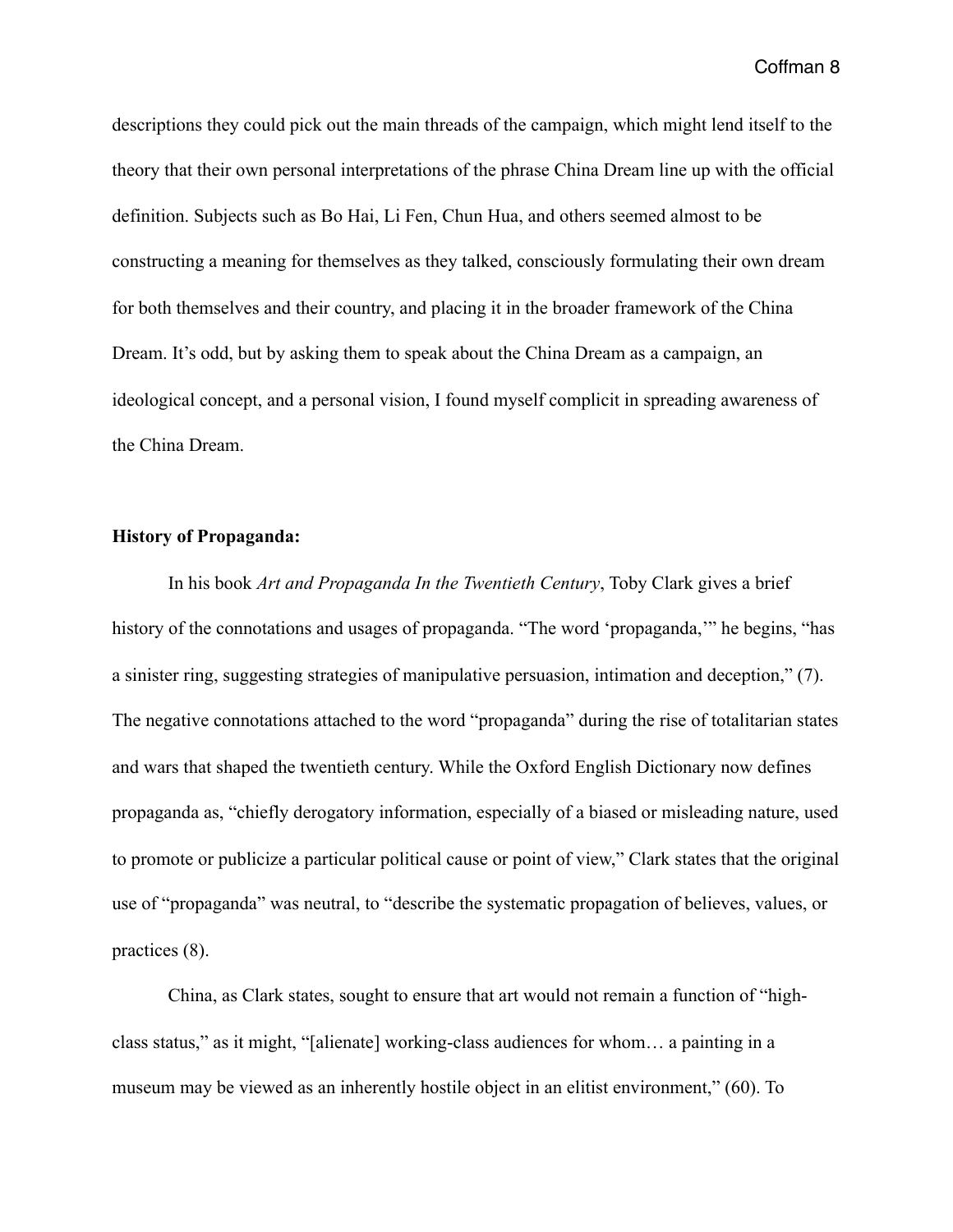descriptions they could pick out the main threads of the campaign, which might lend itself to the theory that their own personal interpretations of the phrase China Dream line up with the official definition. Subjects such as Bo Hai, Li Fen, Chun Hua, and others seemed almost to be constructing a meaning for themselves as they talked, consciously formulating their own dream for both themselves and their country, and placing it in the broader framework of the China Dream. It's odd, but by asking them to speak about the China Dream as a campaign, an ideological concept, and a personal vision, I found myself complicit in spreading awareness of the China Dream.

## **History of Propaganda:**

 In his book *Art and Propaganda In the Twentieth Century*, Toby Clark gives a brief history of the connotations and usages of propaganda. "The word 'propaganda,'" he begins, "has a sinister ring, suggesting strategies of manipulative persuasion, intimation and deception," (7). The negative connotations attached to the word "propaganda" during the rise of totalitarian states and wars that shaped the twentieth century. While the Oxford English Dictionary now defines propaganda as, "chiefly derogatory information, especially of a biased or misleading nature, used to promote or publicize a particular political cause or point of view," Clark states that the original use of "propaganda" was neutral, to "describe the systematic propagation of believes, values, or practices (8).

 China, as Clark states, sought to ensure that art would not remain a function of "highclass status," as it might, "[alienate] working-class audiences for whom… a painting in a museum may be viewed as an inherently hostile object in an elitist environment," (60). To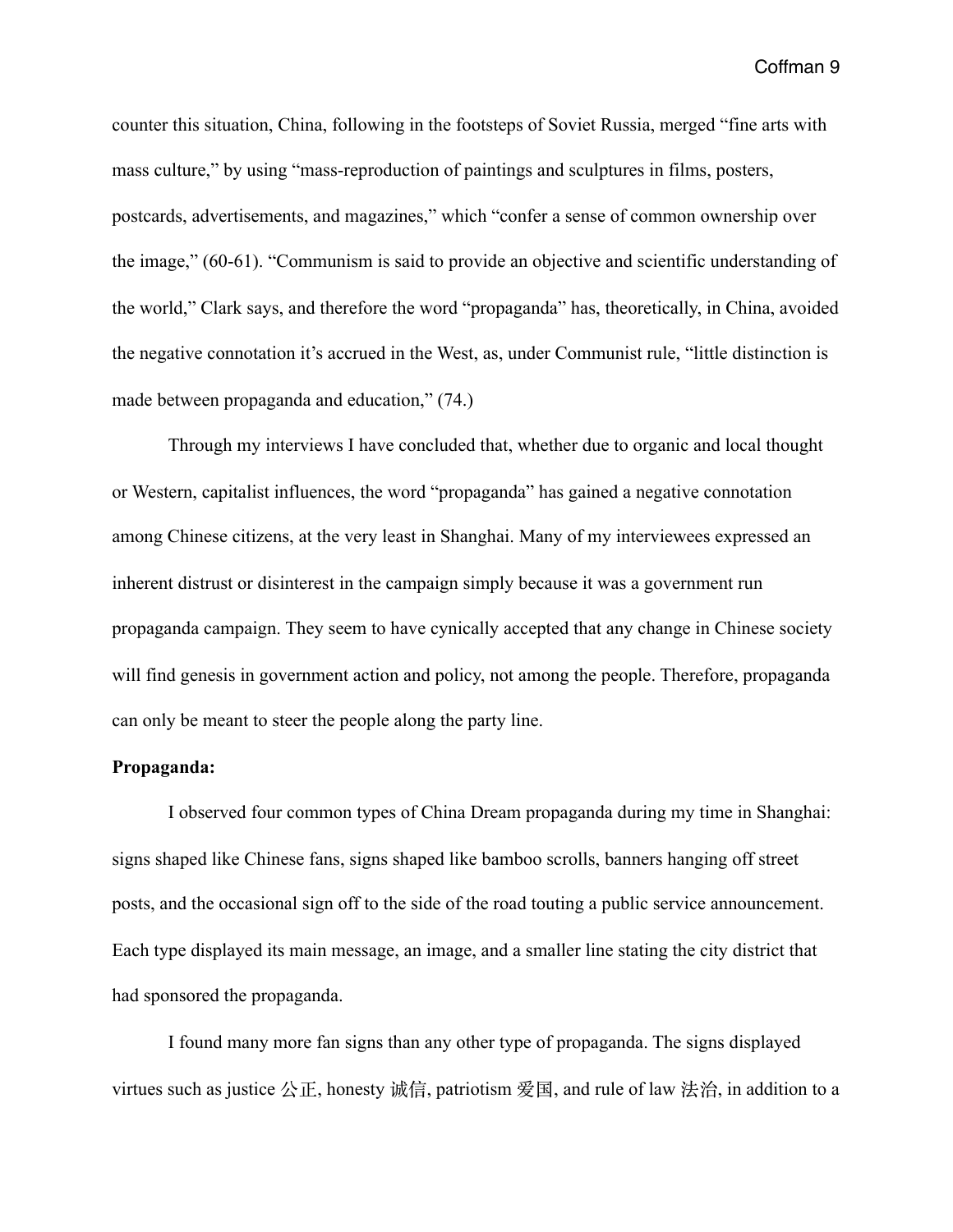counter this situation, China, following in the footsteps of Soviet Russia, merged "fine arts with mass culture," by using "mass-reproduction of paintings and sculptures in films, posters, postcards, advertisements, and magazines," which "confer a sense of common ownership over the image," (60-61). "Communism is said to provide an objective and scientific understanding of the world," Clark says, and therefore the word "propaganda" has, theoretically, in China, avoided the negative connotation it's accrued in the West, as, under Communist rule, "little distinction is made between propaganda and education," (74.)

 Through my interviews I have concluded that, whether due to organic and local thought or Western, capitalist influences, the word "propaganda" has gained a negative connotation among Chinese citizens, at the very least in Shanghai. Many of my interviewees expressed an inherent distrust or disinterest in the campaign simply because it was a government run propaganda campaign. They seem to have cynically accepted that any change in Chinese society will find genesis in government action and policy, not among the people. Therefore, propaganda can only be meant to steer the people along the party line.

# **Propaganda:**

 I observed four common types of China Dream propaganda during my time in Shanghai: signs shaped like Chinese fans, signs shaped like bamboo scrolls, banners hanging off street posts, and the occasional sign off to the side of the road touting a public service announcement. Each type displayed its main message, an image, and a smaller line stating the city district that had sponsored the propaganda.

 I found many more fan signs than any other type of propaganda. The signs displayed virtues such as justice 公正, honesty 诚信, patriotism 爱国, and rule of law 法治, in addition to a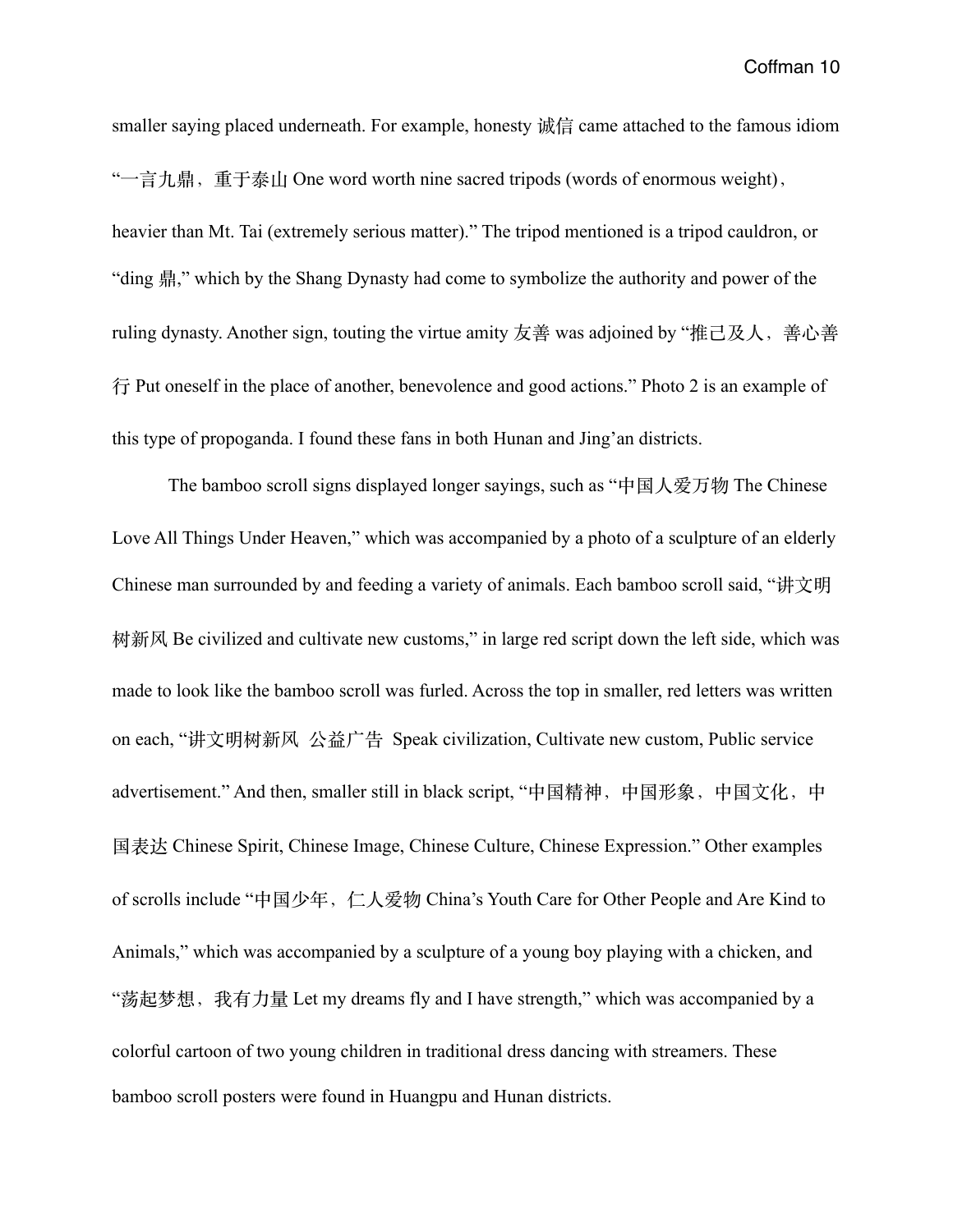smaller saying placed underneath. For example, honesty 诚信 came attached to the famous idiom "一言九鼎, 重于泰山 One word worth nine sacred tripods (words of enormous weight), heavier than Mt. Tai (extremely serious matter)." The tripod mentioned is a tripod cauldron, or "ding 鼎," which by the Shang Dynasty had come to symbolize the authority and power of the ruling dynasty. Another sign, touting the virtue amity 友善 was adjoined by "推己及人, 善心善 ⾏ Put oneself in the place of another, benevolence and good actions." Photo 2 is an example of this type of propoganda. I found these fans in both Hunan and Jing'an districts.

 The bamboo scroll signs displayed longer sayings, such as "中国⼈爱万物 The Chinese Love All Things Under Heaven," which was accompanied by a photo of a sculpture of an elderly Chinese man surrounded by and feeding a variety of animals. Each bamboo scroll said, "讲文明 树新风 Be civilized and cultivate new customs," in large red script down the left side, which was made to look like the bamboo scroll was furled. Across the top in smaller, red letters was written on each, "讲文明树新风 公益广告 Speak civilization, Cultivate new custom, Public service advertisement." And then, smaller still in black script, "中国精神, 中国形象, 中国文化, 中 国表达 Chinese Spirit, Chinese Image, Chinese Culture, Chinese Expression." Other examples of scrolls include "中国少年, 仁人爱物 China's Youth Care for Other People and Are Kind to Animals," which was accompanied by a sculpture of a young boy playing with a chicken, and "荡起梦想, 我有力量 Let my dreams fly and I have strength," which was accompanied by a colorful cartoon of two young children in traditional dress dancing with streamers. These bamboo scroll posters were found in Huangpu and Hunan districts.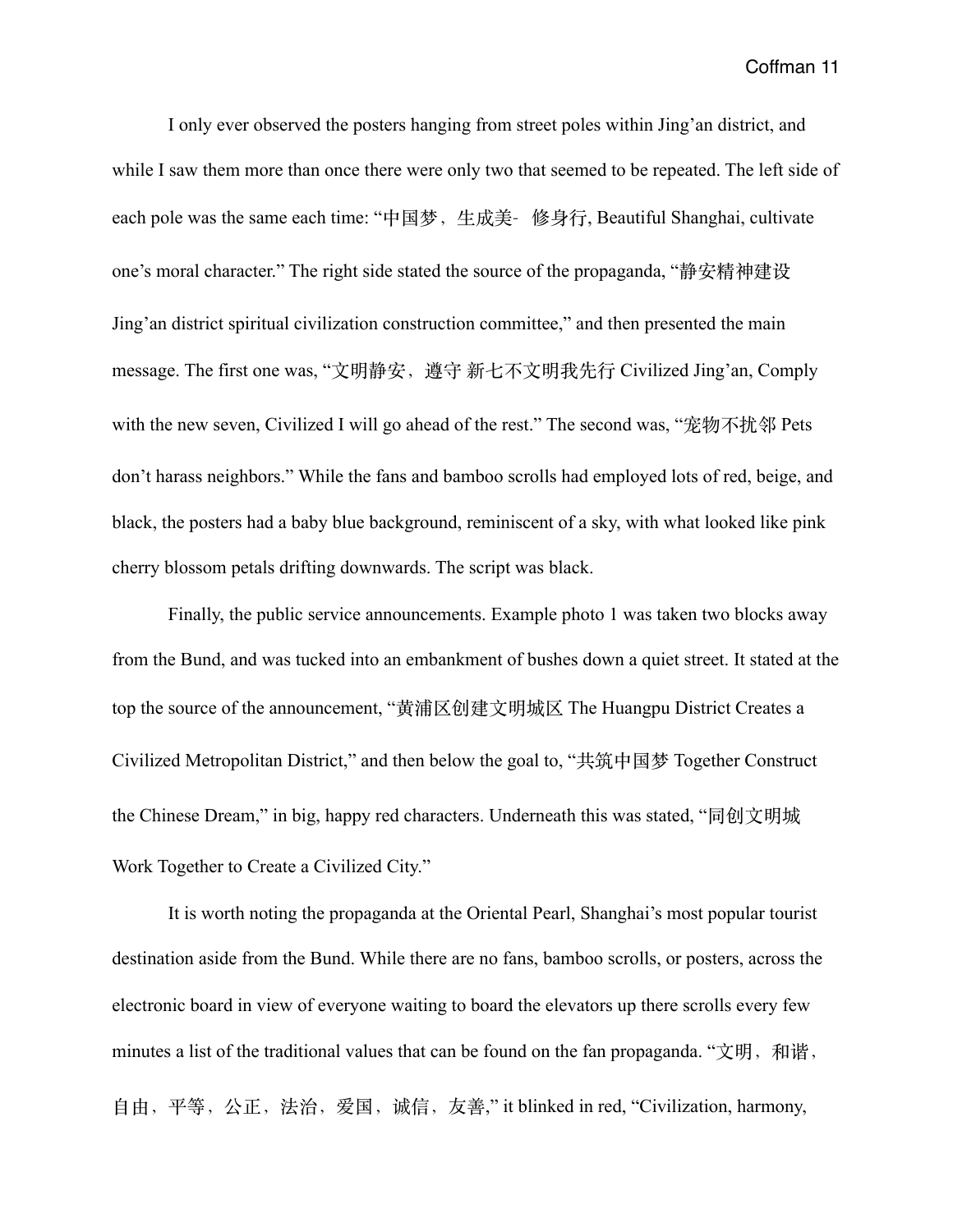I only ever observed the posters hanging from street poles within Jing'an district, and while I saw them more than once there were only two that seemed to be repeated. The left side of each pole was the same each time: "中国梦, 生成美- 修身行, Beautiful Shanghai, cultivate one's moral character." The right side stated the source of the propaganda, "静安精神建设 Jing'an district spiritual civilization construction committee," and then presented the main message. The first one was, "文明静安, 遵守 新七不文明我先行 Civilized Jing'an, Comply with the new seven, Civilized I will go ahead of the rest." The second was, "宠物不扰邻 Pets don't harass neighbors." While the fans and bamboo scrolls had employed lots of red, beige, and black, the posters had a baby blue background, reminiscent of a sky, with what looked like pink cherry blossom petals drifting downwards. The script was black.

 Finally, the public service announcements. Example photo 1 was taken two blocks away from the Bund, and was tucked into an embankment of bushes down a quiet street. It stated at the top the source of the announcement, "黄浦区创建文明城区 The Huangpu District Creates a Civilized Metropolitan District," and then below the goal to, "共筑中国梦 Together Construct the Chinese Dream," in big, happy red characters. Underneath this was stated, "同创文明城 Work Together to Create a Civilized City."

 It is worth noting the propaganda at the Oriental Pearl, Shanghai's most popular tourist destination aside from the Bund. While there are no fans, bamboo scrolls, or posters, across the electronic board in view of everyone waiting to board the elevators up there scrolls every few minutes a list of the traditional values that can be found on the fan propaganda. "文明, 和谐, ⾃由,平等,公正,法治,爱国,诚信,友善," it blinked in red, "Civilization, harmony,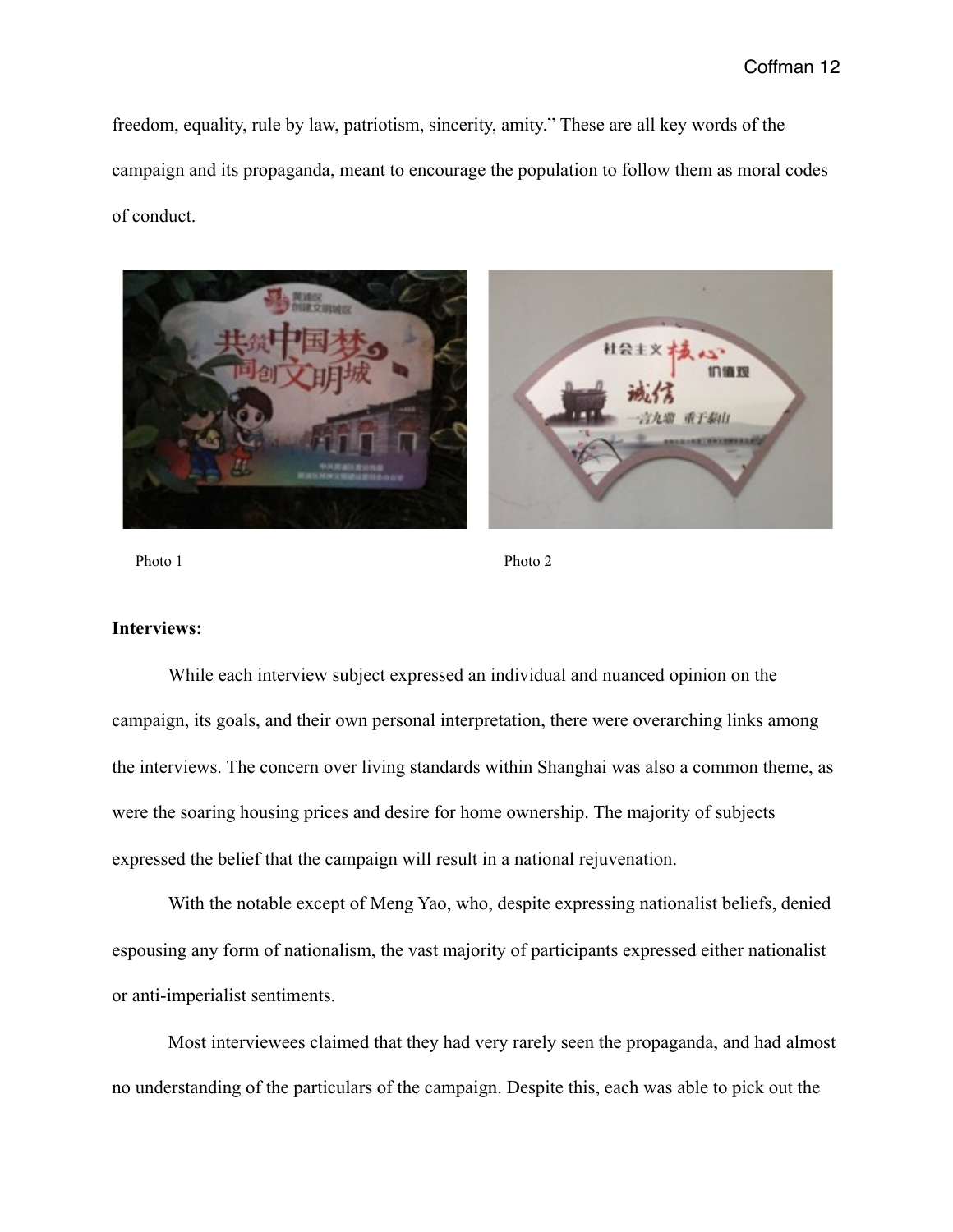freedom, equality, rule by law, patriotism, sincerity, amity." These are all key words of the campaign and its propaganda, meant to encourage the population to follow them as moral codes of conduct.





Photo 1 Photo 2

# **Interviews:**

 While each interview subject expressed an individual and nuanced opinion on the campaign, its goals, and their own personal interpretation, there were overarching links among the interviews. The concern over living standards within Shanghai was also a common theme, as were the soaring housing prices and desire for home ownership. The majority of subjects expressed the belief that the campaign will result in a national rejuvenation.

 With the notable except of Meng Yao, who, despite expressing nationalist beliefs, denied espousing any form of nationalism, the vast majority of participants expressed either nationalist or anti-imperialist sentiments.

 Most interviewees claimed that they had very rarely seen the propaganda, and had almost no understanding of the particulars of the campaign. Despite this, each was able to pick out the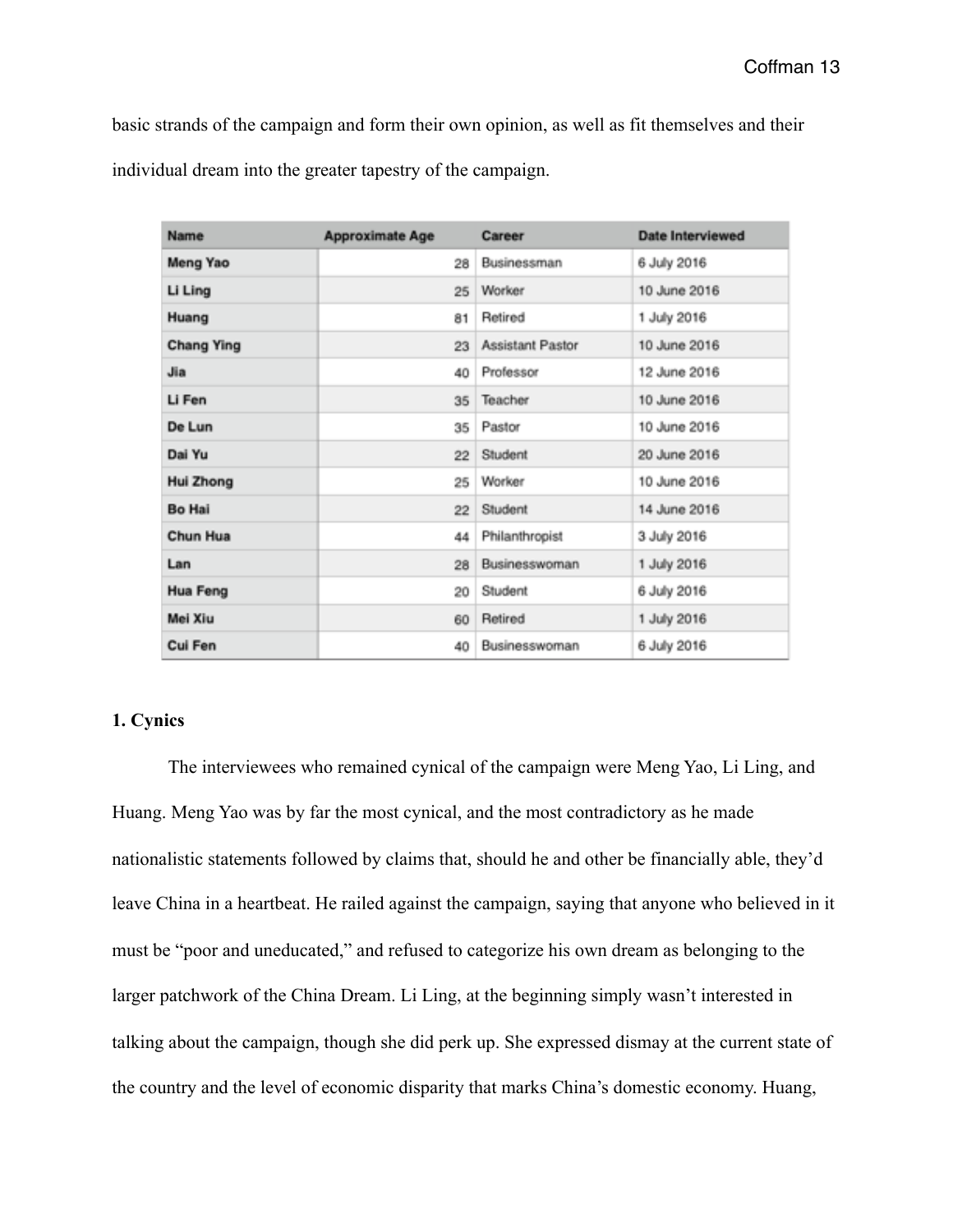basic strands of the campaign and form their own opinion, as well as fit themselves and their individual dream into the greater tapestry of the campaign.

| Name              | <b>Approximate Age</b> | Career                  | <b>Date Interviewed</b> |
|-------------------|------------------------|-------------------------|-------------------------|
| Meng Yao          | 28                     | Businessman             | 6 July 2016             |
| Li Ling           | 25                     | Worker                  | 10 June 2016            |
| Huang             | 81                     | Retired                 | 1 July 2016             |
| <b>Chang Ying</b> | 23                     | <b>Assistant Pastor</b> | 10 June 2016            |
| Jia               | 40                     | Professor               | 12 June 2016            |
| Li Fen            | 35                     | Teacher                 | 10 June 2016            |
| De Lun            | 35                     | Pastor                  | 10 June 2016            |
| Dai Yu            | 22                     | Student                 | 20 June 2016            |
| Hui Zhong         | 25                     | Worker                  | 10 June 2016            |
| <b>Bo Hai</b>     | 22                     | Student                 | 14 June 2016            |
| Chun Hua          | 44                     | Philanthropist          | 3 July 2016             |
| Lan               | 28                     | Businesswoman           | 1 July 2016             |
| Hua Feng          | 20                     | Student                 | 6 July 2016             |
| Mei Xiu           | 60                     | Retired                 | 1 July 2016             |
| Cui Fen           | 40                     | Businesswoman           | 6 July 2016             |

# **1. Cynics**

 The interviewees who remained cynical of the campaign were Meng Yao, Li Ling, and Huang. Meng Yao was by far the most cynical, and the most contradictory as he made nationalistic statements followed by claims that, should he and other be financially able, they'd leave China in a heartbeat. He railed against the campaign, saying that anyone who believed in it must be "poor and uneducated," and refused to categorize his own dream as belonging to the larger patchwork of the China Dream. Li Ling, at the beginning simply wasn't interested in talking about the campaign, though she did perk up. She expressed dismay at the current state of the country and the level of economic disparity that marks China's domestic economy. Huang,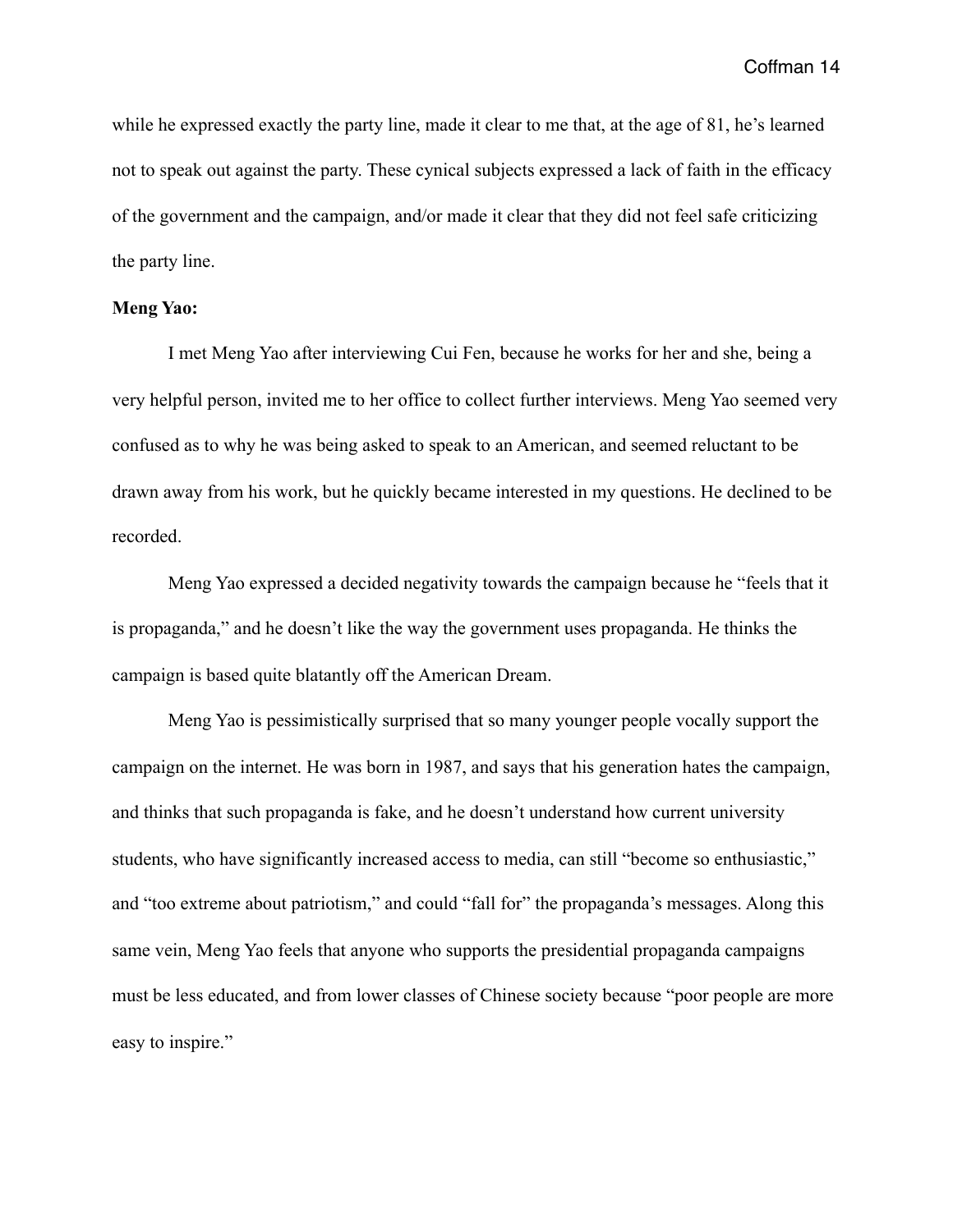while he expressed exactly the party line, made it clear to me that, at the age of 81, he's learned not to speak out against the party. These cynical subjects expressed a lack of faith in the efficacy of the government and the campaign, and/or made it clear that they did not feel safe criticizing the party line.

# **Meng Yao:**

 I met Meng Yao after interviewing Cui Fen, because he works for her and she, being a very helpful person, invited me to her office to collect further interviews. Meng Yao seemed very confused as to why he was being asked to speak to an American, and seemed reluctant to be drawn away from his work, but he quickly became interested in my questions. He declined to be recorded.

 Meng Yao expressed a decided negativity towards the campaign because he "feels that it is propaganda," and he doesn't like the way the government uses propaganda. He thinks the campaign is based quite blatantly off the American Dream.

 Meng Yao is pessimistically surprised that so many younger people vocally support the campaign on the internet. He was born in 1987, and says that his generation hates the campaign, and thinks that such propaganda is fake, and he doesn't understand how current university students, who have significantly increased access to media, can still "become so enthusiastic," and "too extreme about patriotism," and could "fall for" the propaganda's messages. Along this same vein, Meng Yao feels that anyone who supports the presidential propaganda campaigns must be less educated, and from lower classes of Chinese society because "poor people are more easy to inspire."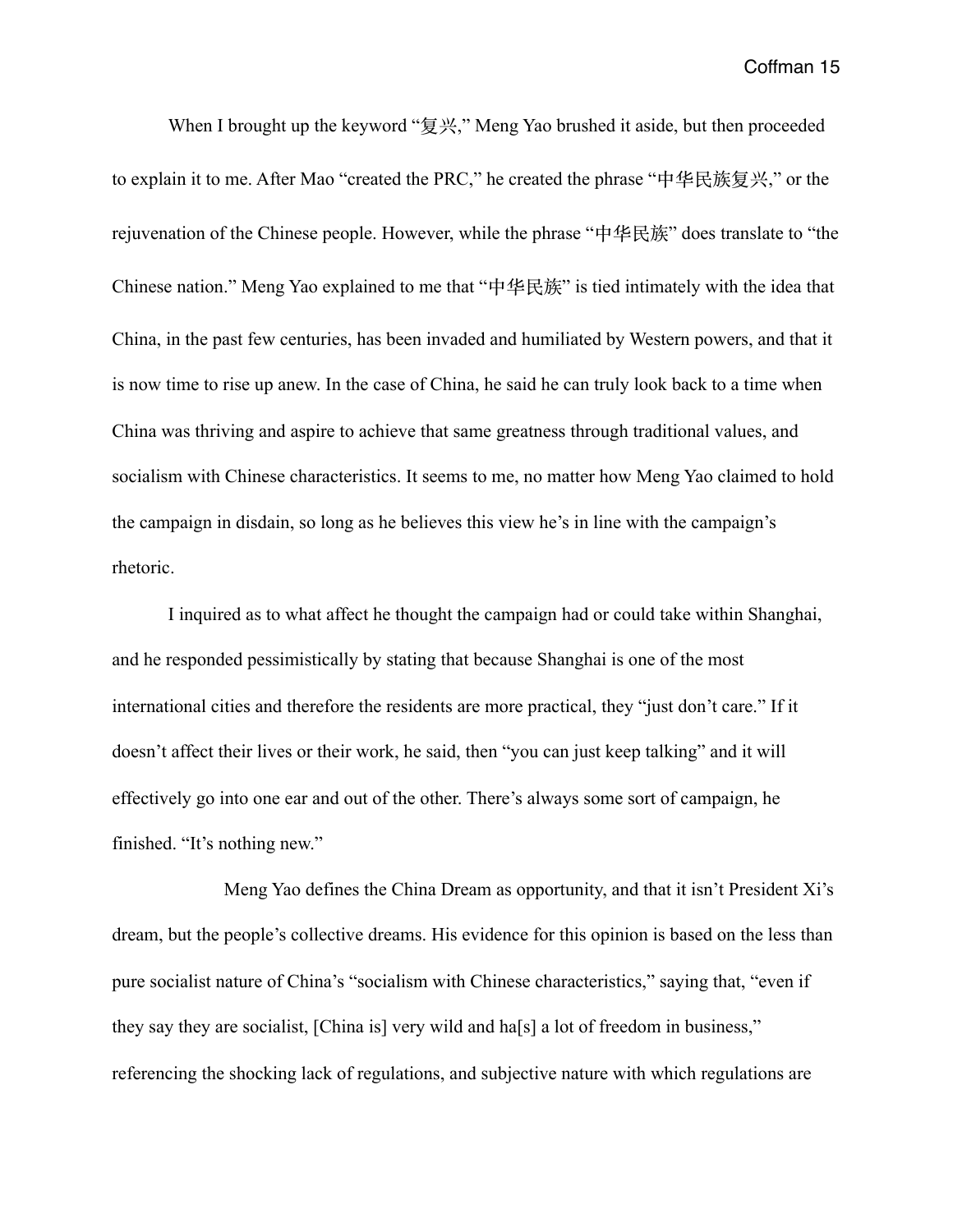When I brought up the keyword "复兴," Meng Yao brushed it aside, but then proceeded to explain it to me. After Mao "created the PRC," he created the phrase "中华民族复兴," or the rejuvenation of the Chinese people. However, while the phrase "中华民族" does translate to "the Chinese nation." Meng Yao explained to me that "中华民族" is tied intimately with the idea that China, in the past few centuries, has been invaded and humiliated by Western powers, and that it is now time to rise up anew. In the case of China, he said he can truly look back to a time when China was thriving and aspire to achieve that same greatness through traditional values, and socialism with Chinese characteristics. It seems to me, no matter how Meng Yao claimed to hold the campaign in disdain, so long as he believes this view he's in line with the campaign's rhetoric.

 I inquired as to what affect he thought the campaign had or could take within Shanghai, and he responded pessimistically by stating that because Shanghai is one of the most international cities and therefore the residents are more practical, they "just don't care." If it doesn't affect their lives or their work, he said, then "you can just keep talking" and it will effectively go into one ear and out of the other. There's always some sort of campaign, he finished. "It's nothing new."

 Meng Yao defines the China Dream as opportunity, and that it isn't President Xi's dream, but the people's collective dreams. His evidence for this opinion is based on the less than pure socialist nature of China's "socialism with Chinese characteristics," saying that, "even if they say they are socialist, [China is] very wild and ha[s] a lot of freedom in business," referencing the shocking lack of regulations, and subjective nature with which regulations are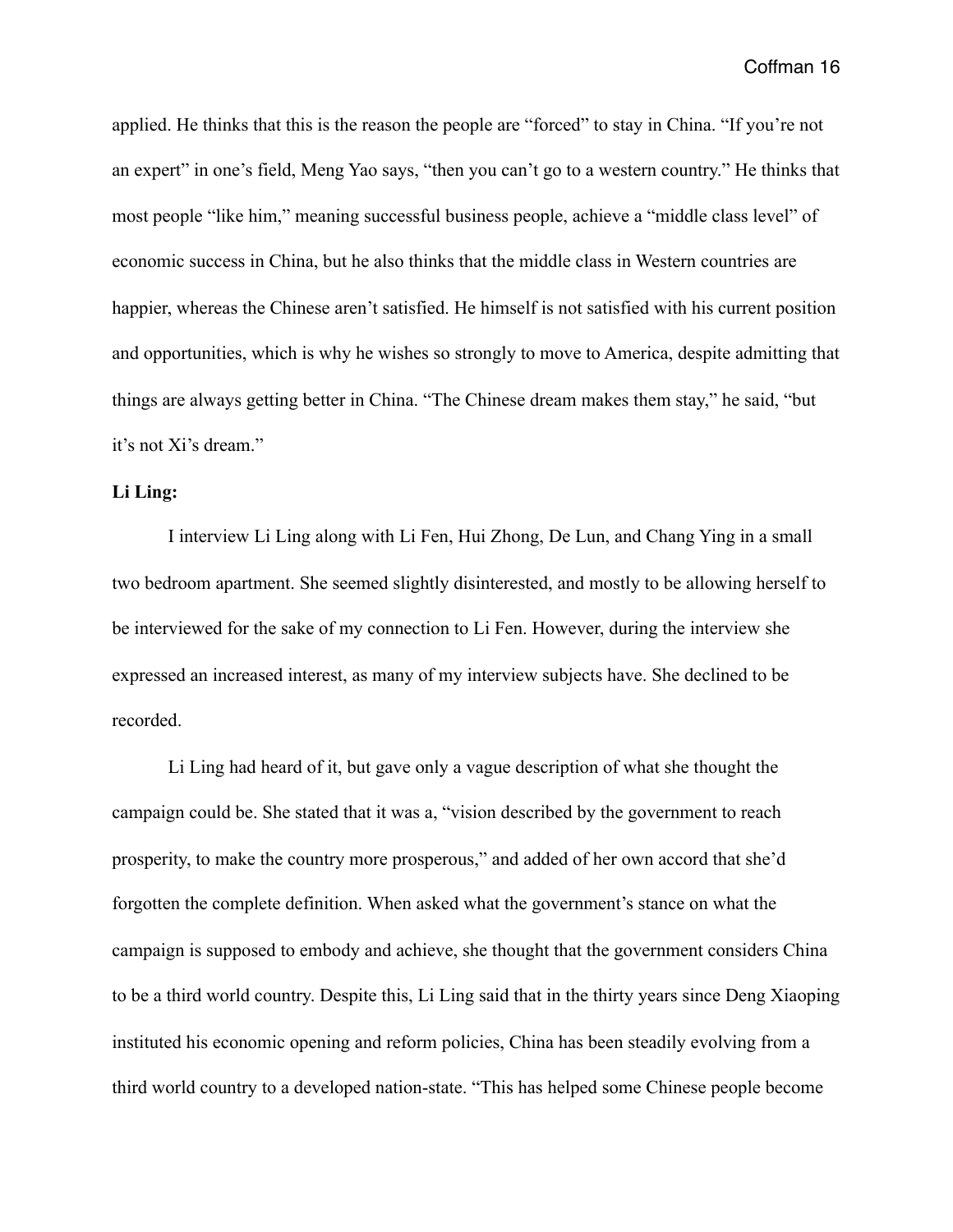applied. He thinks that this is the reason the people are "forced" to stay in China. "If you're not an expert" in one's field, Meng Yao says, "then you can't go to a western country." He thinks that most people "like him," meaning successful business people, achieve a "middle class level" of economic success in China, but he also thinks that the middle class in Western countries are happier, whereas the Chinese aren't satisfied. He himself is not satisfied with his current position and opportunities, which is why he wishes so strongly to move to America, despite admitting that things are always getting better in China. "The Chinese dream makes them stay," he said, "but it's not Xi's dream."

# **Li Ling:**

 I interview Li Ling along with Li Fen, Hui Zhong, De Lun, and Chang Ying in a small two bedroom apartment. She seemed slightly disinterested, and mostly to be allowing herself to be interviewed for the sake of my connection to Li Fen. However, during the interview she expressed an increased interest, as many of my interview subjects have. She declined to be recorded.

 Li Ling had heard of it, but gave only a vague description of what she thought the campaign could be. She stated that it was a, "vision described by the government to reach prosperity, to make the country more prosperous," and added of her own accord that she'd forgotten the complete definition. When asked what the government's stance on what the campaign is supposed to embody and achieve, she thought that the government considers China to be a third world country. Despite this, Li Ling said that in the thirty years since Deng Xiaoping instituted his economic opening and reform policies, China has been steadily evolving from a third world country to a developed nation-state. "This has helped some Chinese people become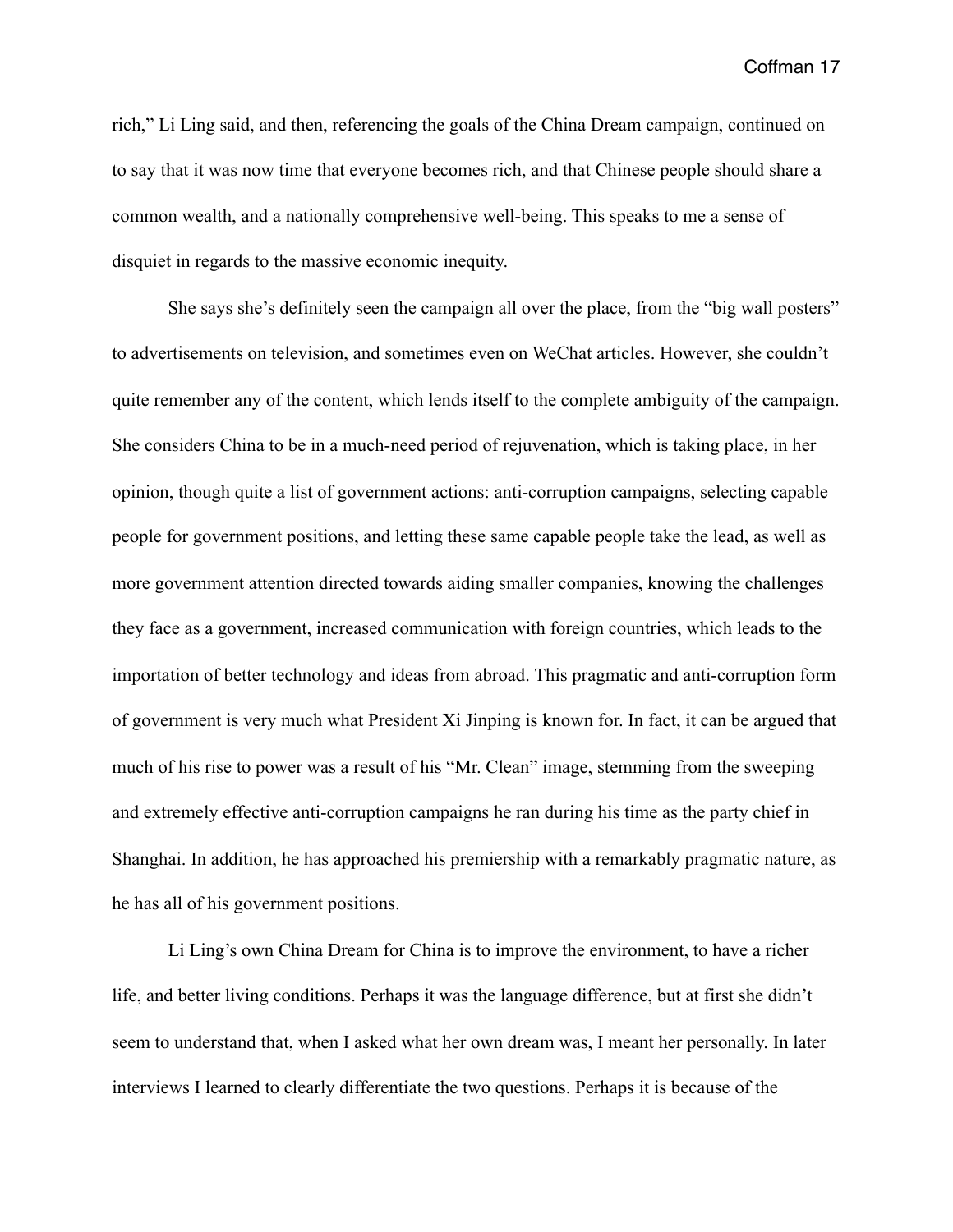rich," Li Ling said, and then, referencing the goals of the China Dream campaign, continued on to say that it was now time that everyone becomes rich, and that Chinese people should share a common wealth, and a nationally comprehensive well-being. This speaks to me a sense of disquiet in regards to the massive economic inequity.

 She says she's definitely seen the campaign all over the place, from the "big wall posters" to advertisements on television, and sometimes even on WeChat articles. However, she couldn't quite remember any of the content, which lends itself to the complete ambiguity of the campaign. She considers China to be in a much-need period of rejuvenation, which is taking place, in her opinion, though quite a list of government actions: anti-corruption campaigns, selecting capable people for government positions, and letting these same capable people take the lead, as well as more government attention directed towards aiding smaller companies, knowing the challenges they face as a government, increased communication with foreign countries, which leads to the importation of better technology and ideas from abroad. This pragmatic and anti-corruption form of government is very much what President Xi Jinping is known for. In fact, it can be argued that much of his rise to power was a result of his "Mr. Clean" image, stemming from the sweeping and extremely effective anti-corruption campaigns he ran during his time as the party chief in Shanghai. In addition, he has approached his premiership with a remarkably pragmatic nature, as he has all of his government positions.

 Li Ling's own China Dream for China is to improve the environment, to have a richer life, and better living conditions. Perhaps it was the language difference, but at first she didn't seem to understand that, when I asked what her own dream was, I meant her personally. In later interviews I learned to clearly differentiate the two questions. Perhaps it is because of the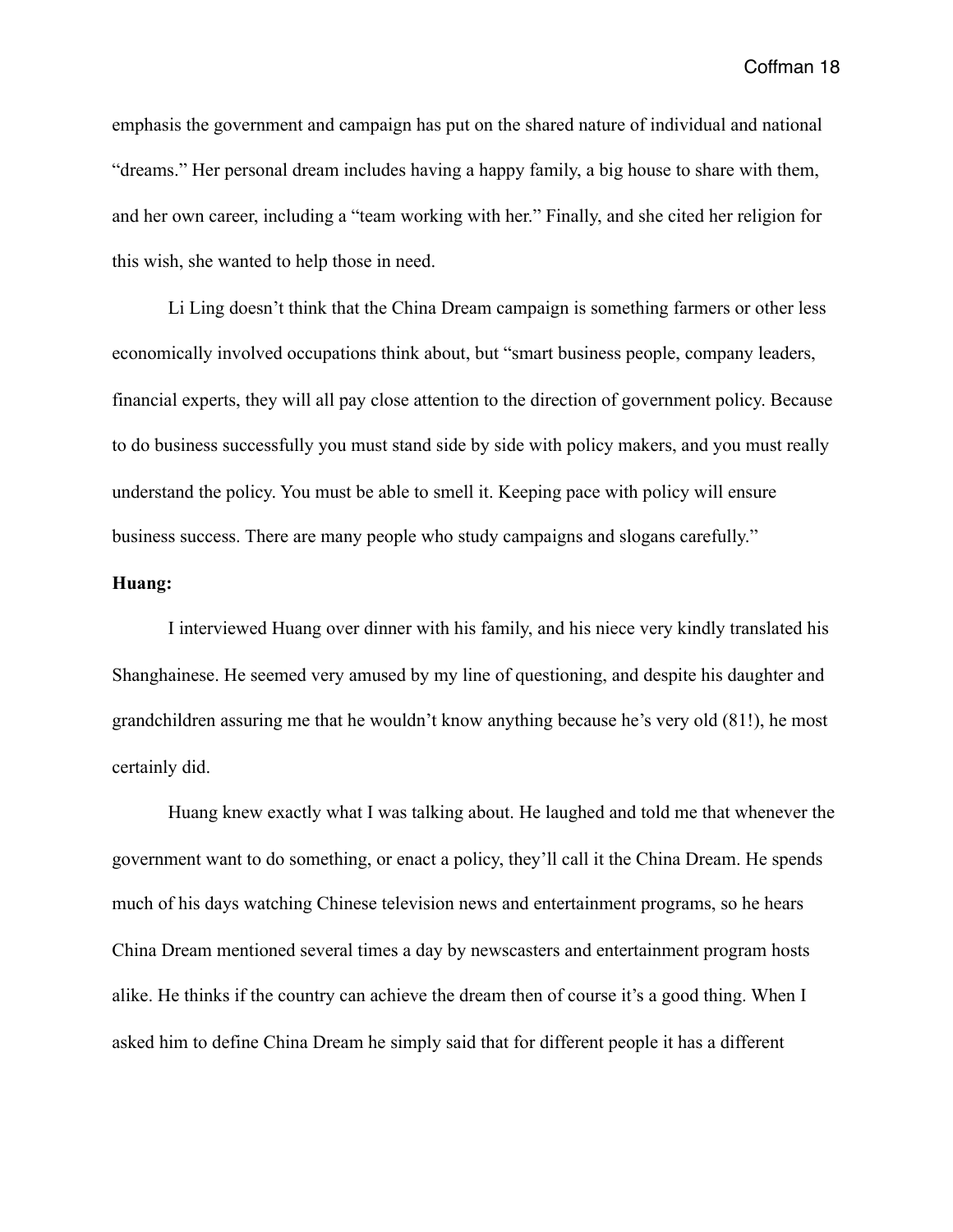emphasis the government and campaign has put on the shared nature of individual and national "dreams." Her personal dream includes having a happy family, a big house to share with them, and her own career, including a "team working with her." Finally, and she cited her religion for this wish, she wanted to help those in need.

 Li Ling doesn't think that the China Dream campaign is something farmers or other less economically involved occupations think about, but "smart business people, company leaders, financial experts, they will all pay close attention to the direction of government policy. Because to do business successfully you must stand side by side with policy makers, and you must really understand the policy. You must be able to smell it. Keeping pace with policy will ensure business success. There are many people who study campaigns and slogans carefully."

## **Huang:**

 I interviewed Huang over dinner with his family, and his niece very kindly translated his Shanghainese. He seemed very amused by my line of questioning, and despite his daughter and grandchildren assuring me that he wouldn't know anything because he's very old (81!), he most certainly did.

 Huang knew exactly what I was talking about. He laughed and told me that whenever the government want to do something, or enact a policy, they'll call it the China Dream. He spends much of his days watching Chinese television news and entertainment programs, so he hears China Dream mentioned several times a day by newscasters and entertainment program hosts alike. He thinks if the country can achieve the dream then of course it's a good thing. When I asked him to define China Dream he simply said that for different people it has a different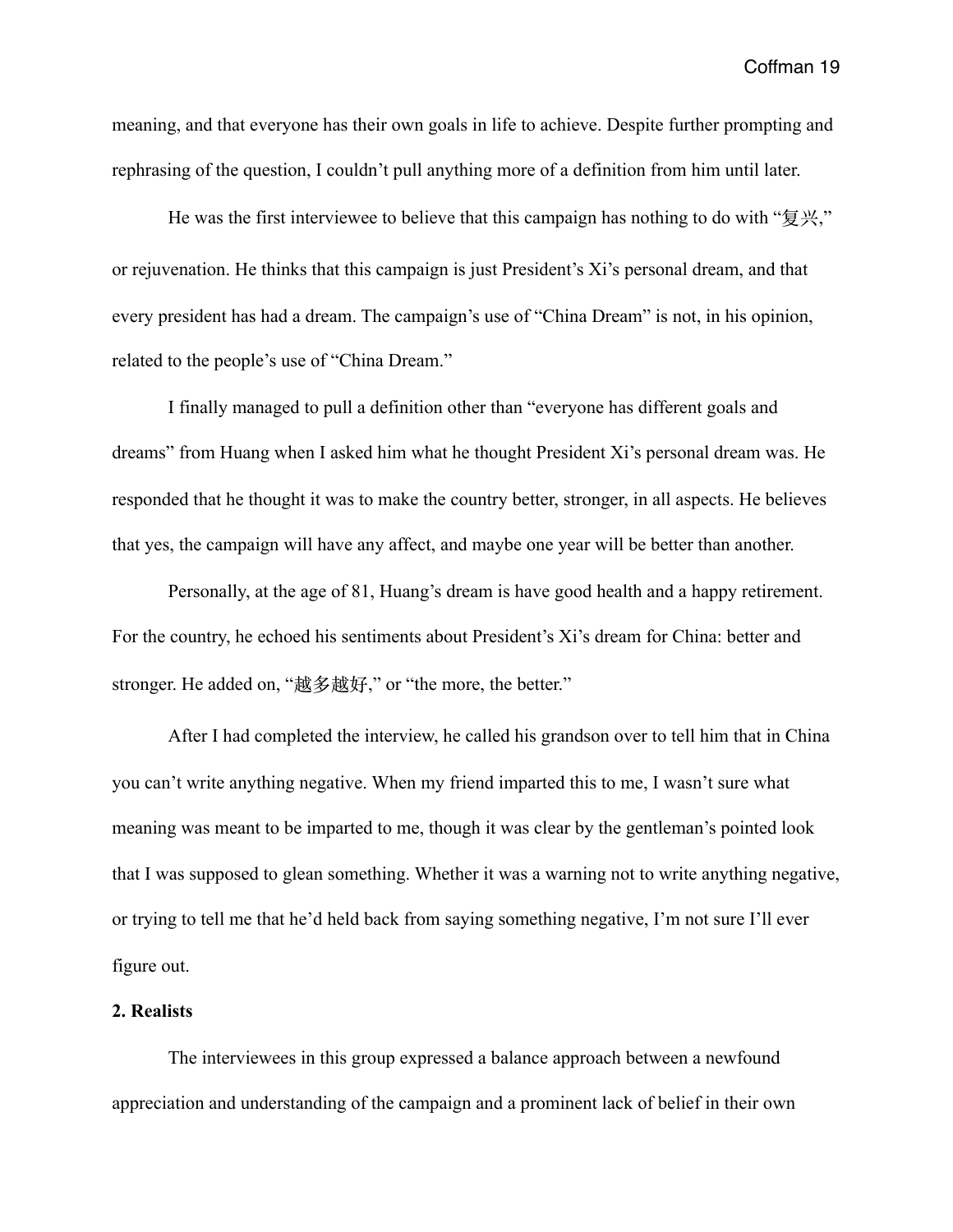meaning, and that everyone has their own goals in life to achieve. Despite further prompting and rephrasing of the question, I couldn't pull anything more of a definition from him until later.

He was the first interviewee to believe that this campaign has nothing to do with "复兴," or rejuvenation. He thinks that this campaign is just President's Xi's personal dream, and that every president has had a dream. The campaign's use of "China Dream" is not, in his opinion, related to the people's use of "China Dream."

 I finally managed to pull a definition other than "everyone has different goals and dreams" from Huang when I asked him what he thought President Xi's personal dream was. He responded that he thought it was to make the country better, stronger, in all aspects. He believes that yes, the campaign will have any affect, and maybe one year will be better than another.

 Personally, at the age of 81, Huang's dream is have good health and a happy retirement. For the country, he echoed his sentiments about President's Xi's dream for China: better and stronger. He added on, "越多越好," or "the more, the better."

 After I had completed the interview, he called his grandson over to tell him that in China you can't write anything negative. When my friend imparted this to me, I wasn't sure what meaning was meant to be imparted to me, though it was clear by the gentleman's pointed look that I was supposed to glean something. Whether it was a warning not to write anything negative, or trying to tell me that he'd held back from saying something negative, I'm not sure I'll ever figure out.

## **2. Realists**

 The interviewees in this group expressed a balance approach between a newfound appreciation and understanding of the campaign and a prominent lack of belief in their own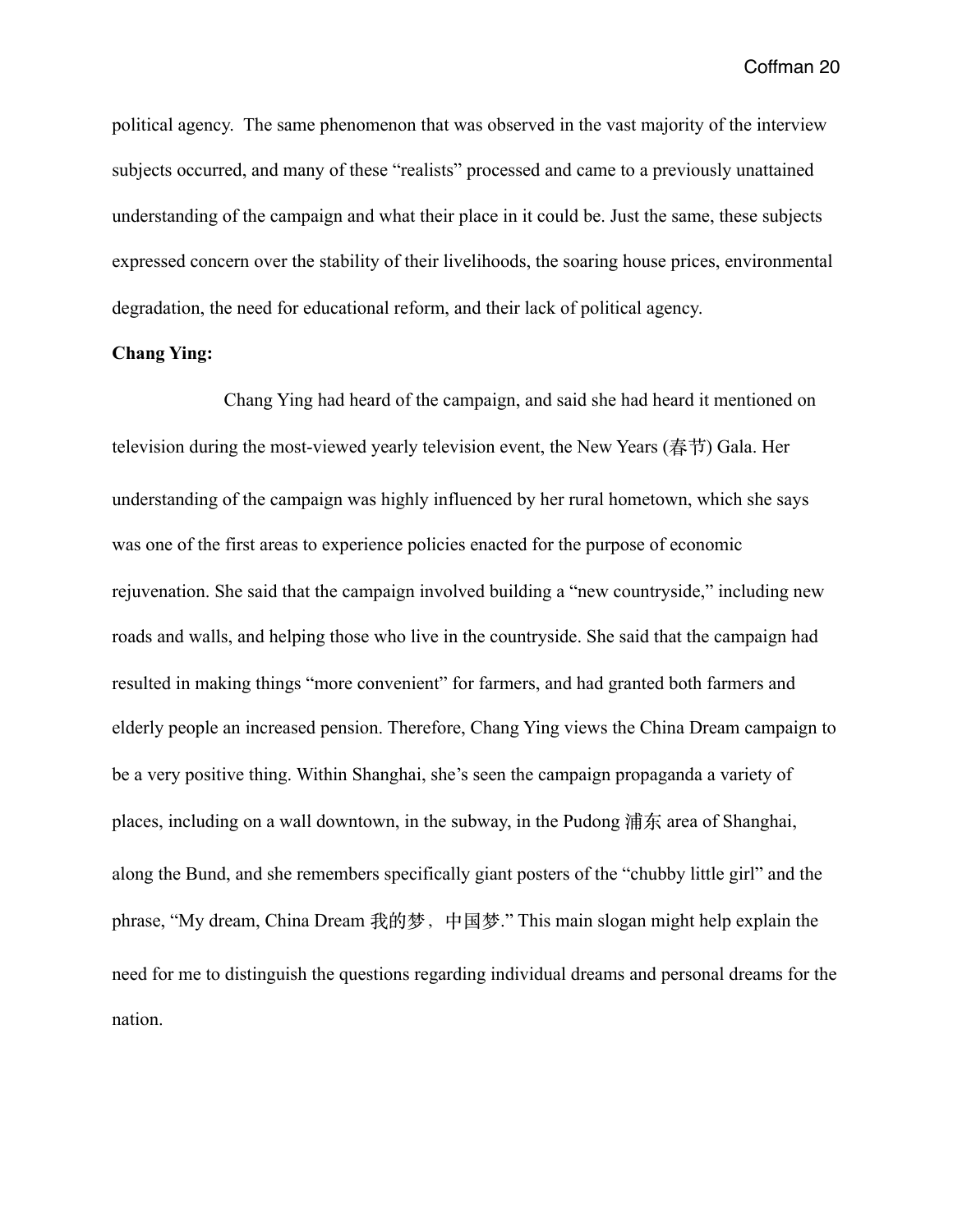political agency. The same phenomenon that was observed in the vast majority of the interview subjects occurred, and many of these "realists" processed and came to a previously unattained understanding of the campaign and what their place in it could be. Just the same, these subjects expressed concern over the stability of their livelihoods, the soaring house prices, environmental degradation, the need for educational reform, and their lack of political agency.

## **Chang Ying:**

 Chang Ying had heard of the campaign, and said she had heard it mentioned on television during the most-viewed yearly television event, the New Years (春节) Gala. Her understanding of the campaign was highly influenced by her rural hometown, which she says was one of the first areas to experience policies enacted for the purpose of economic rejuvenation. She said that the campaign involved building a "new countryside," including new roads and walls, and helping those who live in the countryside. She said that the campaign had resulted in making things "more convenient" for farmers, and had granted both farmers and elderly people an increased pension. Therefore, Chang Ying views the China Dream campaign to be a very positive thing. Within Shanghai, she's seen the campaign propaganda a variety of places, including on a wall downtown, in the subway, in the Pudong 浦东 area of Shanghai, along the Bund, and she remembers specifically giant posters of the "chubby little girl" and the phrase, "My dream, China Dream 我的梦, 中国梦." This main slogan might help explain the need for me to distinguish the questions regarding individual dreams and personal dreams for the nation.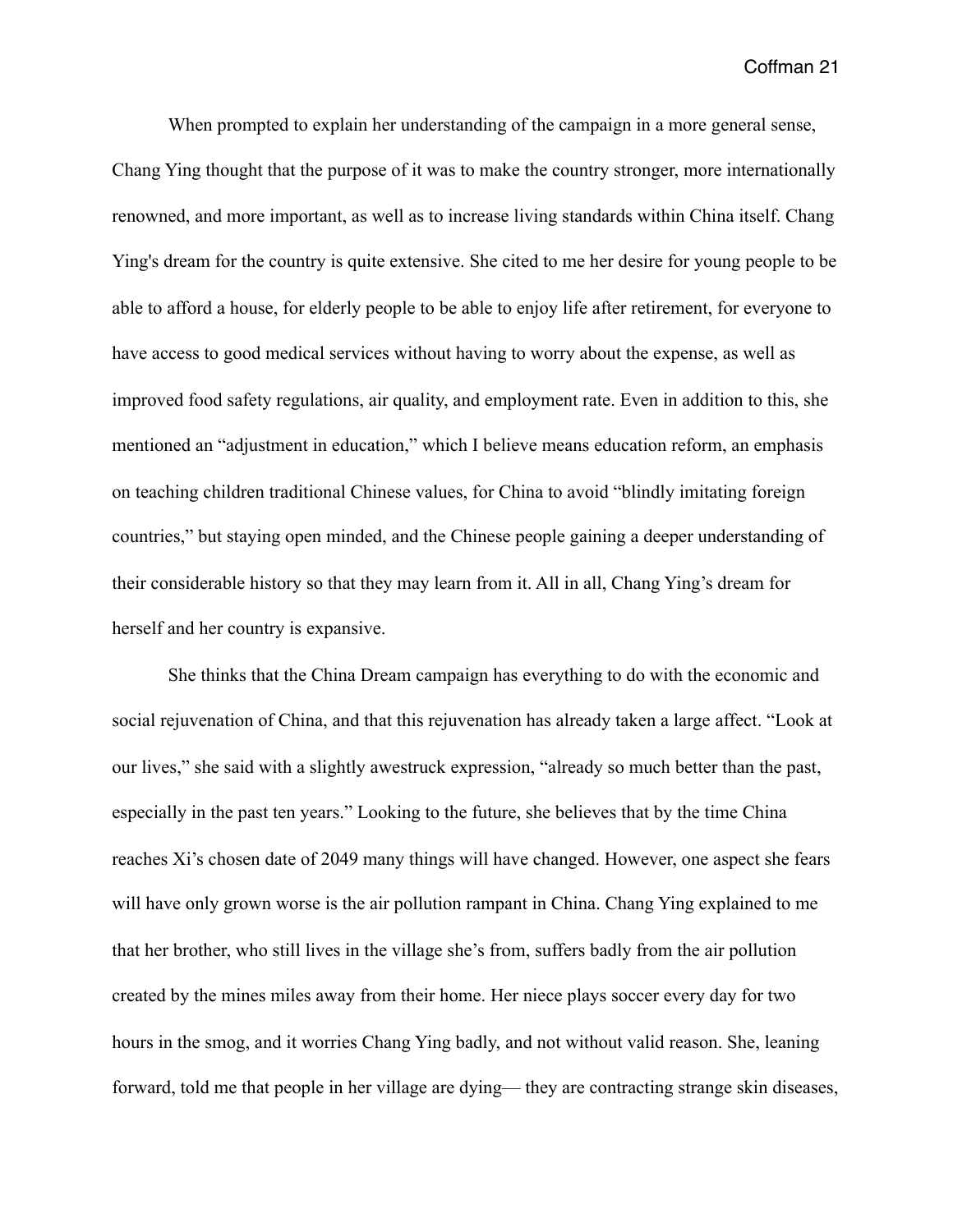When prompted to explain her understanding of the campaign in a more general sense, Chang Ying thought that the purpose of it was to make the country stronger, more internationally renowned, and more important, as well as to increase living standards within China itself. Chang Ying's dream for the country is quite extensive. She cited to me her desire for young people to be able to afford a house, for elderly people to be able to enjoy life after retirement, for everyone to have access to good medical services without having to worry about the expense, as well as improved food safety regulations, air quality, and employment rate. Even in addition to this, she mentioned an "adjustment in education," which I believe means education reform, an emphasis on teaching children traditional Chinese values, for China to avoid "blindly imitating foreign countries," but staying open minded, and the Chinese people gaining a deeper understanding of their considerable history so that they may learn from it. All in all, Chang Ying's dream for herself and her country is expansive.

 She thinks that the China Dream campaign has everything to do with the economic and social rejuvenation of China, and that this rejuvenation has already taken a large affect. "Look at our lives," she said with a slightly awestruck expression, "already so much better than the past, especially in the past ten years." Looking to the future, she believes that by the time China reaches Xi's chosen date of 2049 many things will have changed. However, one aspect she fears will have only grown worse is the air pollution rampant in China. Chang Ying explained to me that her brother, who still lives in the village she's from, suffers badly from the air pollution created by the mines miles away from their home. Her niece plays soccer every day for two hours in the smog, and it worries Chang Ying badly, and not without valid reason. She, leaning forward, told me that people in her village are dying— they are contracting strange skin diseases,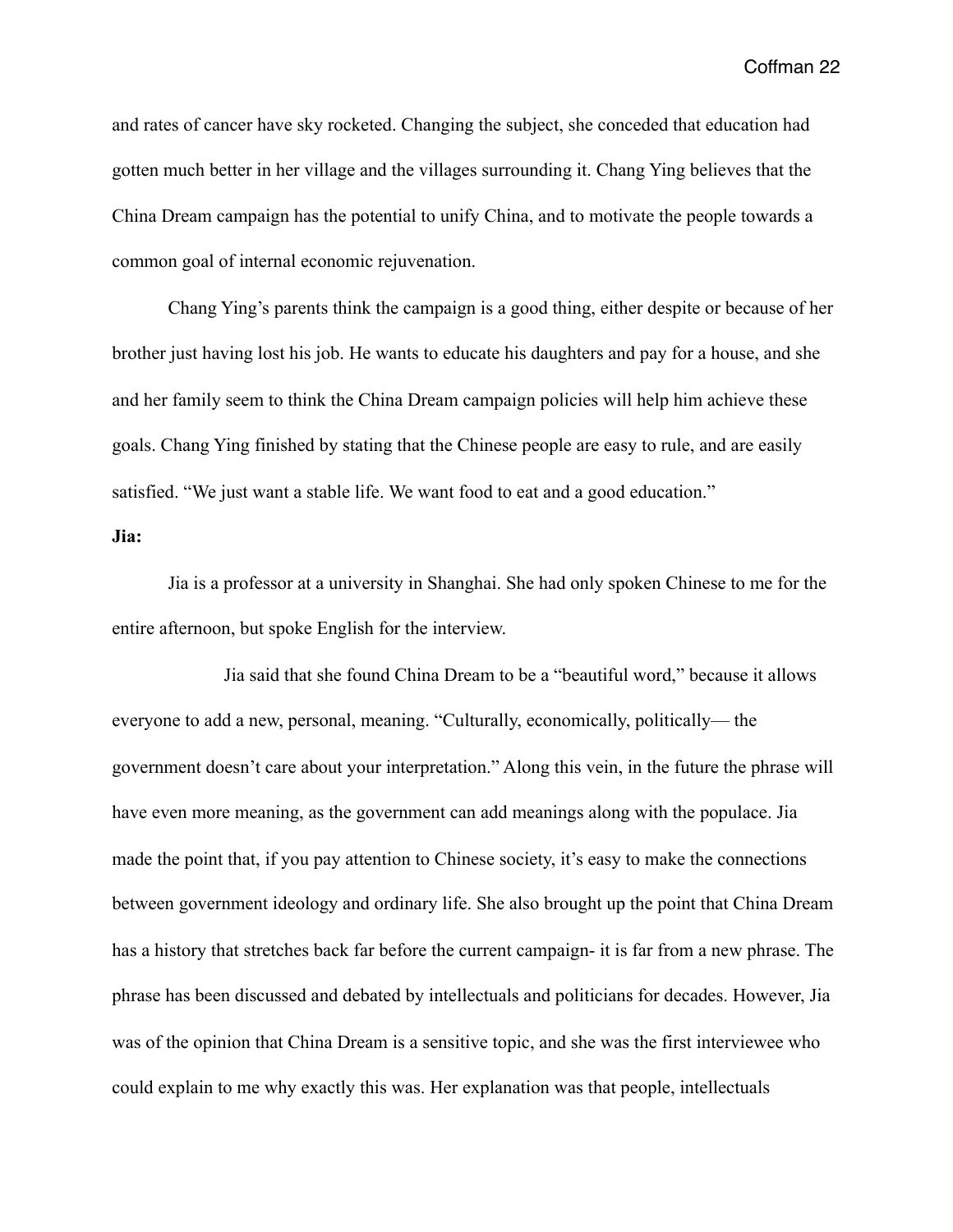and rates of cancer have sky rocketed. Changing the subject, she conceded that education had gotten much better in her village and the villages surrounding it. Chang Ying believes that the China Dream campaign has the potential to unify China, and to motivate the people towards a common goal of internal economic rejuvenation.

 Chang Ying's parents think the campaign is a good thing, either despite or because of her brother just having lost his job. He wants to educate his daughters and pay for a house, and she and her family seem to think the China Dream campaign policies will help him achieve these goals. Chang Ying finished by stating that the Chinese people are easy to rule, and are easily satisfied. "We just want a stable life. We want food to eat and a good education."

#### **Jia:**

 Jia is a professor at a university in Shanghai. She had only spoken Chinese to me for the entire afternoon, but spoke English for the interview.

 Jia said that she found China Dream to be a "beautiful word," because it allows everyone to add a new, personal, meaning. "Culturally, economically, politically— the government doesn't care about your interpretation." Along this vein, in the future the phrase will have even more meaning, as the government can add meanings along with the populace. Jia made the point that, if you pay attention to Chinese society, it's easy to make the connections between government ideology and ordinary life. She also brought up the point that China Dream has a history that stretches back far before the current campaign- it is far from a new phrase. The phrase has been discussed and debated by intellectuals and politicians for decades. However, Jia was of the opinion that China Dream is a sensitive topic, and she was the first interviewee who could explain to me why exactly this was. Her explanation was that people, intellectuals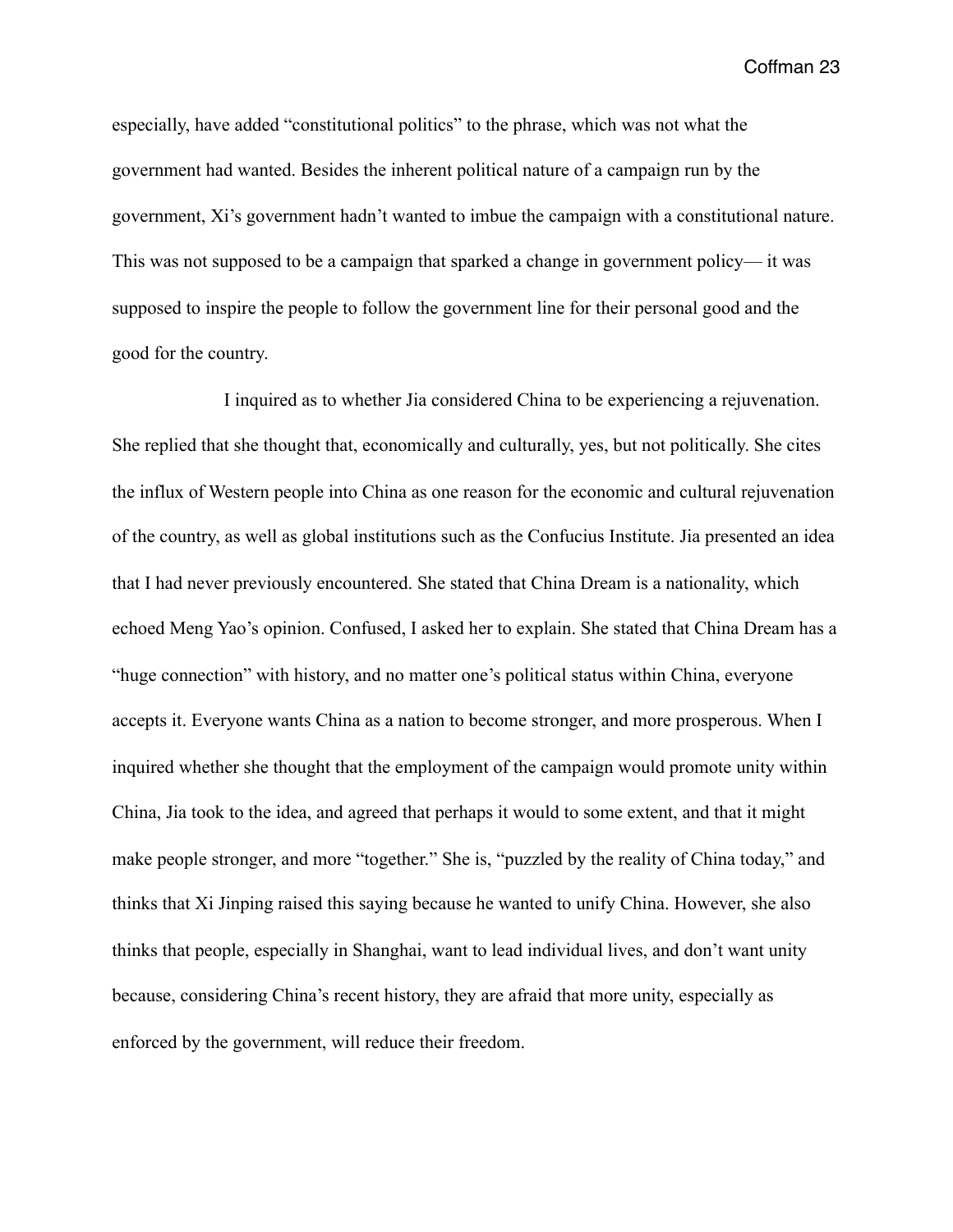especially, have added "constitutional politics" to the phrase, which was not what the government had wanted. Besides the inherent political nature of a campaign run by the government, Xi's government hadn't wanted to imbue the campaign with a constitutional nature. This was not supposed to be a campaign that sparked a change in government policy— it was supposed to inspire the people to follow the government line for their personal good and the good for the country.

 I inquired as to whether Jia considered China to be experiencing a rejuvenation. She replied that she thought that, economically and culturally, yes, but not politically. She cites the influx of Western people into China as one reason for the economic and cultural rejuvenation of the country, as well as global institutions such as the Confucius Institute. Jia presented an idea that I had never previously encountered. She stated that China Dream is a nationality, which echoed Meng Yao's opinion. Confused, I asked her to explain. She stated that China Dream has a "huge connection" with history, and no matter one's political status within China, everyone accepts it. Everyone wants China as a nation to become stronger, and more prosperous. When I inquired whether she thought that the employment of the campaign would promote unity within China, Jia took to the idea, and agreed that perhaps it would to some extent, and that it might make people stronger, and more "together." She is, "puzzled by the reality of China today," and thinks that Xi Jinping raised this saying because he wanted to unify China. However, she also thinks that people, especially in Shanghai, want to lead individual lives, and don't want unity because, considering China's recent history, they are afraid that more unity, especially as enforced by the government, will reduce their freedom.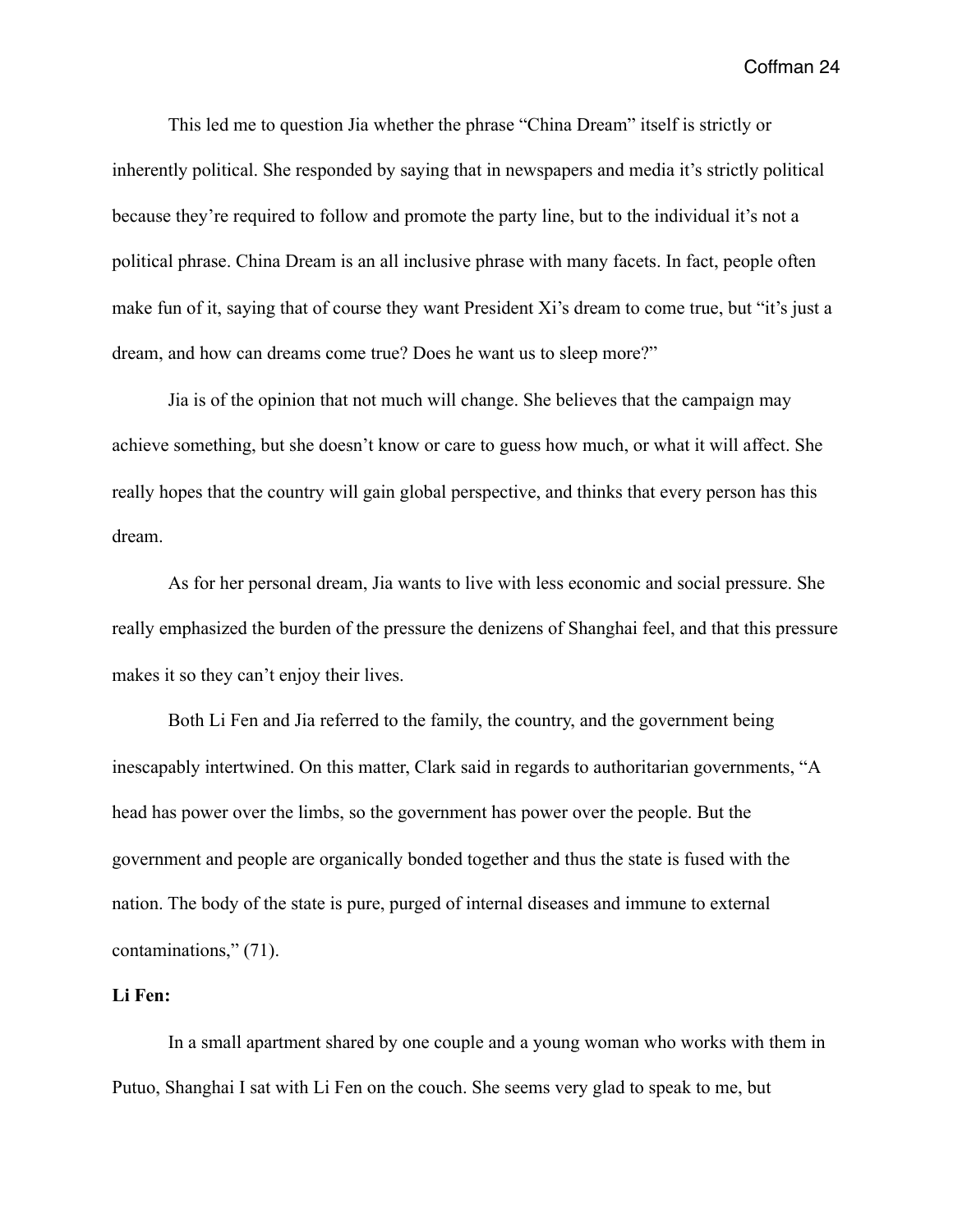This led me to question Jia whether the phrase "China Dream" itself is strictly or inherently political. She responded by saying that in newspapers and media it's strictly political because they're required to follow and promote the party line, but to the individual it's not a political phrase. China Dream is an all inclusive phrase with many facets. In fact, people often make fun of it, saying that of course they want President Xi's dream to come true, but "it's just a dream, and how can dreams come true? Does he want us to sleep more?"

 Jia is of the opinion that not much will change. She believes that the campaign may achieve something, but she doesn't know or care to guess how much, or what it will affect. She really hopes that the country will gain global perspective, and thinks that every person has this dream.

 As for her personal dream, Jia wants to live with less economic and social pressure. She really emphasized the burden of the pressure the denizens of Shanghai feel, and that this pressure makes it so they can't enjoy their lives.

 Both Li Fen and Jia referred to the family, the country, and the government being inescapably intertwined. On this matter, Clark said in regards to authoritarian governments, "A head has power over the limbs, so the government has power over the people. But the government and people are organically bonded together and thus the state is fused with the nation. The body of the state is pure, purged of internal diseases and immune to external contaminations," (71).

## **Li Fen:**

 In a small apartment shared by one couple and a young woman who works with them in Putuo, Shanghai I sat with Li Fen on the couch. She seems very glad to speak to me, but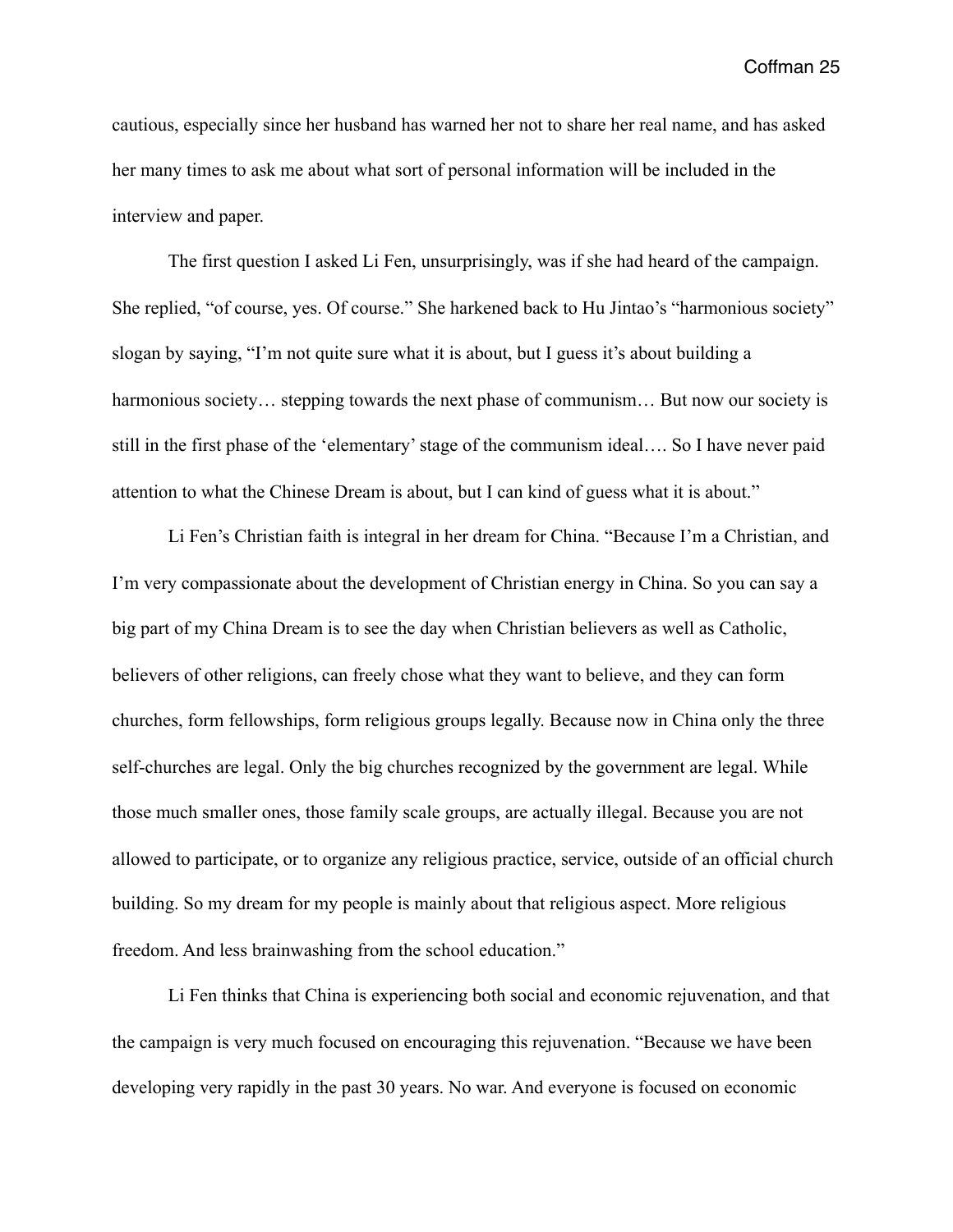cautious, especially since her husband has warned her not to share her real name, and has asked her many times to ask me about what sort of personal information will be included in the interview and paper.

 The first question I asked Li Fen, unsurprisingly, was if she had heard of the campaign. She replied, "of course, yes. Of course." She harkened back to Hu Jintao's "harmonious society" slogan by saying, "I'm not quite sure what it is about, but I guess it's about building a harmonious society… stepping towards the next phase of communism… But now our society is still in the first phase of the 'elementary' stage of the communism ideal…. So I have never paid attention to what the Chinese Dream is about, but I can kind of guess what it is about."

 Li Fen's Christian faith is integral in her dream for China. "Because I'm a Christian, and I'm very compassionate about the development of Christian energy in China. So you can say a big part of my China Dream is to see the day when Christian believers as well as Catholic, believers of other religions, can freely chose what they want to believe, and they can form churches, form fellowships, form religious groups legally. Because now in China only the three self-churches are legal. Only the big churches recognized by the government are legal. While those much smaller ones, those family scale groups, are actually illegal. Because you are not allowed to participate, or to organize any religious practice, service, outside of an official church building. So my dream for my people is mainly about that religious aspect. More religious freedom. And less brainwashing from the school education."

 Li Fen thinks that China is experiencing both social and economic rejuvenation, and that the campaign is very much focused on encouraging this rejuvenation. "Because we have been developing very rapidly in the past 30 years. No war. And everyone is focused on economic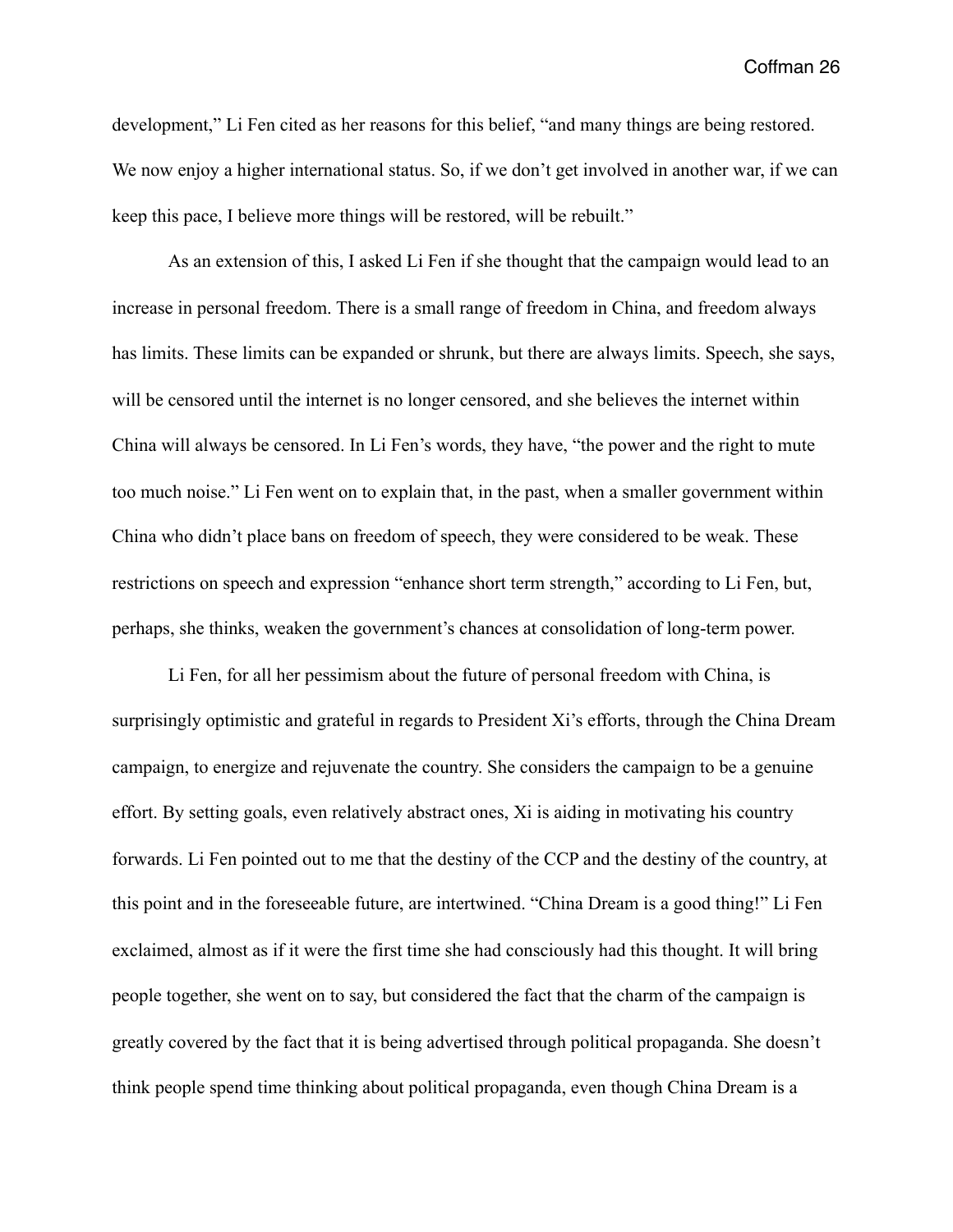development," Li Fen cited as her reasons for this belief, "and many things are being restored. We now enjoy a higher international status. So, if we don't get involved in another war, if we can keep this pace, I believe more things will be restored, will be rebuilt."

 As an extension of this, I asked Li Fen if she thought that the campaign would lead to an increase in personal freedom. There is a small range of freedom in China, and freedom always has limits. These limits can be expanded or shrunk, but there are always limits. Speech, she says, will be censored until the internet is no longer censored, and she believes the internet within China will always be censored. In Li Fen's words, they have, "the power and the right to mute too much noise." Li Fen went on to explain that, in the past, when a smaller government within China who didn't place bans on freedom of speech, they were considered to be weak. These restrictions on speech and expression "enhance short term strength," according to Li Fen, but, perhaps, she thinks, weaken the government's chances at consolidation of long-term power.

 Li Fen, for all her pessimism about the future of personal freedom with China, is surprisingly optimistic and grateful in regards to President Xi's efforts, through the China Dream campaign, to energize and rejuvenate the country. She considers the campaign to be a genuine effort. By setting goals, even relatively abstract ones, Xi is aiding in motivating his country forwards. Li Fen pointed out to me that the destiny of the CCP and the destiny of the country, at this point and in the foreseeable future, are intertwined. "China Dream is a good thing!" Li Fen exclaimed, almost as if it were the first time she had consciously had this thought. It will bring people together, she went on to say, but considered the fact that the charm of the campaign is greatly covered by the fact that it is being advertised through political propaganda. She doesn't think people spend time thinking about political propaganda, even though China Dream is a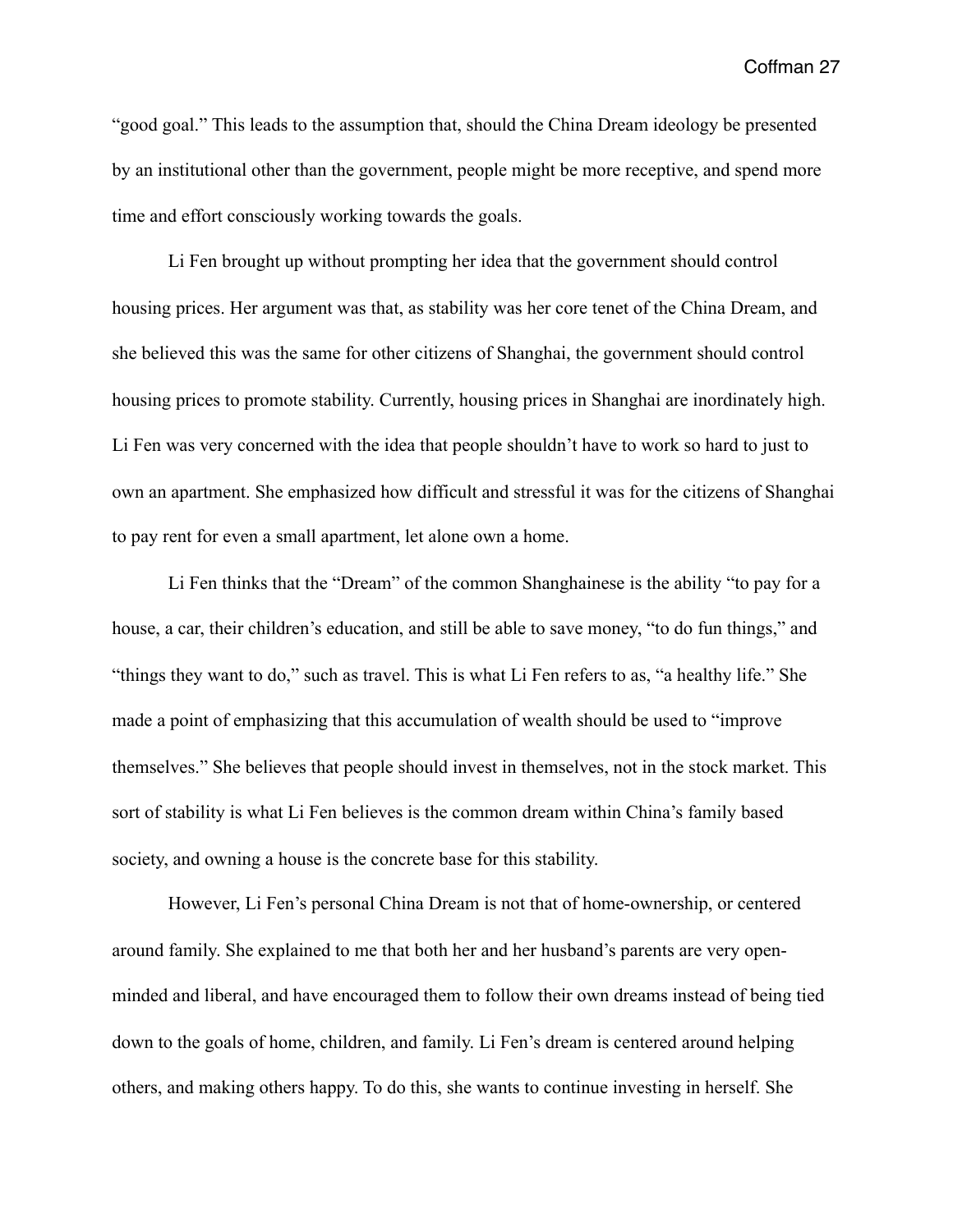"good goal." This leads to the assumption that, should the China Dream ideology be presented by an institutional other than the government, people might be more receptive, and spend more time and effort consciously working towards the goals.

 Li Fen brought up without prompting her idea that the government should control housing prices. Her argument was that, as stability was her core tenet of the China Dream, and she believed this was the same for other citizens of Shanghai, the government should control housing prices to promote stability. Currently, housing prices in Shanghai are inordinately high. Li Fen was very concerned with the idea that people shouldn't have to work so hard to just to own an apartment. She emphasized how difficult and stressful it was for the citizens of Shanghai to pay rent for even a small apartment, let alone own a home.

 Li Fen thinks that the "Dream" of the common Shanghainese is the ability "to pay for a house, a car, their children's education, and still be able to save money, "to do fun things," and "things they want to do," such as travel. This is what Li Fen refers to as, "a healthy life." She made a point of emphasizing that this accumulation of wealth should be used to "improve themselves." She believes that people should invest in themselves, not in the stock market. This sort of stability is what Li Fen believes is the common dream within China's family based society, and owning a house is the concrete base for this stability.

 However, Li Fen's personal China Dream is not that of home-ownership, or centered around family. She explained to me that both her and her husband's parents are very openminded and liberal, and have encouraged them to follow their own dreams instead of being tied down to the goals of home, children, and family. Li Fen's dream is centered around helping others, and making others happy. To do this, she wants to continue investing in herself. She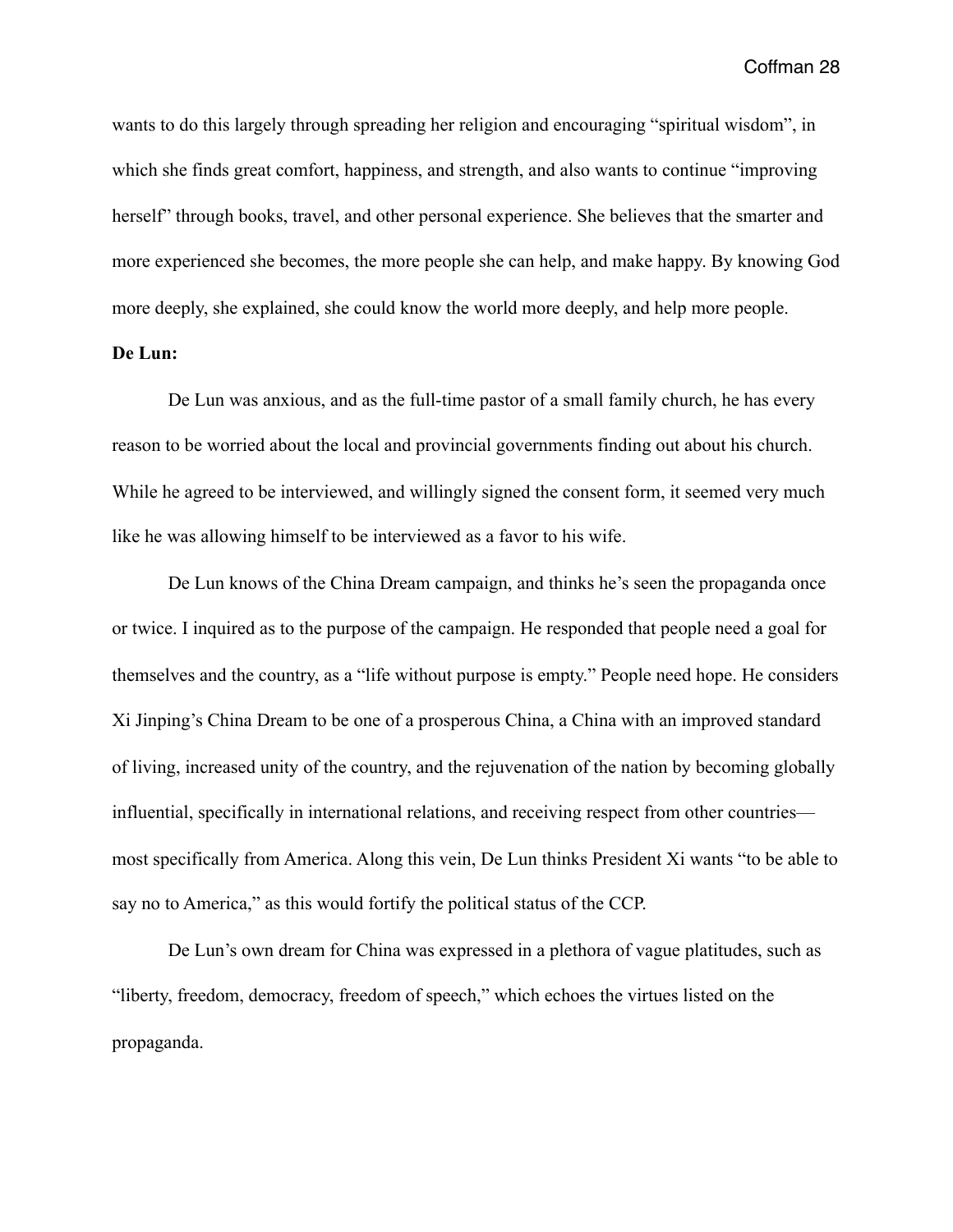wants to do this largely through spreading her religion and encouraging "spiritual wisdom", in which she finds great comfort, happiness, and strength, and also wants to continue "improving herself" through books, travel, and other personal experience. She believes that the smarter and more experienced she becomes, the more people she can help, and make happy. By knowing God more deeply, she explained, she could know the world more deeply, and help more people.

## **De Lun:**

 De Lun was anxious, and as the full-time pastor of a small family church, he has every reason to be worried about the local and provincial governments finding out about his church. While he agreed to be interviewed, and willingly signed the consent form, it seemed very much like he was allowing himself to be interviewed as a favor to his wife.

 De Lun knows of the China Dream campaign, and thinks he's seen the propaganda once or twice. I inquired as to the purpose of the campaign. He responded that people need a goal for themselves and the country, as a "life without purpose is empty." People need hope. He considers Xi Jinping's China Dream to be one of a prosperous China, a China with an improved standard of living, increased unity of the country, and the rejuvenation of the nation by becoming globally influential, specifically in international relations, and receiving respect from other countries most specifically from America. Along this vein, De Lun thinks President Xi wants "to be able to say no to America," as this would fortify the political status of the CCP.

 De Lun's own dream for China was expressed in a plethora of vague platitudes, such as "liberty, freedom, democracy, freedom of speech," which echoes the virtues listed on the propaganda.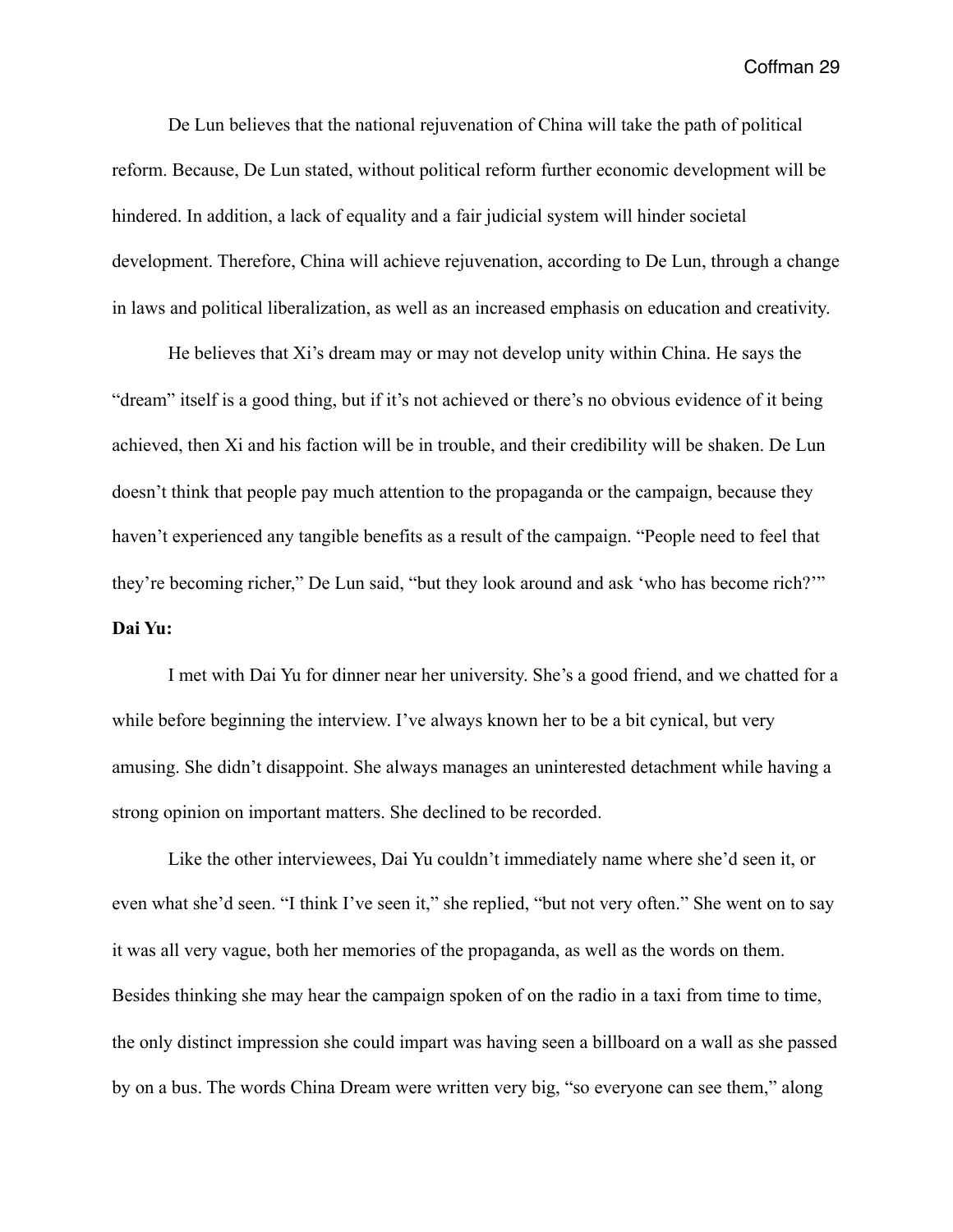De Lun believes that the national rejuvenation of China will take the path of political reform. Because, De Lun stated, without political reform further economic development will be hindered. In addition, a lack of equality and a fair judicial system will hinder societal development. Therefore, China will achieve rejuvenation, according to De Lun, through a change in laws and political liberalization, as well as an increased emphasis on education and creativity.

 He believes that Xi's dream may or may not develop unity within China. He says the "dream" itself is a good thing, but if it's not achieved or there's no obvious evidence of it being achieved, then Xi and his faction will be in trouble, and their credibility will be shaken. De Lun doesn't think that people pay much attention to the propaganda or the campaign, because they haven't experienced any tangible benefits as a result of the campaign. "People need to feel that they're becoming richer," De Lun said, "but they look around and ask 'who has become rich?'" **Dai Yu:** 

 I met with Dai Yu for dinner near her university. She's a good friend, and we chatted for a while before beginning the interview. I've always known her to be a bit cynical, but very amusing. She didn't disappoint. She always manages an uninterested detachment while having a strong opinion on important matters. She declined to be recorded.

 Like the other interviewees, Dai Yu couldn't immediately name where she'd seen it, or even what she'd seen. "I think I've seen it," she replied, "but not very often." She went on to say it was all very vague, both her memories of the propaganda, as well as the words on them. Besides thinking she may hear the campaign spoken of on the radio in a taxi from time to time, the only distinct impression she could impart was having seen a billboard on a wall as she passed by on a bus. The words China Dream were written very big, "so everyone can see them," along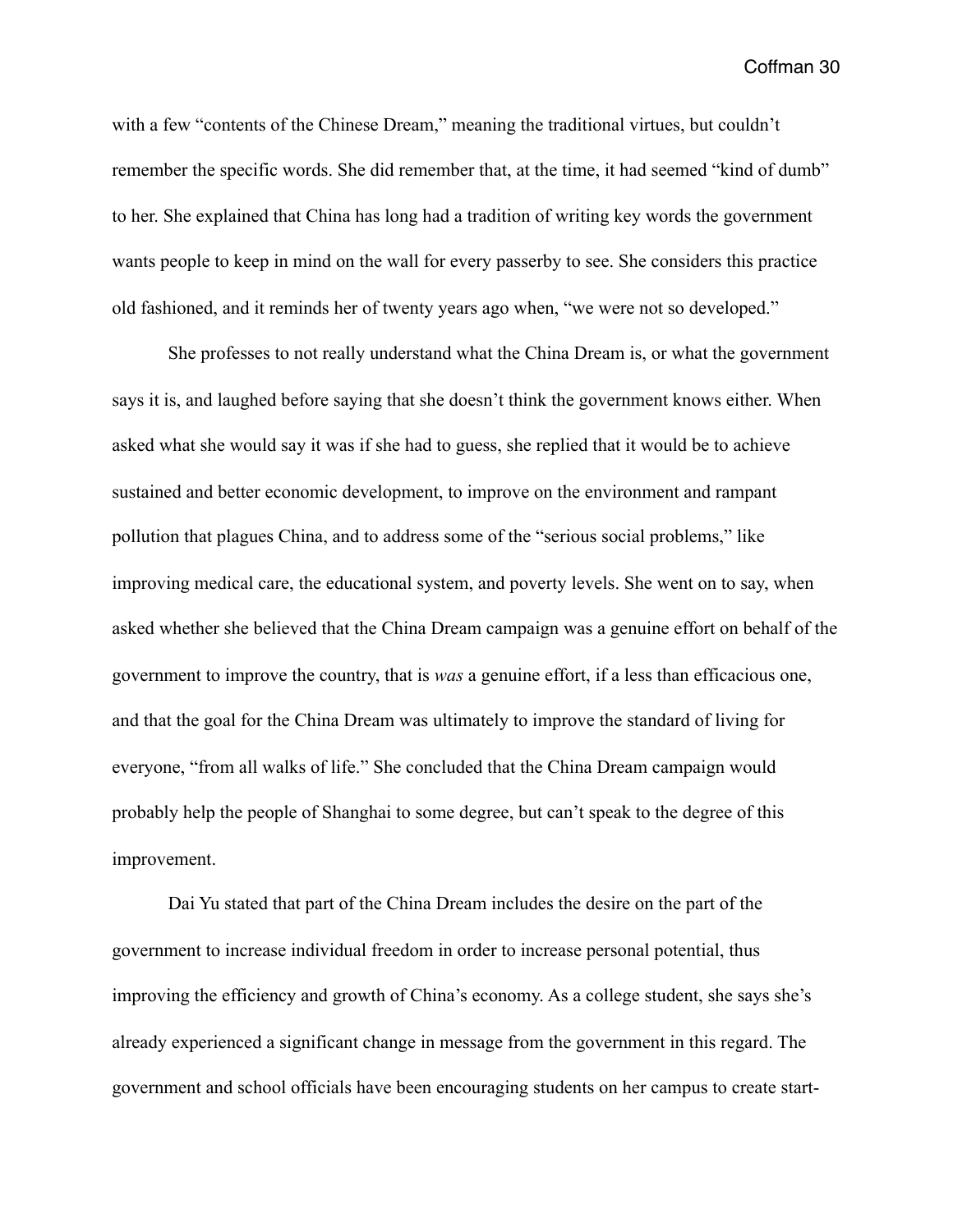with a few "contents of the Chinese Dream," meaning the traditional virtues, but couldn't remember the specific words. She did remember that, at the time, it had seemed "kind of dumb" to her. She explained that China has long had a tradition of writing key words the government wants people to keep in mind on the wall for every passerby to see. She considers this practice old fashioned, and it reminds her of twenty years ago when, "we were not so developed."

 She professes to not really understand what the China Dream is, or what the government says it is, and laughed before saying that she doesn't think the government knows either. When asked what she would say it was if she had to guess, she replied that it would be to achieve sustained and better economic development, to improve on the environment and rampant pollution that plagues China, and to address some of the "serious social problems," like improving medical care, the educational system, and poverty levels. She went on to say, when asked whether she believed that the China Dream campaign was a genuine effort on behalf of the government to improve the country, that is *was* a genuine effort, if a less than efficacious one, and that the goal for the China Dream was ultimately to improve the standard of living for everyone, "from all walks of life." She concluded that the China Dream campaign would probably help the people of Shanghai to some degree, but can't speak to the degree of this improvement.

 Dai Yu stated that part of the China Dream includes the desire on the part of the government to increase individual freedom in order to increase personal potential, thus improving the efficiency and growth of China's economy. As a college student, she says she's already experienced a significant change in message from the government in this regard. The government and school officials have been encouraging students on her campus to create start-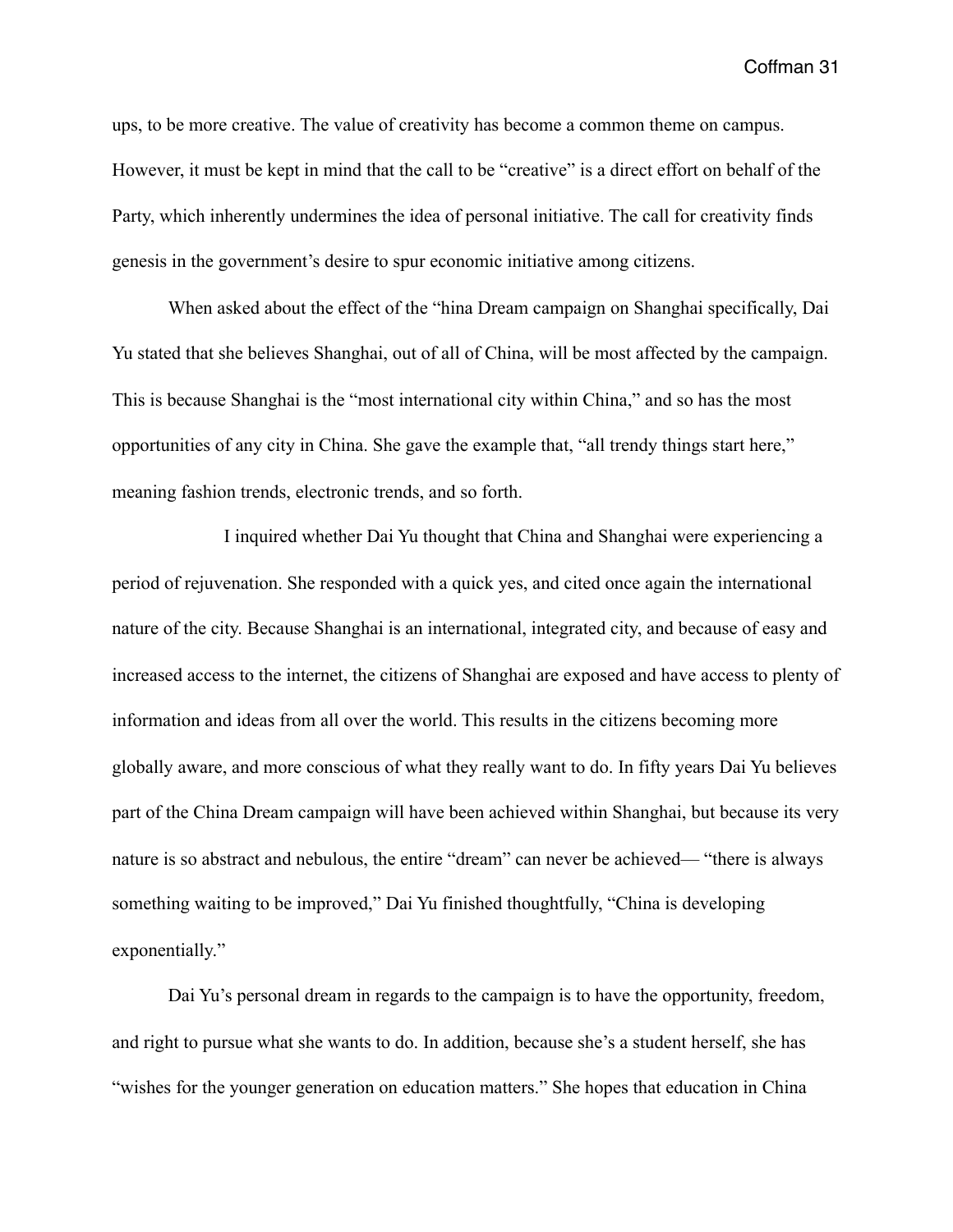ups, to be more creative. The value of creativity has become a common theme on campus. However, it must be kept in mind that the call to be "creative" is a direct effort on behalf of the Party, which inherently undermines the idea of personal initiative. The call for creativity finds genesis in the government's desire to spur economic initiative among citizens.

 When asked about the effect of the "hina Dream campaign on Shanghai specifically, Dai Yu stated that she believes Shanghai, out of all of China, will be most affected by the campaign. This is because Shanghai is the "most international city within China," and so has the most opportunities of any city in China. She gave the example that, "all trendy things start here," meaning fashion trends, electronic trends, and so forth.

 I inquired whether Dai Yu thought that China and Shanghai were experiencing a period of rejuvenation. She responded with a quick yes, and cited once again the international nature of the city. Because Shanghai is an international, integrated city, and because of easy and increased access to the internet, the citizens of Shanghai are exposed and have access to plenty of information and ideas from all over the world. This results in the citizens becoming more globally aware, and more conscious of what they really want to do. In fifty years Dai Yu believes part of the China Dream campaign will have been achieved within Shanghai, but because its very nature is so abstract and nebulous, the entire "dream" can never be achieved— "there is always something waiting to be improved," Dai Yu finished thoughtfully, "China is developing exponentially."

 Dai Yu's personal dream in regards to the campaign is to have the opportunity, freedom, and right to pursue what she wants to do. In addition, because she's a student herself, she has "wishes for the younger generation on education matters." She hopes that education in China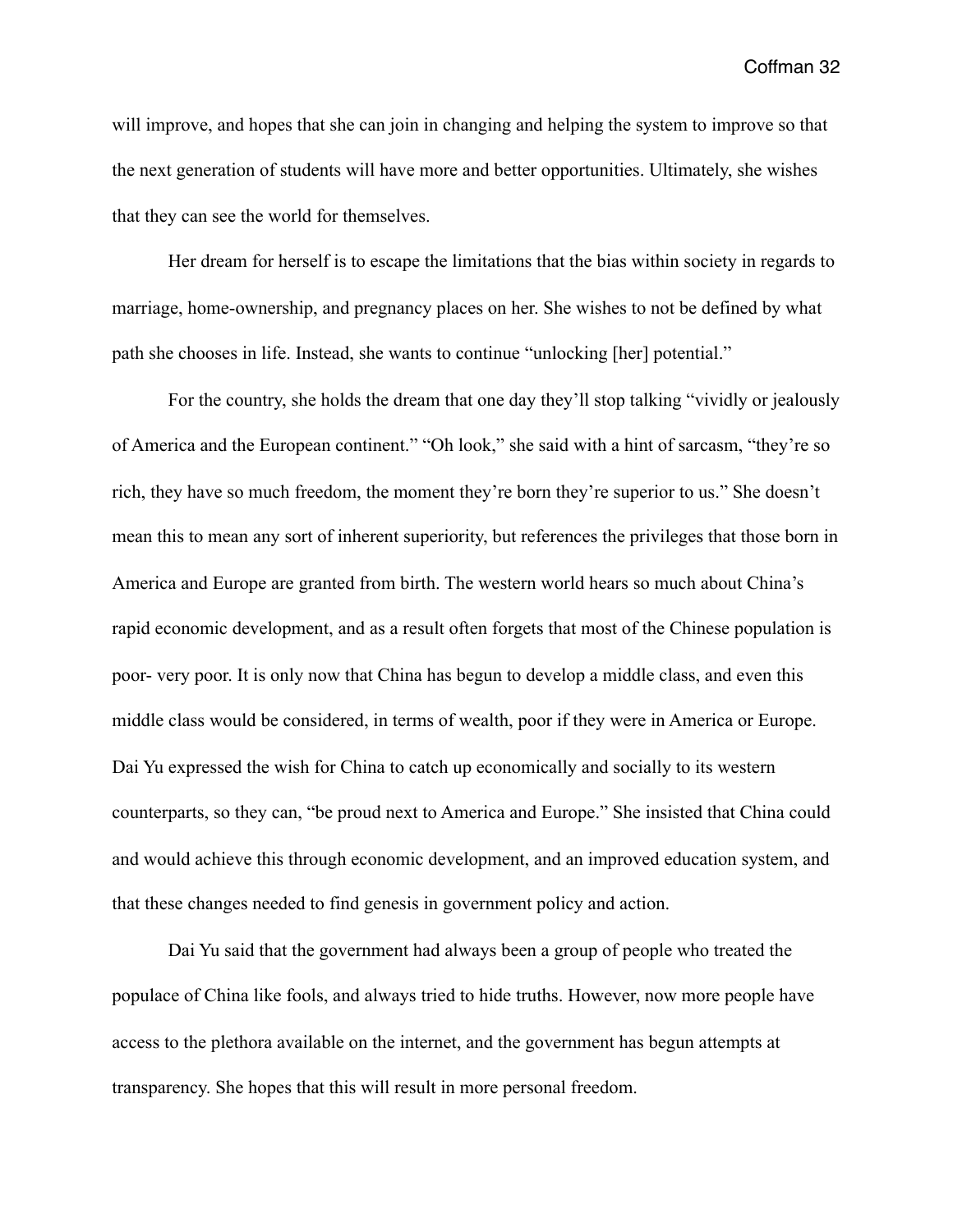will improve, and hopes that she can join in changing and helping the system to improve so that the next generation of students will have more and better opportunities. Ultimately, she wishes that they can see the world for themselves.

 Her dream for herself is to escape the limitations that the bias within society in regards to marriage, home-ownership, and pregnancy places on her. She wishes to not be defined by what path she chooses in life. Instead, she wants to continue "unlocking [her] potential."

 For the country, she holds the dream that one day they'll stop talking "vividly or jealously of America and the European continent." "Oh look," she said with a hint of sarcasm, "they're so rich, they have so much freedom, the moment they're born they're superior to us." She doesn't mean this to mean any sort of inherent superiority, but references the privileges that those born in America and Europe are granted from birth. The western world hears so much about China's rapid economic development, and as a result often forgets that most of the Chinese population is poor- very poor. It is only now that China has begun to develop a middle class, and even this middle class would be considered, in terms of wealth, poor if they were in America or Europe. Dai Yu expressed the wish for China to catch up economically and socially to its western counterparts, so they can, "be proud next to America and Europe." She insisted that China could and would achieve this through economic development, and an improved education system, and that these changes needed to find genesis in government policy and action.

 Dai Yu said that the government had always been a group of people who treated the populace of China like fools, and always tried to hide truths. However, now more people have access to the plethora available on the internet, and the government has begun attempts at transparency. She hopes that this will result in more personal freedom.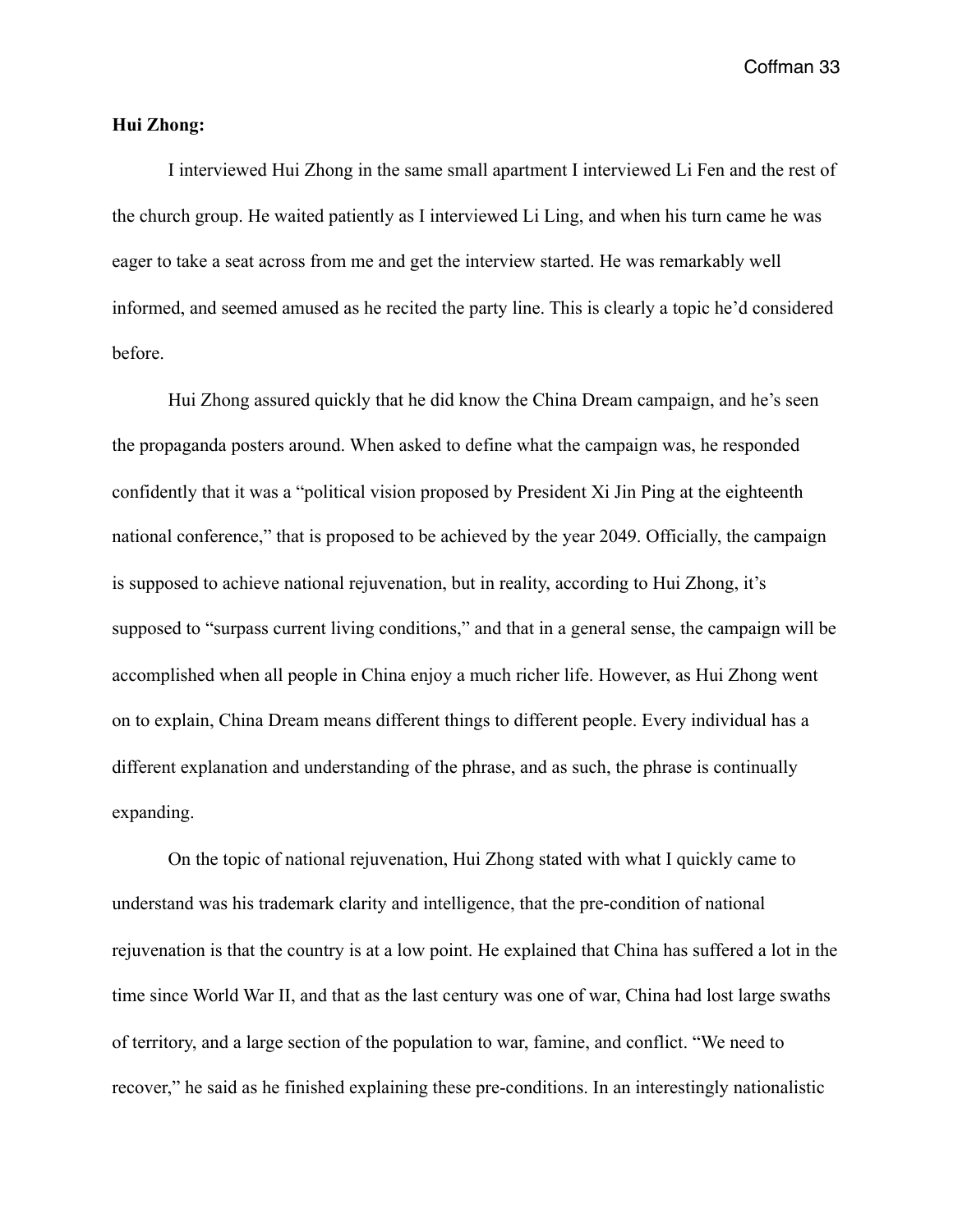## **Hui Zhong:**

 I interviewed Hui Zhong in the same small apartment I interviewed Li Fen and the rest of the church group. He waited patiently as I interviewed Li Ling, and when his turn came he was eager to take a seat across from me and get the interview started. He was remarkably well informed, and seemed amused as he recited the party line. This is clearly a topic he'd considered before.

 Hui Zhong assured quickly that he did know the China Dream campaign, and he's seen the propaganda posters around. When asked to define what the campaign was, he responded confidently that it was a "political vision proposed by President Xi Jin Ping at the eighteenth national conference," that is proposed to be achieved by the year 2049. Officially, the campaign is supposed to achieve national rejuvenation, but in reality, according to Hui Zhong, it's supposed to "surpass current living conditions," and that in a general sense, the campaign will be accomplished when all people in China enjoy a much richer life. However, as Hui Zhong went on to explain, China Dream means different things to different people. Every individual has a different explanation and understanding of the phrase, and as such, the phrase is continually expanding.

 On the topic of national rejuvenation, Hui Zhong stated with what I quickly came to understand was his trademark clarity and intelligence, that the pre-condition of national rejuvenation is that the country is at a low point. He explained that China has suffered a lot in the time since World War II, and that as the last century was one of war, China had lost large swaths of territory, and a large section of the population to war, famine, and conflict. "We need to recover," he said as he finished explaining these pre-conditions. In an interestingly nationalistic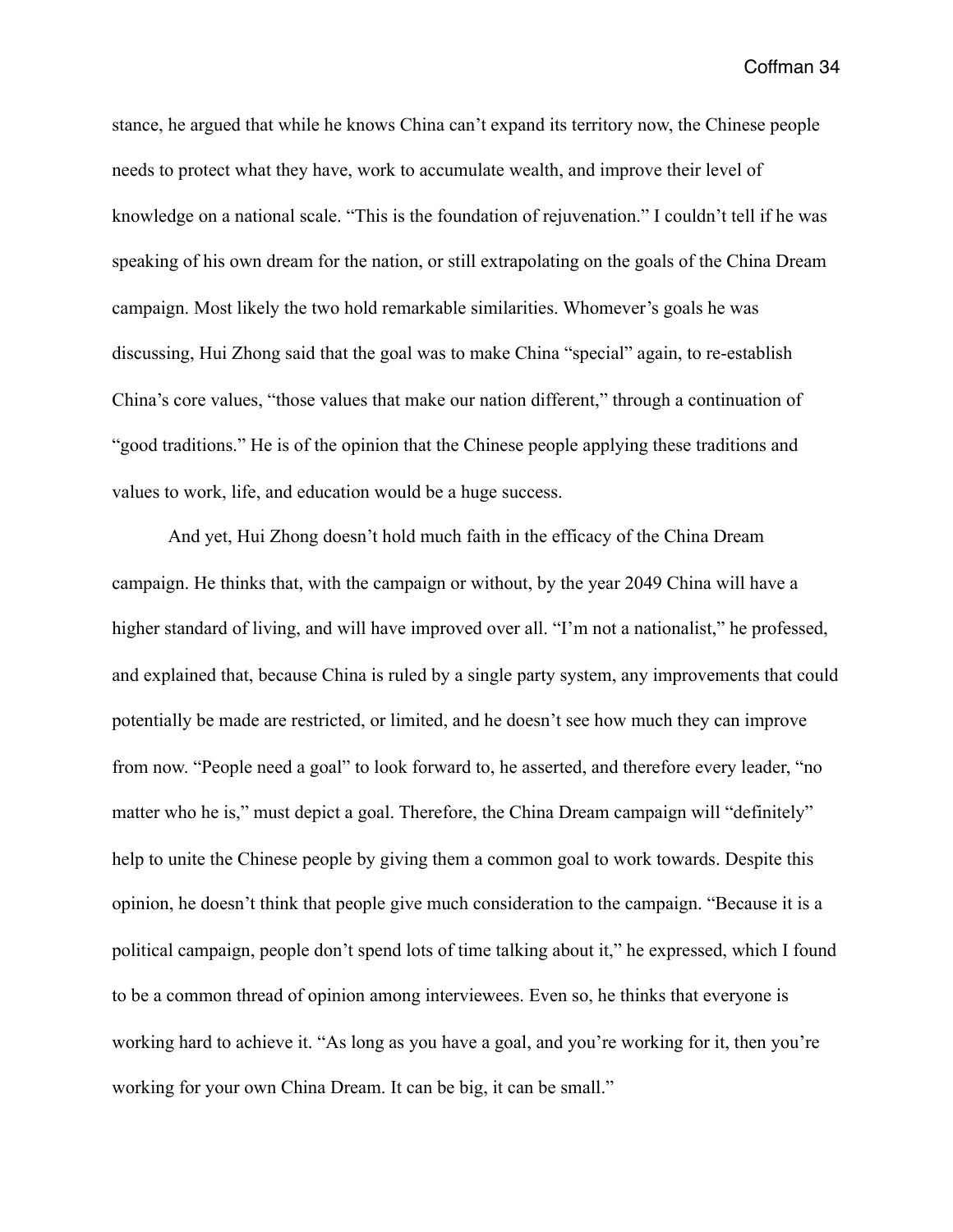stance, he argued that while he knows China can't expand its territory now, the Chinese people needs to protect what they have, work to accumulate wealth, and improve their level of knowledge on a national scale. "This is the foundation of rejuvenation." I couldn't tell if he was speaking of his own dream for the nation, or still extrapolating on the goals of the China Dream campaign. Most likely the two hold remarkable similarities. Whomever's goals he was discussing, Hui Zhong said that the goal was to make China "special" again, to re-establish China's core values, "those values that make our nation different," through a continuation of "good traditions." He is of the opinion that the Chinese people applying these traditions and values to work, life, and education would be a huge success.

 And yet, Hui Zhong doesn't hold much faith in the efficacy of the China Dream campaign. He thinks that, with the campaign or without, by the year 2049 China will have a higher standard of living, and will have improved over all. "I'm not a nationalist," he professed, and explained that, because China is ruled by a single party system, any improvements that could potentially be made are restricted, or limited, and he doesn't see how much they can improve from now. "People need a goal" to look forward to, he asserted, and therefore every leader, "no matter who he is," must depict a goal. Therefore, the China Dream campaign will "definitely" help to unite the Chinese people by giving them a common goal to work towards. Despite this opinion, he doesn't think that people give much consideration to the campaign. "Because it is a political campaign, people don't spend lots of time talking about it," he expressed, which I found to be a common thread of opinion among interviewees. Even so, he thinks that everyone is working hard to achieve it. "As long as you have a goal, and you're working for it, then you're working for your own China Dream. It can be big, it can be small."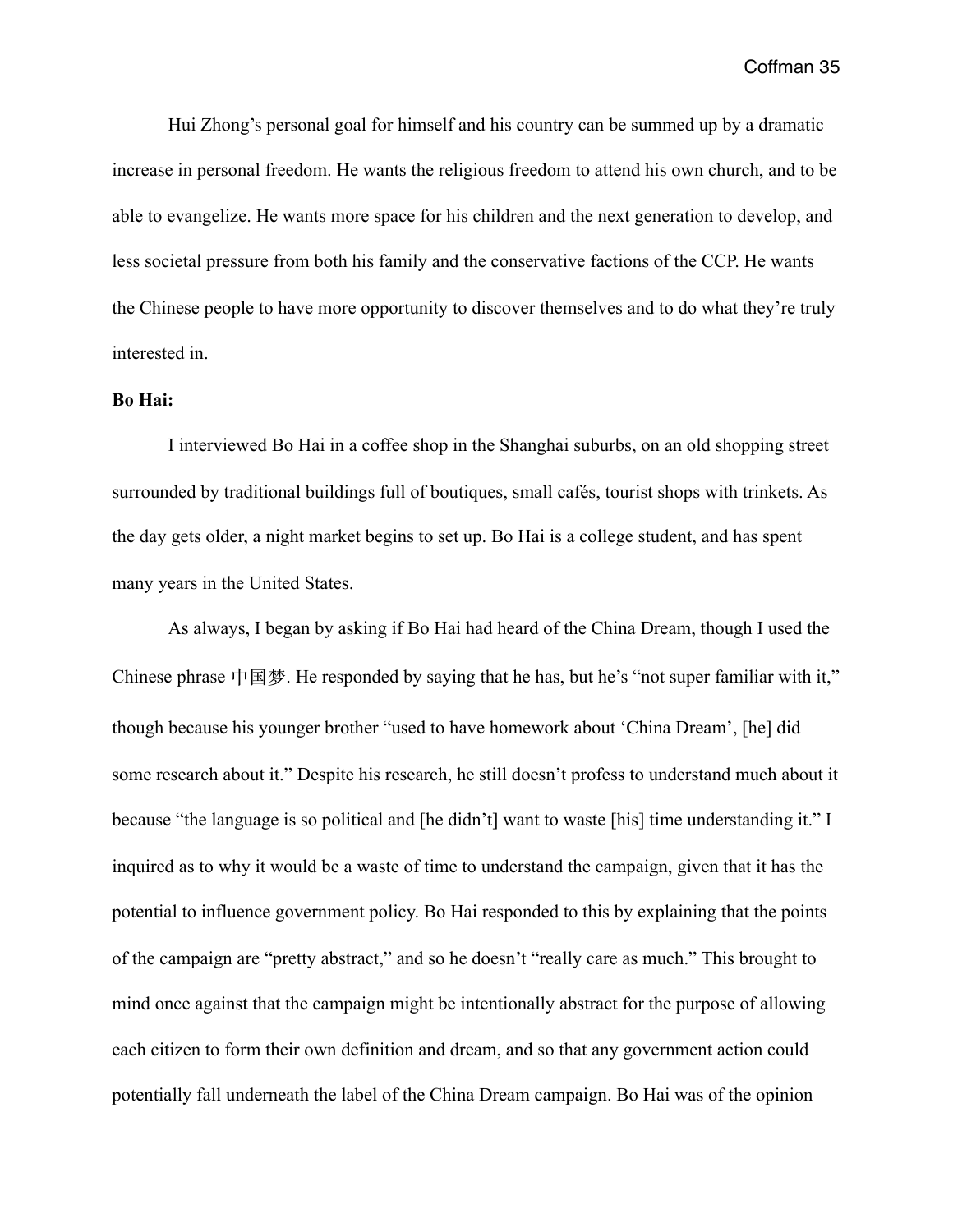Hui Zhong's personal goal for himself and his country can be summed up by a dramatic increase in personal freedom. He wants the religious freedom to attend his own church, and to be able to evangelize. He wants more space for his children and the next generation to develop, and less societal pressure from both his family and the conservative factions of the CCP. He wants the Chinese people to have more opportunity to discover themselves and to do what they're truly interested in.

#### **Bo Hai:**

 I interviewed Bo Hai in a coffee shop in the Shanghai suburbs, on an old shopping street surrounded by traditional buildings full of boutiques, small cafés, tourist shops with trinkets. As the day gets older, a night market begins to set up. Bo Hai is a college student, and has spent many years in the United States.

 As always, I began by asking if Bo Hai had heard of the China Dream, though I used the Chinese phrase 中国梦. He responded by saying that he has, but he's "not super familiar with it," though because his younger brother "used to have homework about 'China Dream', [he] did some research about it." Despite his research, he still doesn't profess to understand much about it because "the language is so political and [he didn't] want to waste [his] time understanding it." I inquired as to why it would be a waste of time to understand the campaign, given that it has the potential to influence government policy. Bo Hai responded to this by explaining that the points of the campaign are "pretty abstract," and so he doesn't "really care as much." This brought to mind once against that the campaign might be intentionally abstract for the purpose of allowing each citizen to form their own definition and dream, and so that any government action could potentially fall underneath the label of the China Dream campaign. Bo Hai was of the opinion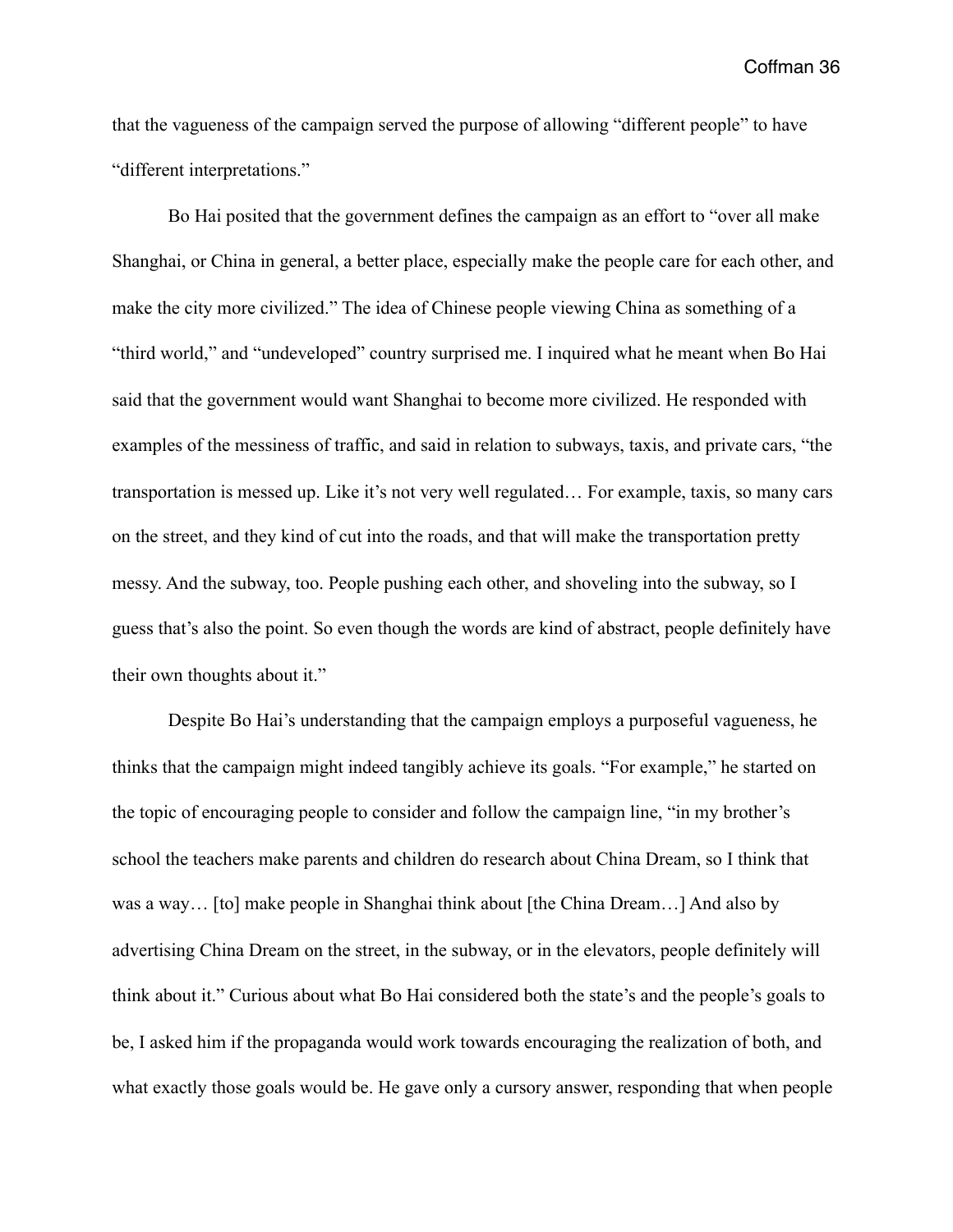that the vagueness of the campaign served the purpose of allowing "different people" to have "different interpretations."

 Bo Hai posited that the government defines the campaign as an effort to "over all make Shanghai, or China in general, a better place, especially make the people care for each other, and make the city more civilized." The idea of Chinese people viewing China as something of a "third world," and "undeveloped" country surprised me. I inquired what he meant when Bo Hai said that the government would want Shanghai to become more civilized. He responded with examples of the messiness of traffic, and said in relation to subways, taxis, and private cars, "the transportation is messed up. Like it's not very well regulated… For example, taxis, so many cars on the street, and they kind of cut into the roads, and that will make the transportation pretty messy. And the subway, too. People pushing each other, and shoveling into the subway, so I guess that's also the point. So even though the words are kind of abstract, people definitely have their own thoughts about it."

 Despite Bo Hai's understanding that the campaign employs a purposeful vagueness, he thinks that the campaign might indeed tangibly achieve its goals. "For example," he started on the topic of encouraging people to consider and follow the campaign line, "in my brother's school the teachers make parents and children do research about China Dream, so I think that was a way… [to] make people in Shanghai think about [the China Dream…] And also by advertising China Dream on the street, in the subway, or in the elevators, people definitely will think about it." Curious about what Bo Hai considered both the state's and the people's goals to be, I asked him if the propaganda would work towards encouraging the realization of both, and what exactly those goals would be. He gave only a cursory answer, responding that when people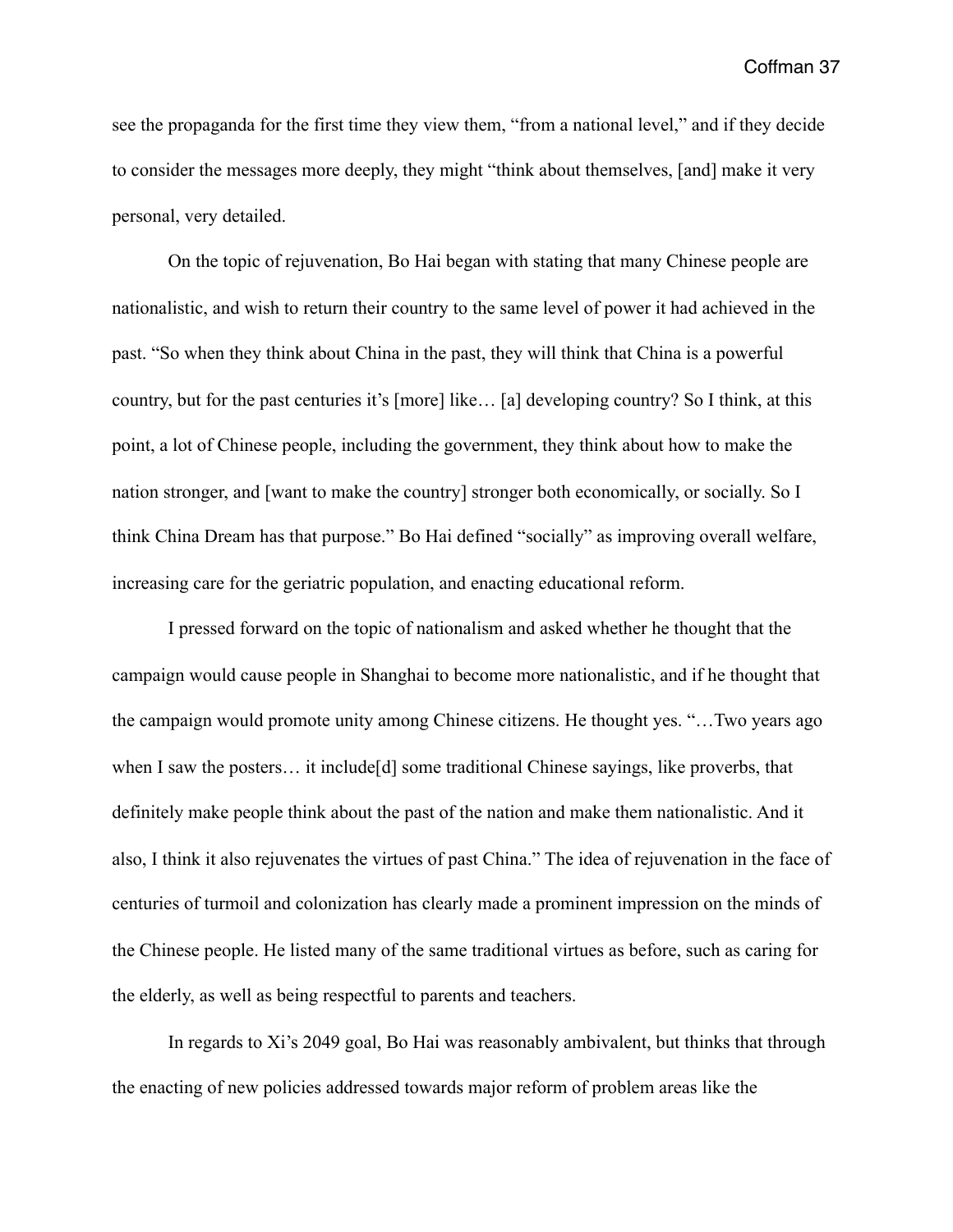see the propaganda for the first time they view them, "from a national level," and if they decide to consider the messages more deeply, they might "think about themselves, [and] make it very personal, very detailed.

 On the topic of rejuvenation, Bo Hai began with stating that many Chinese people are nationalistic, and wish to return their country to the same level of power it had achieved in the past. "So when they think about China in the past, they will think that China is a powerful country, but for the past centuries it's [more] like… [a] developing country? So I think, at this point, a lot of Chinese people, including the government, they think about how to make the nation stronger, and [want to make the country] stronger both economically, or socially. So I think China Dream has that purpose." Bo Hai defined "socially" as improving overall welfare, increasing care for the geriatric population, and enacting educational reform.

 I pressed forward on the topic of nationalism and asked whether he thought that the campaign would cause people in Shanghai to become more nationalistic, and if he thought that the campaign would promote unity among Chinese citizens. He thought yes. "…Two years ago when I saw the posters... it include [d] some traditional Chinese sayings, like proverbs, that definitely make people think about the past of the nation and make them nationalistic. And it also, I think it also rejuvenates the virtues of past China." The idea of rejuvenation in the face of centuries of turmoil and colonization has clearly made a prominent impression on the minds of the Chinese people. He listed many of the same traditional virtues as before, such as caring for the elderly, as well as being respectful to parents and teachers.

 In regards to Xi's 2049 goal, Bo Hai was reasonably ambivalent, but thinks that through the enacting of new policies addressed towards major reform of problem areas like the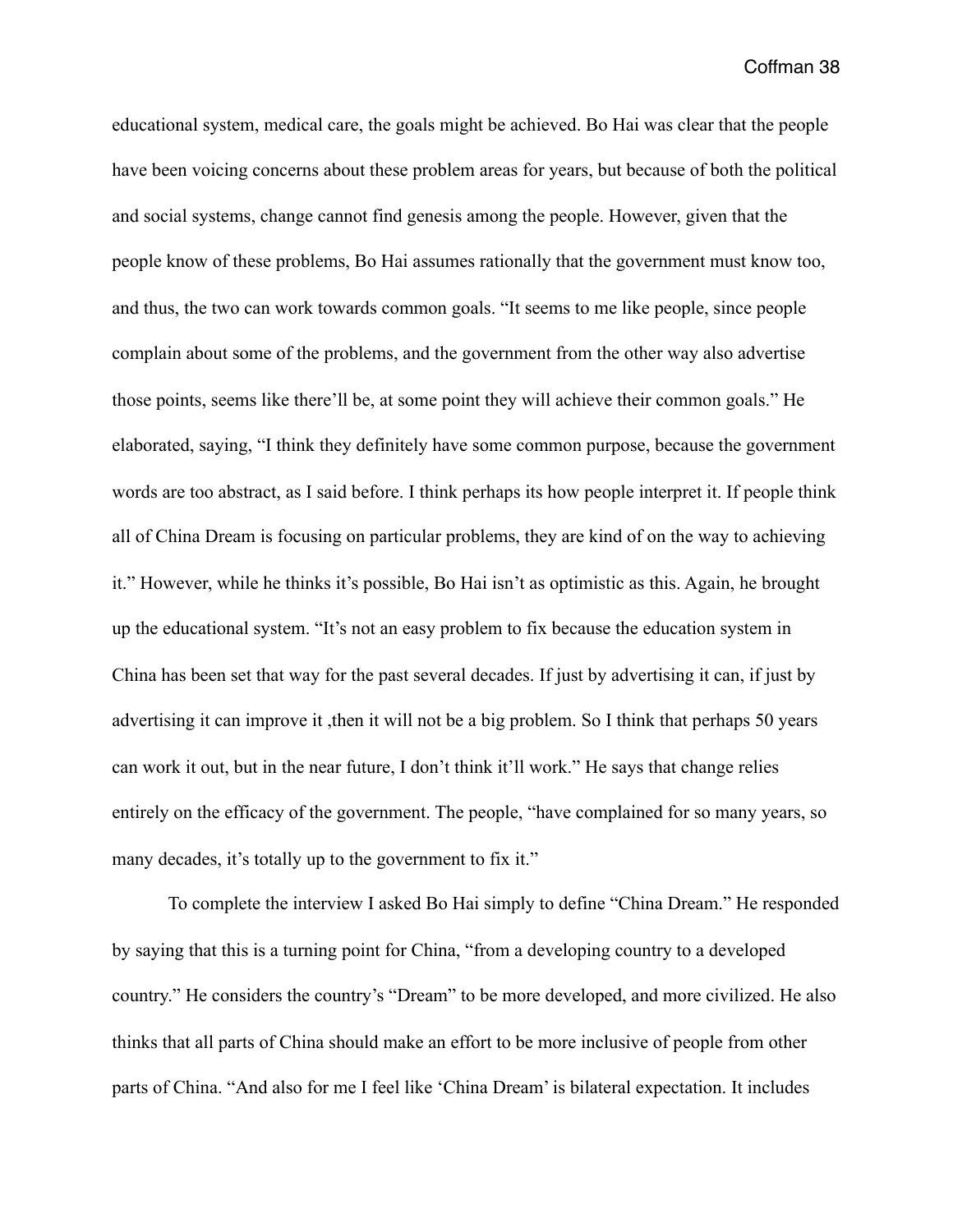educational system, medical care, the goals might be achieved. Bo Hai was clear that the people have been voicing concerns about these problem areas for years, but because of both the political and social systems, change cannot find genesis among the people. However, given that the people know of these problems, Bo Hai assumes rationally that the government must know too, and thus, the two can work towards common goals. "It seems to me like people, since people complain about some of the problems, and the government from the other way also advertise those points, seems like there'll be, at some point they will achieve their common goals." He elaborated, saying, "I think they definitely have some common purpose, because the government words are too abstract, as I said before. I think perhaps its how people interpret it. If people think all of China Dream is focusing on particular problems, they are kind of on the way to achieving it." However, while he thinks it's possible, Bo Hai isn't as optimistic as this. Again, he brought up the educational system. "It's not an easy problem to fix because the education system in China has been set that way for the past several decades. If just by advertising it can, if just by advertising it can improve it ,then it will not be a big problem. So I think that perhaps 50 years can work it out, but in the near future, I don't think it'll work." He says that change relies entirely on the efficacy of the government. The people, "have complained for so many years, so many decades, it's totally up to the government to fix it."

 To complete the interview I asked Bo Hai simply to define "China Dream." He responded by saying that this is a turning point for China, "from a developing country to a developed country." He considers the country's "Dream" to be more developed, and more civilized. He also thinks that all parts of China should make an effort to be more inclusive of people from other parts of China. "And also for me I feel like 'China Dream' is bilateral expectation. It includes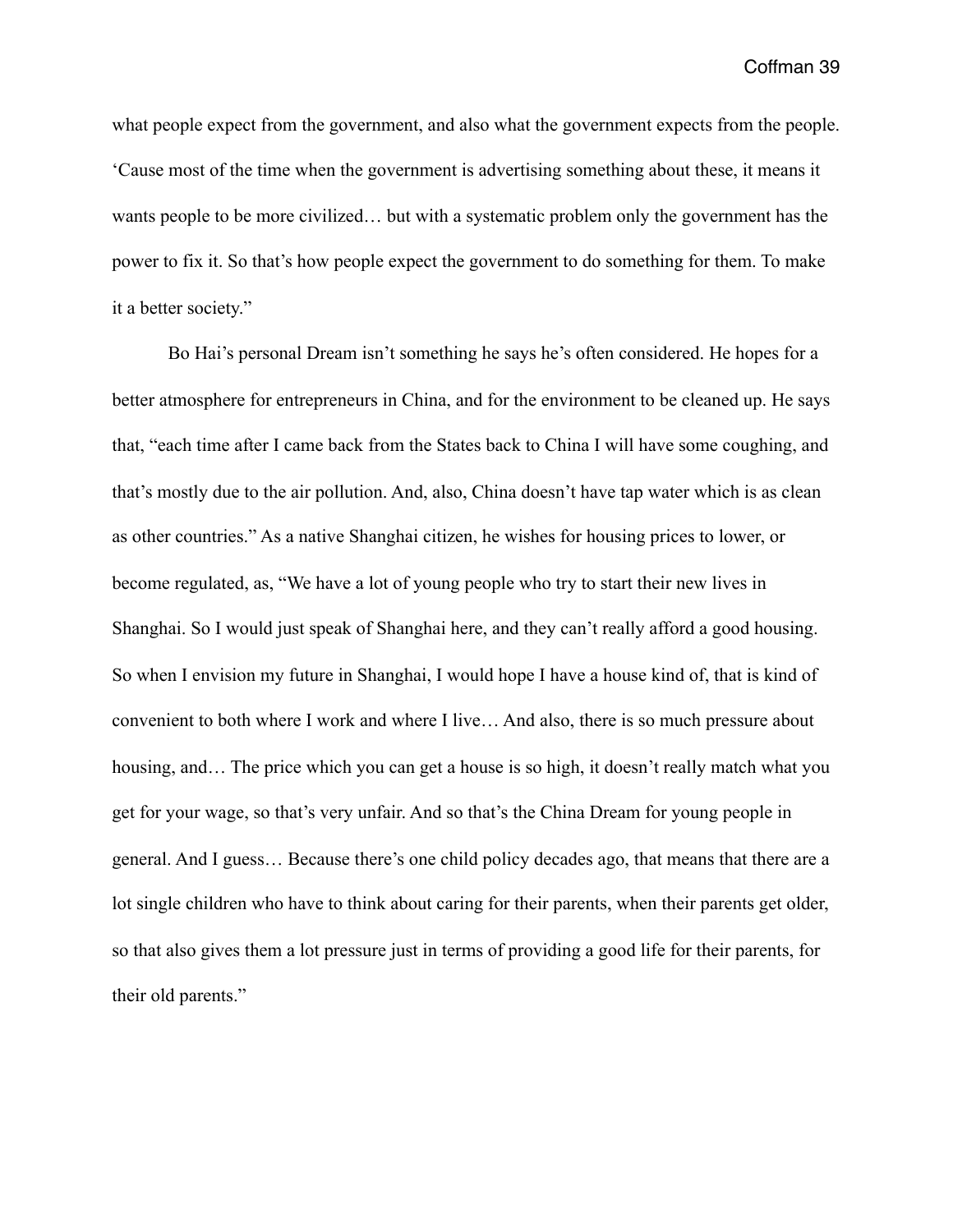what people expect from the government, and also what the government expects from the people. 'Cause most of the time when the government is advertising something about these, it means it wants people to be more civilized… but with a systematic problem only the government has the power to fix it. So that's how people expect the government to do something for them. To make it a better society."

 Bo Hai's personal Dream isn't something he says he's often considered. He hopes for a better atmosphere for entrepreneurs in China, and for the environment to be cleaned up. He says that, "each time after I came back from the States back to China I will have some coughing, and that's mostly due to the air pollution. And, also, China doesn't have tap water which is as clean as other countries." As a native Shanghai citizen, he wishes for housing prices to lower, or become regulated, as, "We have a lot of young people who try to start their new lives in Shanghai. So I would just speak of Shanghai here, and they can't really afford a good housing. So when I envision my future in Shanghai, I would hope I have a house kind of, that is kind of convenient to both where I work and where I live… And also, there is so much pressure about housing, and... The price which you can get a house is so high, it doesn't really match what you get for your wage, so that's very unfair. And so that's the China Dream for young people in general. And I guess… Because there's one child policy decades ago, that means that there are a lot single children who have to think about caring for their parents, when their parents get older, so that also gives them a lot pressure just in terms of providing a good life for their parents, for their old parents."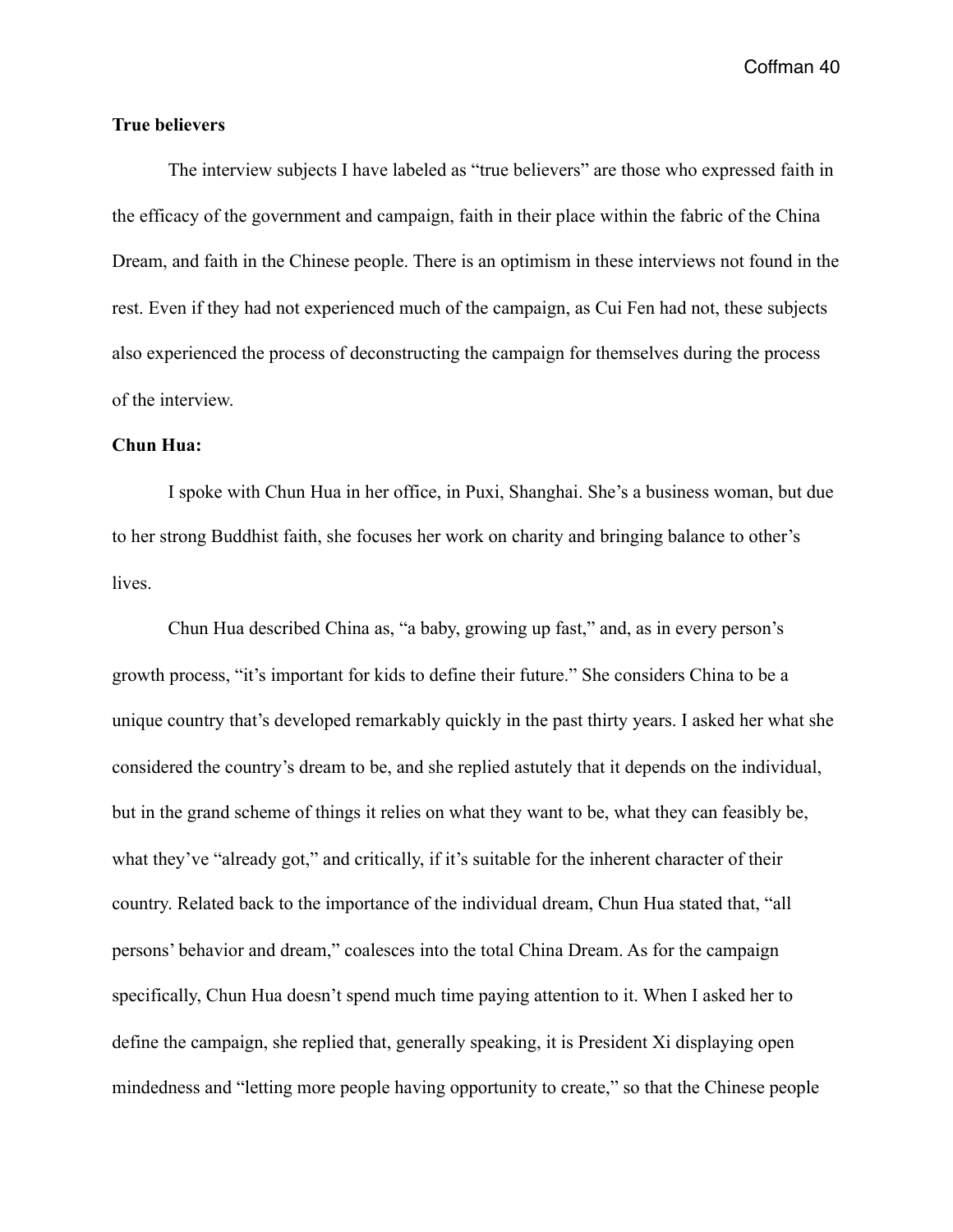# **True believers**

 The interview subjects I have labeled as "true believers" are those who expressed faith in the efficacy of the government and campaign, faith in their place within the fabric of the China Dream, and faith in the Chinese people. There is an optimism in these interviews not found in the rest. Even if they had not experienced much of the campaign, as Cui Fen had not, these subjects also experienced the process of deconstructing the campaign for themselves during the process of the interview.

# **Chun Hua:**

 I spoke with Chun Hua in her office, in Puxi, Shanghai. She's a business woman, but due to her strong Buddhist faith, she focuses her work on charity and bringing balance to other's lives.

 Chun Hua described China as, "a baby, growing up fast," and, as in every person's growth process, "it's important for kids to define their future." She considers China to be a unique country that's developed remarkably quickly in the past thirty years. I asked her what she considered the country's dream to be, and she replied astutely that it depends on the individual, but in the grand scheme of things it relies on what they want to be, what they can feasibly be, what they've "already got," and critically, if it's suitable for the inherent character of their country. Related back to the importance of the individual dream, Chun Hua stated that, "all persons' behavior and dream," coalesces into the total China Dream. As for the campaign specifically, Chun Hua doesn't spend much time paying attention to it. When I asked her to define the campaign, she replied that, generally speaking, it is President Xi displaying open mindedness and "letting more people having opportunity to create," so that the Chinese people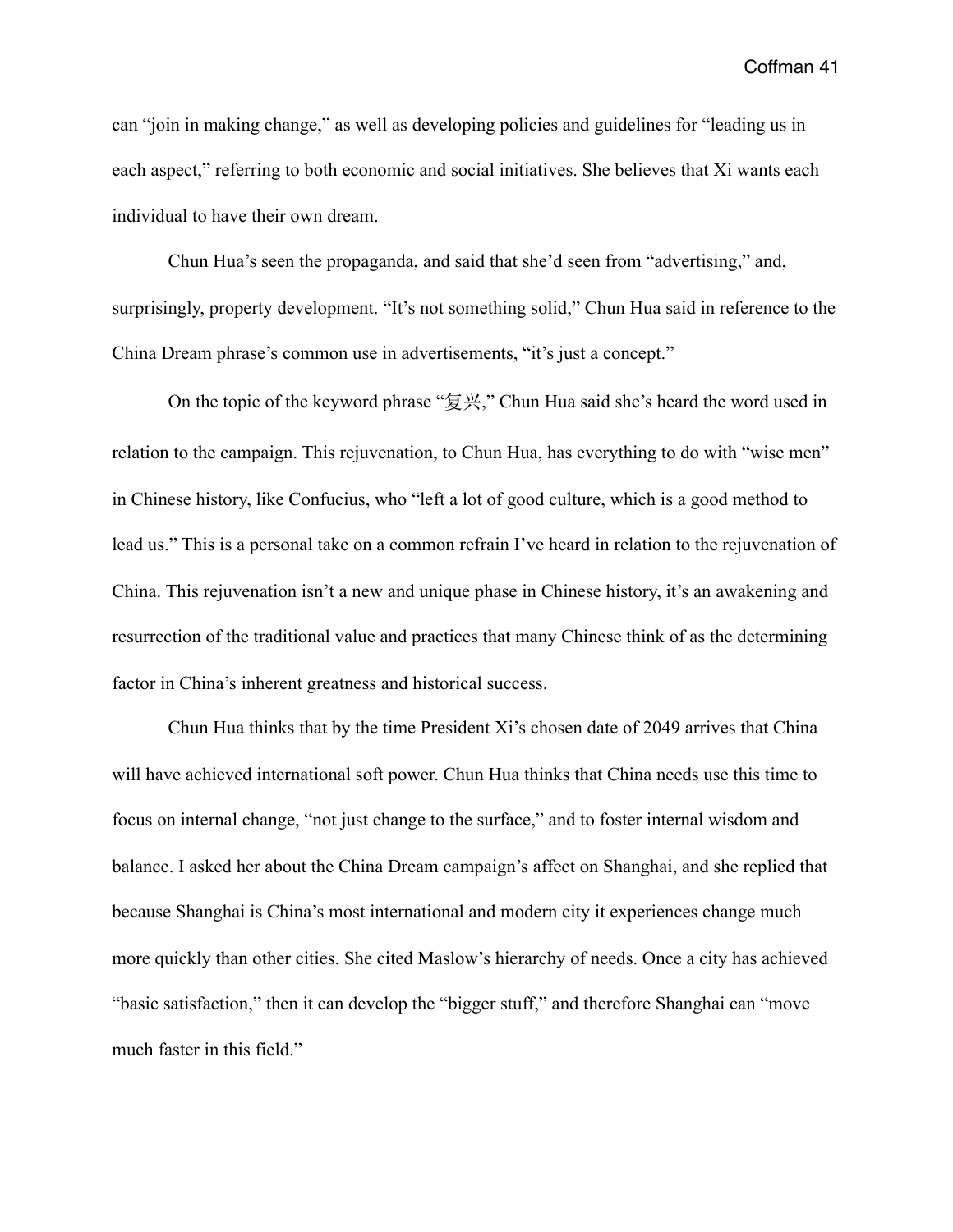can "join in making change," as well as developing policies and guidelines for "leading us in each aspect," referring to both economic and social initiatives. She believes that Xi wants each individual to have their own dream.

 Chun Hua's seen the propaganda, and said that she'd seen from "advertising," and, surprisingly, property development. "It's not something solid," Chun Hua said in reference to the China Dream phrase's common use in advertisements, "it's just a concept."

 On the topic of the keyword phrase "复兴," Chun Hua said she's heard the word used in relation to the campaign. This rejuvenation, to Chun Hua, has everything to do with "wise men" in Chinese history, like Confucius, who "left a lot of good culture, which is a good method to lead us." This is a personal take on a common refrain I've heard in relation to the rejuvenation of China. This rejuvenation isn't a new and unique phase in Chinese history, it's an awakening and resurrection of the traditional value and practices that many Chinese think of as the determining factor in China's inherent greatness and historical success.

 Chun Hua thinks that by the time President Xi's chosen date of 2049 arrives that China will have achieved international soft power. Chun Hua thinks that China needs use this time to focus on internal change, "not just change to the surface," and to foster internal wisdom and balance. I asked her about the China Dream campaign's affect on Shanghai, and she replied that because Shanghai is China's most international and modern city it experiences change much more quickly than other cities. She cited Maslow's hierarchy of needs. Once a city has achieved "basic satisfaction," then it can develop the "bigger stuff," and therefore Shanghai can "move much faster in this field."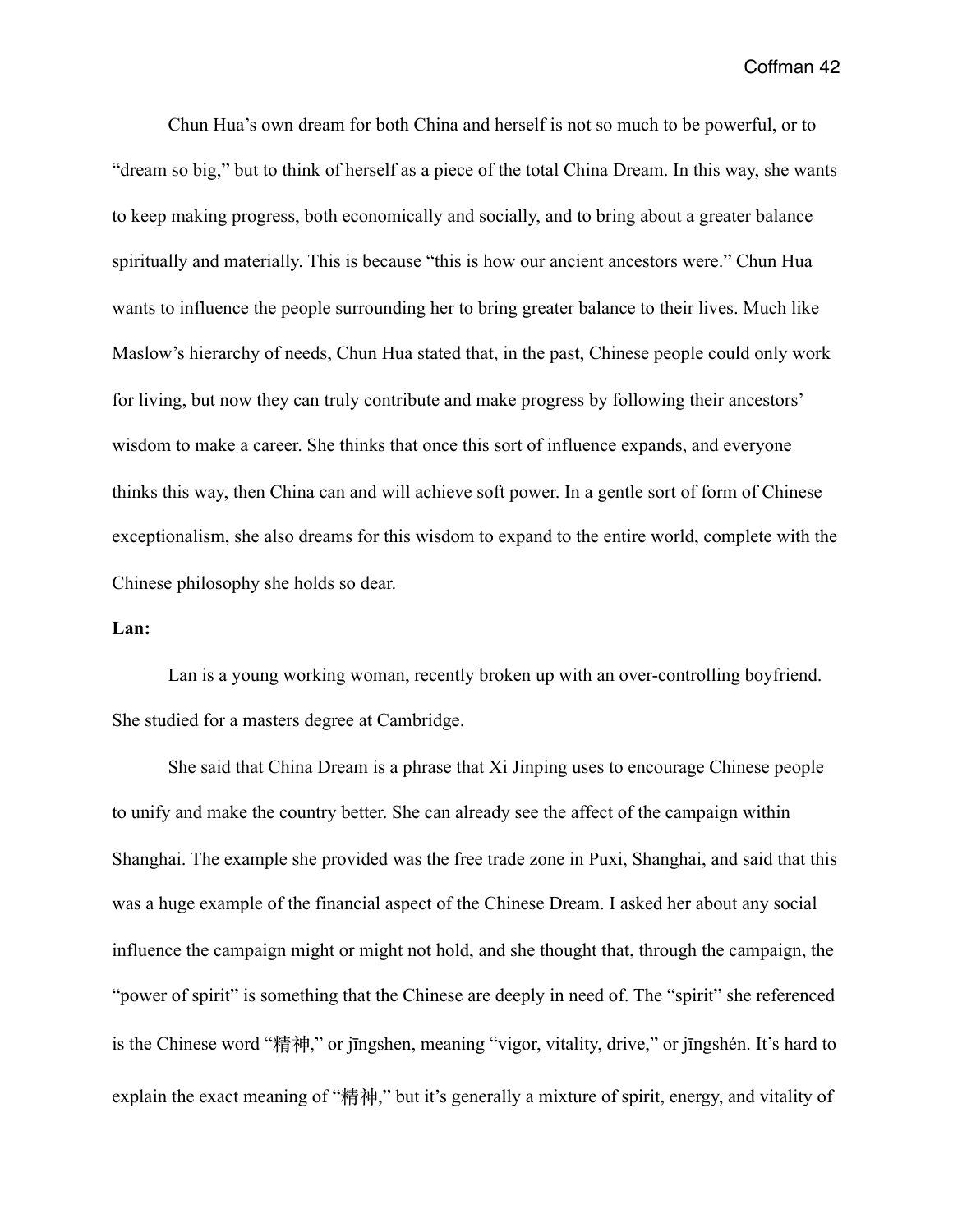Chun Hua's own dream for both China and herself is not so much to be powerful, or to "dream so big," but to think of herself as a piece of the total China Dream. In this way, she wants to keep making progress, both economically and socially, and to bring about a greater balance spiritually and materially. This is because "this is how our ancient ancestors were." Chun Hua wants to influence the people surrounding her to bring greater balance to their lives. Much like Maslow's hierarchy of needs, Chun Hua stated that, in the past, Chinese people could only work for living, but now they can truly contribute and make progress by following their ancestors' wisdom to make a career. She thinks that once this sort of influence expands, and everyone thinks this way, then China can and will achieve soft power. In a gentle sort of form of Chinese exceptionalism, she also dreams for this wisdom to expand to the entire world, complete with the Chinese philosophy she holds so dear.

## **Lan:**

 Lan is a young working woman, recently broken up with an over-controlling boyfriend. She studied for a masters degree at Cambridge.

 She said that China Dream is a phrase that Xi Jinping uses to encourage Chinese people to unify and make the country better. She can already see the affect of the campaign within Shanghai. The example she provided was the free trade zone in Puxi, Shanghai, and said that this was a huge example of the financial aspect of the Chinese Dream. I asked her about any social influence the campaign might or might not hold, and she thought that, through the campaign, the "power of spirit" is something that the Chinese are deeply in need of. The "spirit" she referenced is the Chinese word "精神," or jīngshen, meaning "vigor, vitality, drive," or jīngshén. It's hard to explain the exact meaning of "精神," but it's generally a mixture of spirit, energy, and vitality of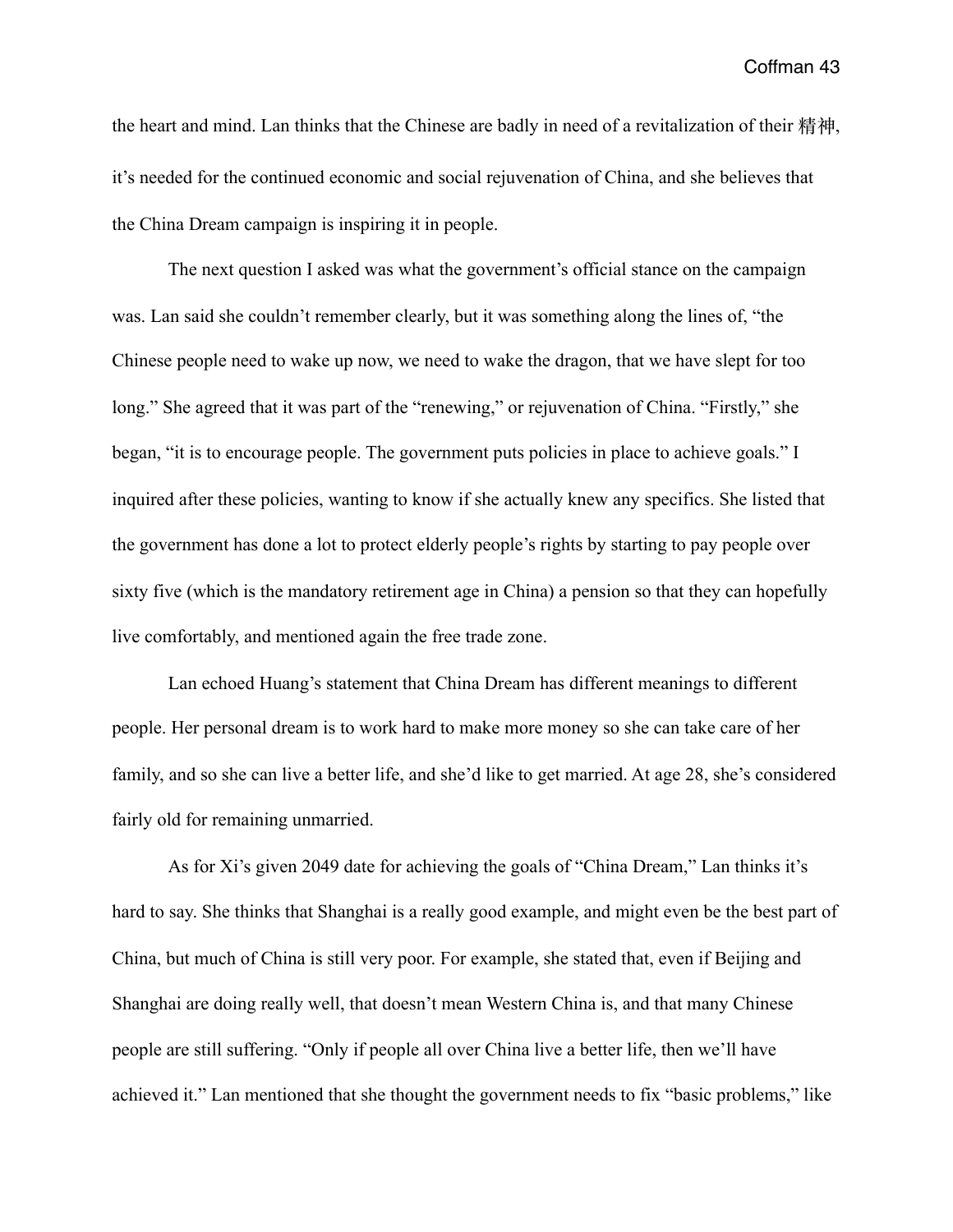the heart and mind. Lan thinks that the Chinese are badly in need of a revitalization of their 精神, it's needed for the continued economic and social rejuvenation of China, and she believes that the China Dream campaign is inspiring it in people.

 The next question I asked was what the government's official stance on the campaign was. Lan said she couldn't remember clearly, but it was something along the lines of, "the Chinese people need to wake up now, we need to wake the dragon, that we have slept for too long." She agreed that it was part of the "renewing," or rejuvenation of China. "Firstly," she began, "it is to encourage people. The government puts policies in place to achieve goals." I inquired after these policies, wanting to know if she actually knew any specifics. She listed that the government has done a lot to protect elderly people's rights by starting to pay people over sixty five (which is the mandatory retirement age in China) a pension so that they can hopefully live comfortably, and mentioned again the free trade zone.

 Lan echoed Huang's statement that China Dream has different meanings to different people. Her personal dream is to work hard to make more money so she can take care of her family, and so she can live a better life, and she'd like to get married. At age 28, she's considered fairly old for remaining unmarried.

 As for Xi's given 2049 date for achieving the goals of "China Dream," Lan thinks it's hard to say. She thinks that Shanghai is a really good example, and might even be the best part of China, but much of China is still very poor. For example, she stated that, even if Beijing and Shanghai are doing really well, that doesn't mean Western China is, and that many Chinese people are still suffering. "Only if people all over China live a better life, then we'll have achieved it." Lan mentioned that she thought the government needs to fix "basic problems," like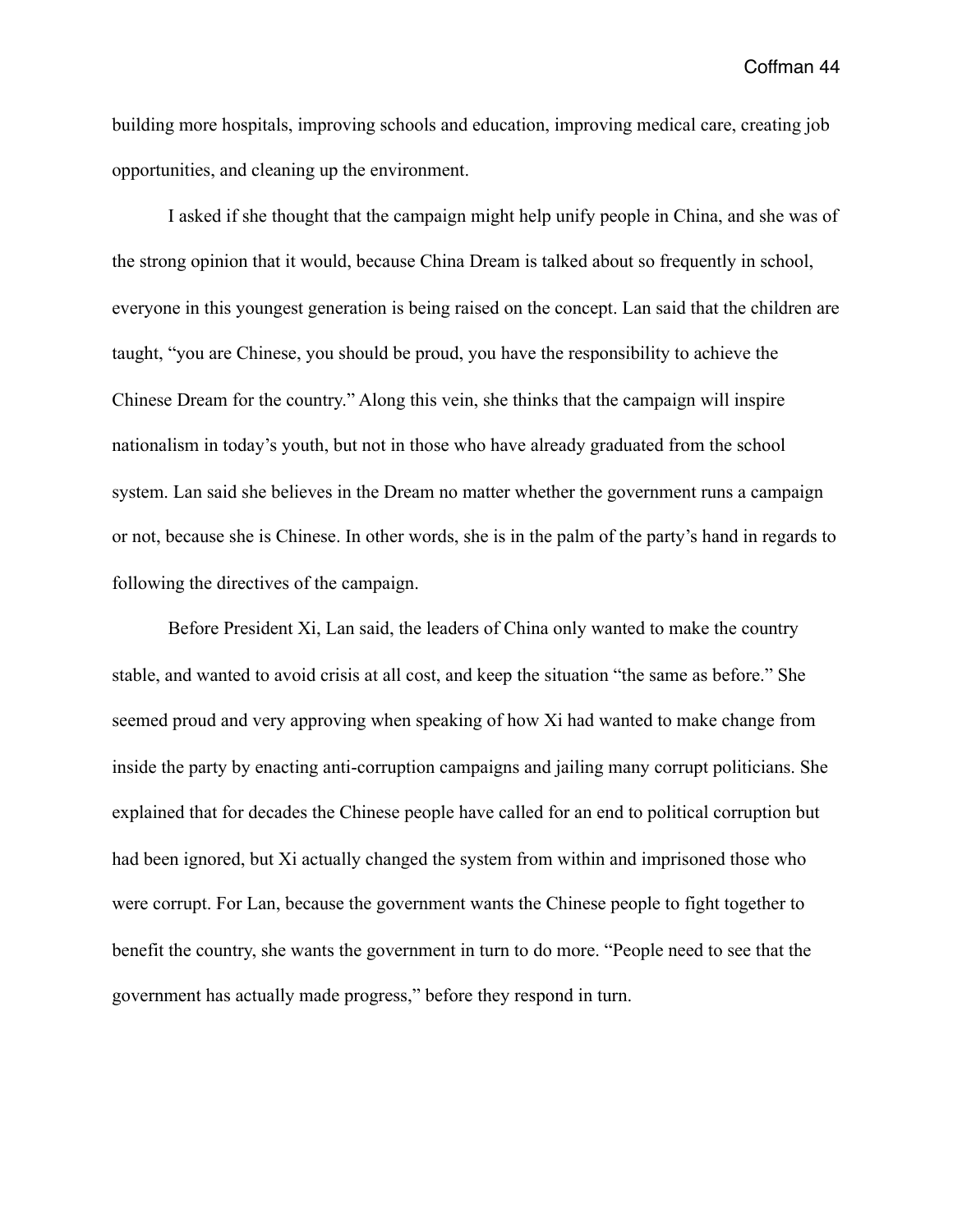building more hospitals, improving schools and education, improving medical care, creating job opportunities, and cleaning up the environment.

 I asked if she thought that the campaign might help unify people in China, and she was of the strong opinion that it would, because China Dream is talked about so frequently in school, everyone in this youngest generation is being raised on the concept. Lan said that the children are taught, "you are Chinese, you should be proud, you have the responsibility to achieve the Chinese Dream for the country." Along this vein, she thinks that the campaign will inspire nationalism in today's youth, but not in those who have already graduated from the school system. Lan said she believes in the Dream no matter whether the government runs a campaign or not, because she is Chinese. In other words, she is in the palm of the party's hand in regards to following the directives of the campaign.

 Before President Xi, Lan said, the leaders of China only wanted to make the country stable, and wanted to avoid crisis at all cost, and keep the situation "the same as before." She seemed proud and very approving when speaking of how Xi had wanted to make change from inside the party by enacting anti-corruption campaigns and jailing many corrupt politicians. She explained that for decades the Chinese people have called for an end to political corruption but had been ignored, but Xi actually changed the system from within and imprisoned those who were corrupt. For Lan, because the government wants the Chinese people to fight together to benefit the country, she wants the government in turn to do more. "People need to see that the government has actually made progress," before they respond in turn.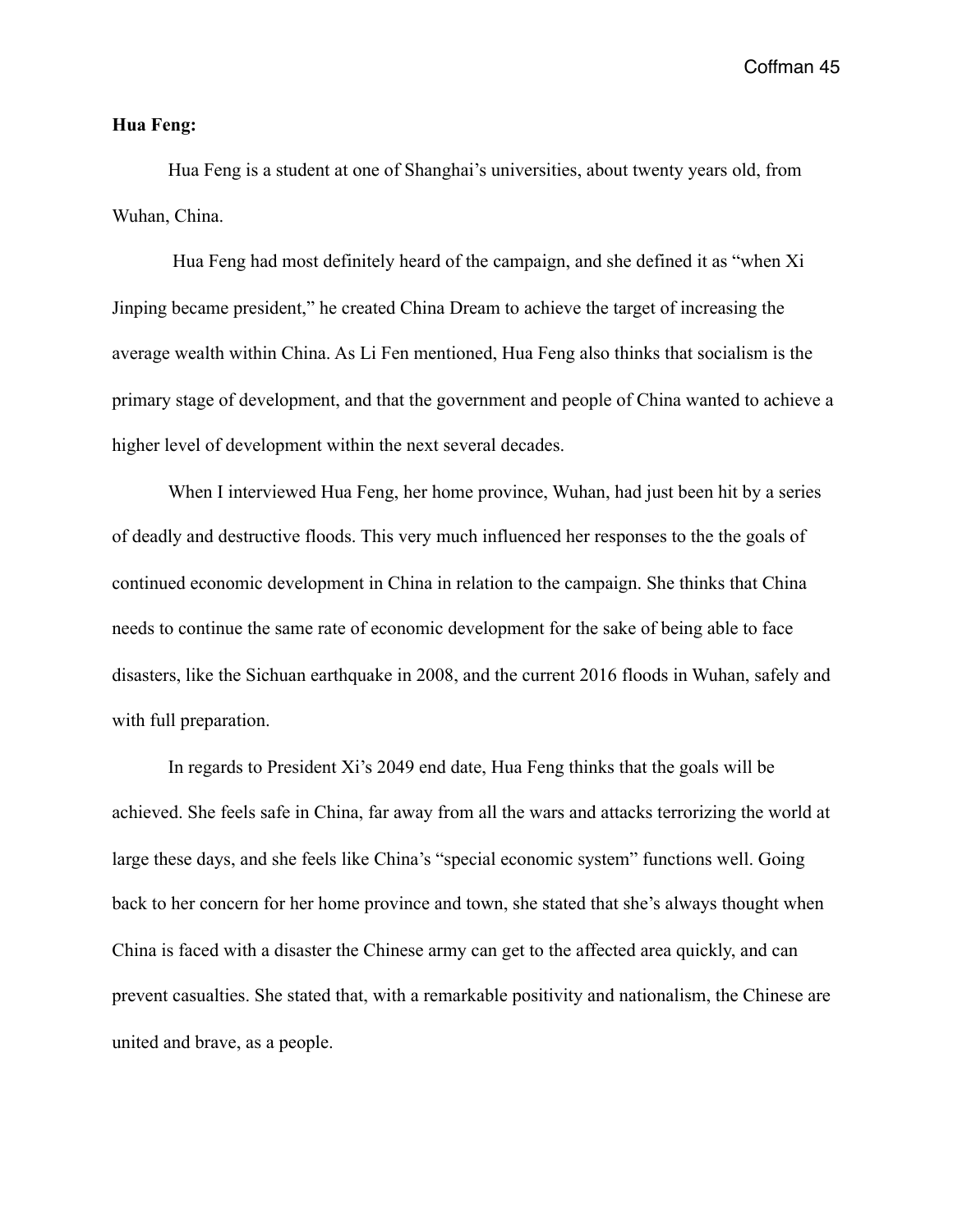## **Hua Feng:**

 Hua Feng is a student at one of Shanghai's universities, about twenty years old, from Wuhan, China.

 Hua Feng had most definitely heard of the campaign, and she defined it as "when Xi Jinping became president," he created China Dream to achieve the target of increasing the average wealth within China. As Li Fen mentioned, Hua Feng also thinks that socialism is the primary stage of development, and that the government and people of China wanted to achieve a higher level of development within the next several decades.

 When I interviewed Hua Feng, her home province, Wuhan, had just been hit by a series of deadly and destructive floods. This very much influenced her responses to the the goals of continued economic development in China in relation to the campaign. She thinks that China needs to continue the same rate of economic development for the sake of being able to face disasters, like the Sichuan earthquake in 2008, and the current 2016 floods in Wuhan, safely and with full preparation.

 In regards to President Xi's 2049 end date, Hua Feng thinks that the goals will be achieved. She feels safe in China, far away from all the wars and attacks terrorizing the world at large these days, and she feels like China's "special economic system" functions well. Going back to her concern for her home province and town, she stated that she's always thought when China is faced with a disaster the Chinese army can get to the affected area quickly, and can prevent casualties. She stated that, with a remarkable positivity and nationalism, the Chinese are united and brave, as a people.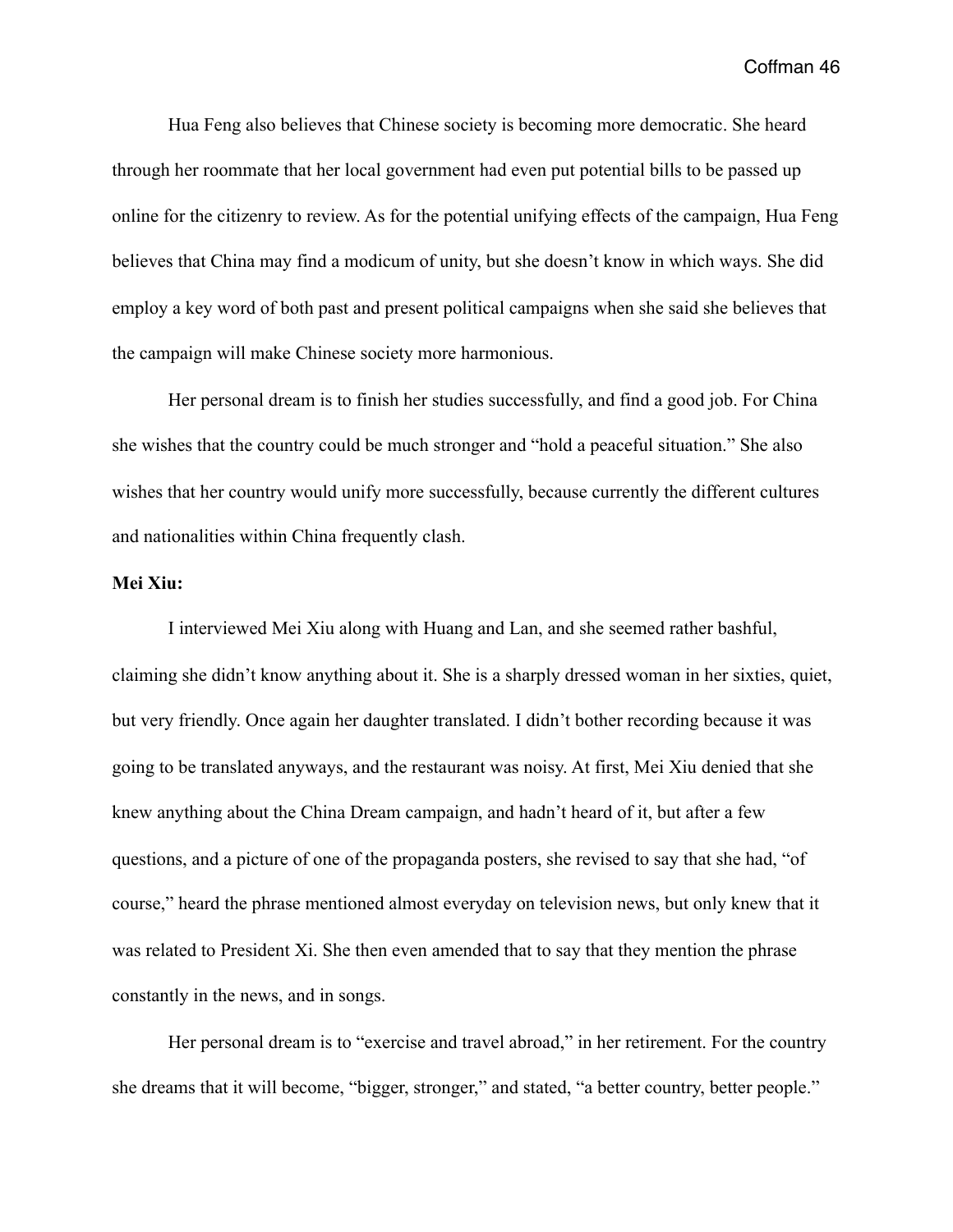Hua Feng also believes that Chinese society is becoming more democratic. She heard through her roommate that her local government had even put potential bills to be passed up online for the citizenry to review. As for the potential unifying effects of the campaign, Hua Feng believes that China may find a modicum of unity, but she doesn't know in which ways. She did employ a key word of both past and present political campaigns when she said she believes that the campaign will make Chinese society more harmonious.

 Her personal dream is to finish her studies successfully, and find a good job. For China she wishes that the country could be much stronger and "hold a peaceful situation." She also wishes that her country would unify more successfully, because currently the different cultures and nationalities within China frequently clash.

# **Mei Xiu:**

 I interviewed Mei Xiu along with Huang and Lan, and she seemed rather bashful, claiming she didn't know anything about it. She is a sharply dressed woman in her sixties, quiet, but very friendly. Once again her daughter translated. I didn't bother recording because it was going to be translated anyways, and the restaurant was noisy. At first, Mei Xiu denied that she knew anything about the China Dream campaign, and hadn't heard of it, but after a few questions, and a picture of one of the propaganda posters, she revised to say that she had, "of course," heard the phrase mentioned almost everyday on television news, but only knew that it was related to President Xi. She then even amended that to say that they mention the phrase constantly in the news, and in songs.

 Her personal dream is to "exercise and travel abroad," in her retirement. For the country she dreams that it will become, "bigger, stronger," and stated, "a better country, better people."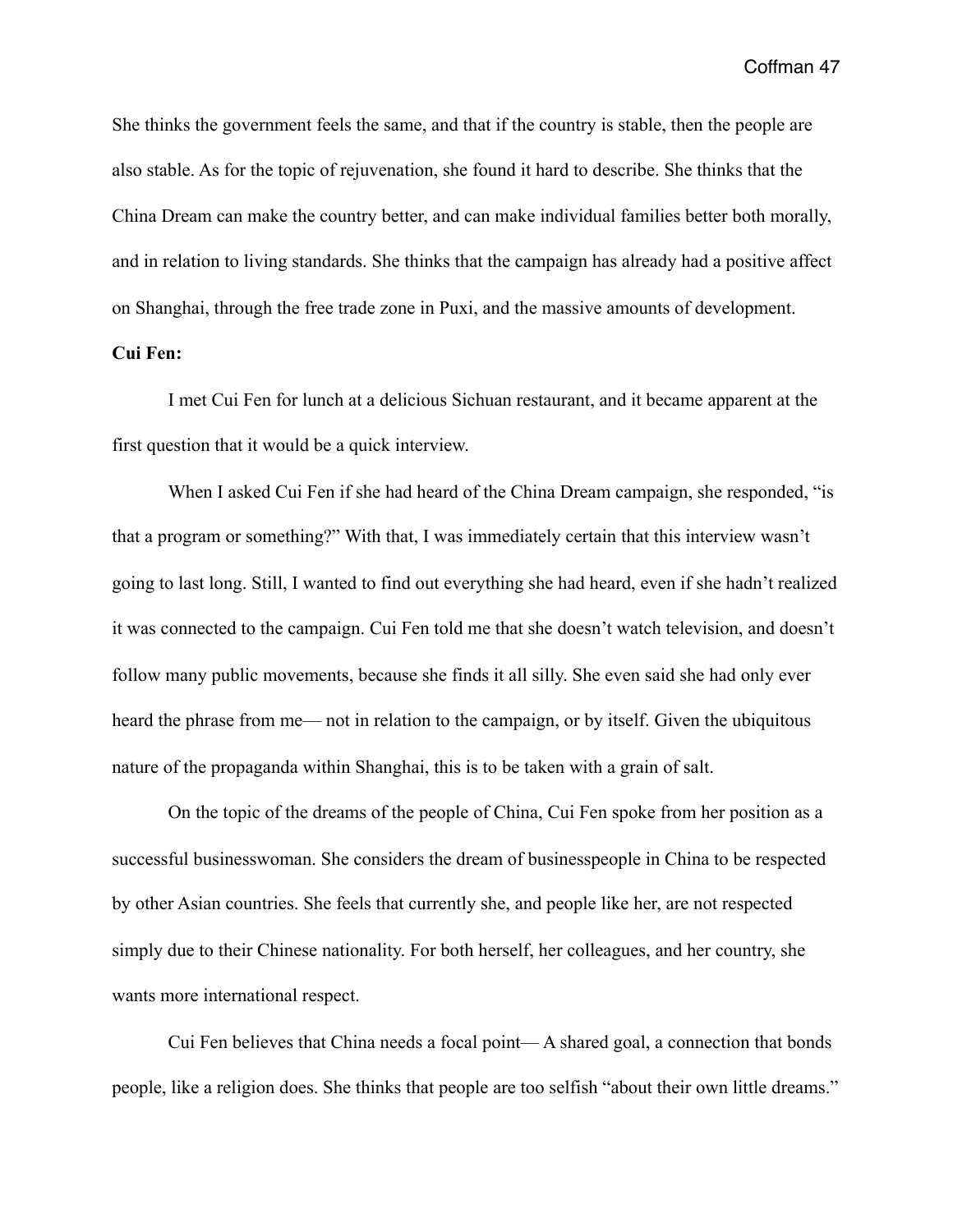She thinks the government feels the same, and that if the country is stable, then the people are also stable. As for the topic of rejuvenation, she found it hard to describe. She thinks that the China Dream can make the country better, and can make individual families better both morally, and in relation to living standards. She thinks that the campaign has already had a positive affect on Shanghai, through the free trade zone in Puxi, and the massive amounts of development.

## **Cui Fen:**

 I met Cui Fen for lunch at a delicious Sichuan restaurant, and it became apparent at the first question that it would be a quick interview.

 When I asked Cui Fen if she had heard of the China Dream campaign, she responded, "is that a program or something?" With that, I was immediately certain that this interview wasn't going to last long. Still, I wanted to find out everything she had heard, even if she hadn't realized it was connected to the campaign. Cui Fen told me that she doesn't watch television, and doesn't follow many public movements, because she finds it all silly. She even said she had only ever heard the phrase from me— not in relation to the campaign, or by itself. Given the ubiquitous nature of the propaganda within Shanghai, this is to be taken with a grain of salt.

 On the topic of the dreams of the people of China, Cui Fen spoke from her position as a successful businesswoman. She considers the dream of businesspeople in China to be respected by other Asian countries. She feels that currently she, and people like her, are not respected simply due to their Chinese nationality. For both herself, her colleagues, and her country, she wants more international respect.

 Cui Fen believes that China needs a focal point— A shared goal, a connection that bonds people, like a religion does. She thinks that people are too selfish "about their own little dreams."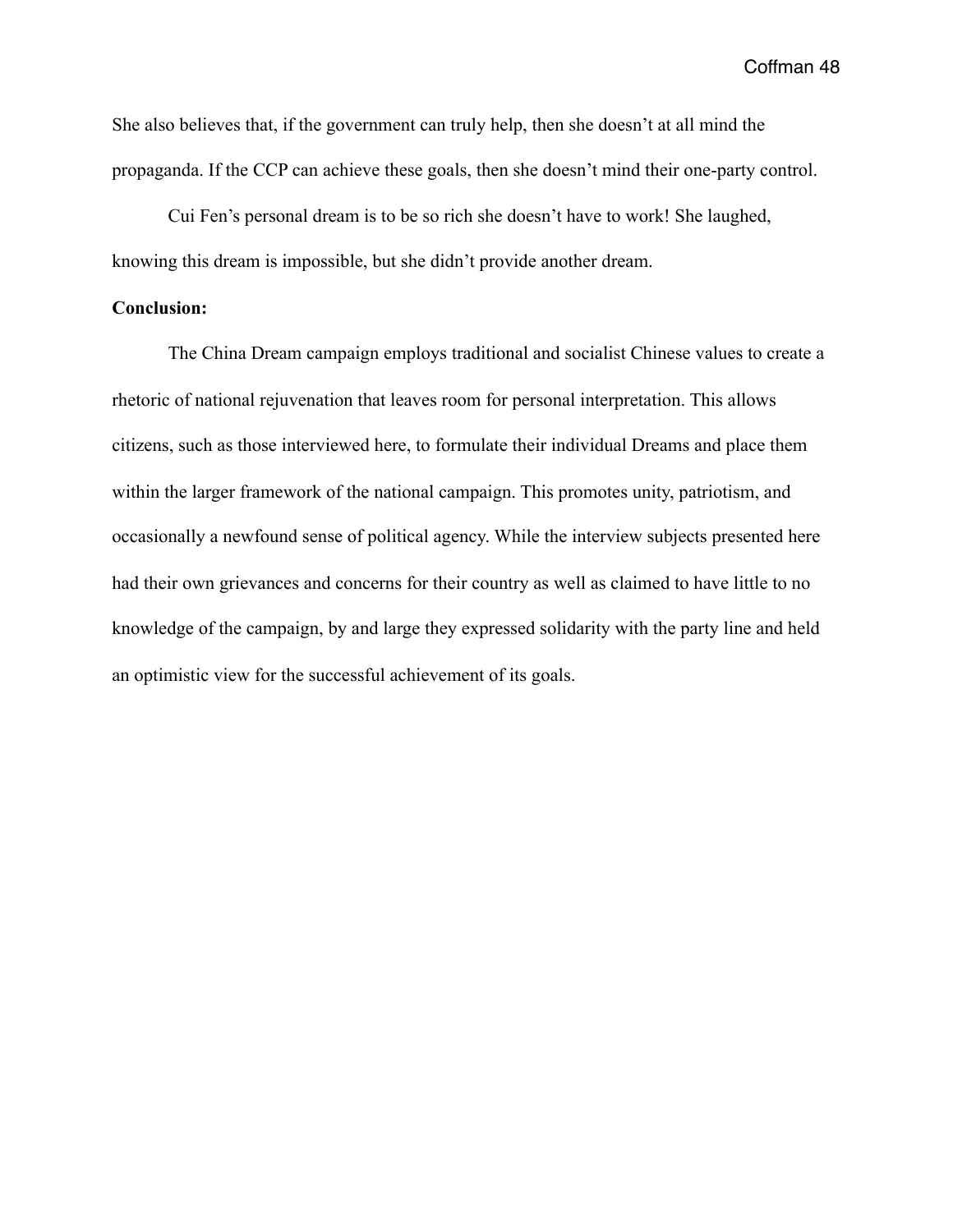She also believes that, if the government can truly help, then she doesn't at all mind the propaganda. If the CCP can achieve these goals, then she doesn't mind their one-party control.

 Cui Fen's personal dream is to be so rich she doesn't have to work! She laughed, knowing this dream is impossible, but she didn't provide another dream.

# **Conclusion:**

 The China Dream campaign employs traditional and socialist Chinese values to create a rhetoric of national rejuvenation that leaves room for personal interpretation. This allows citizens, such as those interviewed here, to formulate their individual Dreams and place them within the larger framework of the national campaign. This promotes unity, patriotism, and occasionally a newfound sense of political agency. While the interview subjects presented here had their own grievances and concerns for their country as well as claimed to have little to no knowledge of the campaign, by and large they expressed solidarity with the party line and held an optimistic view for the successful achievement of its goals.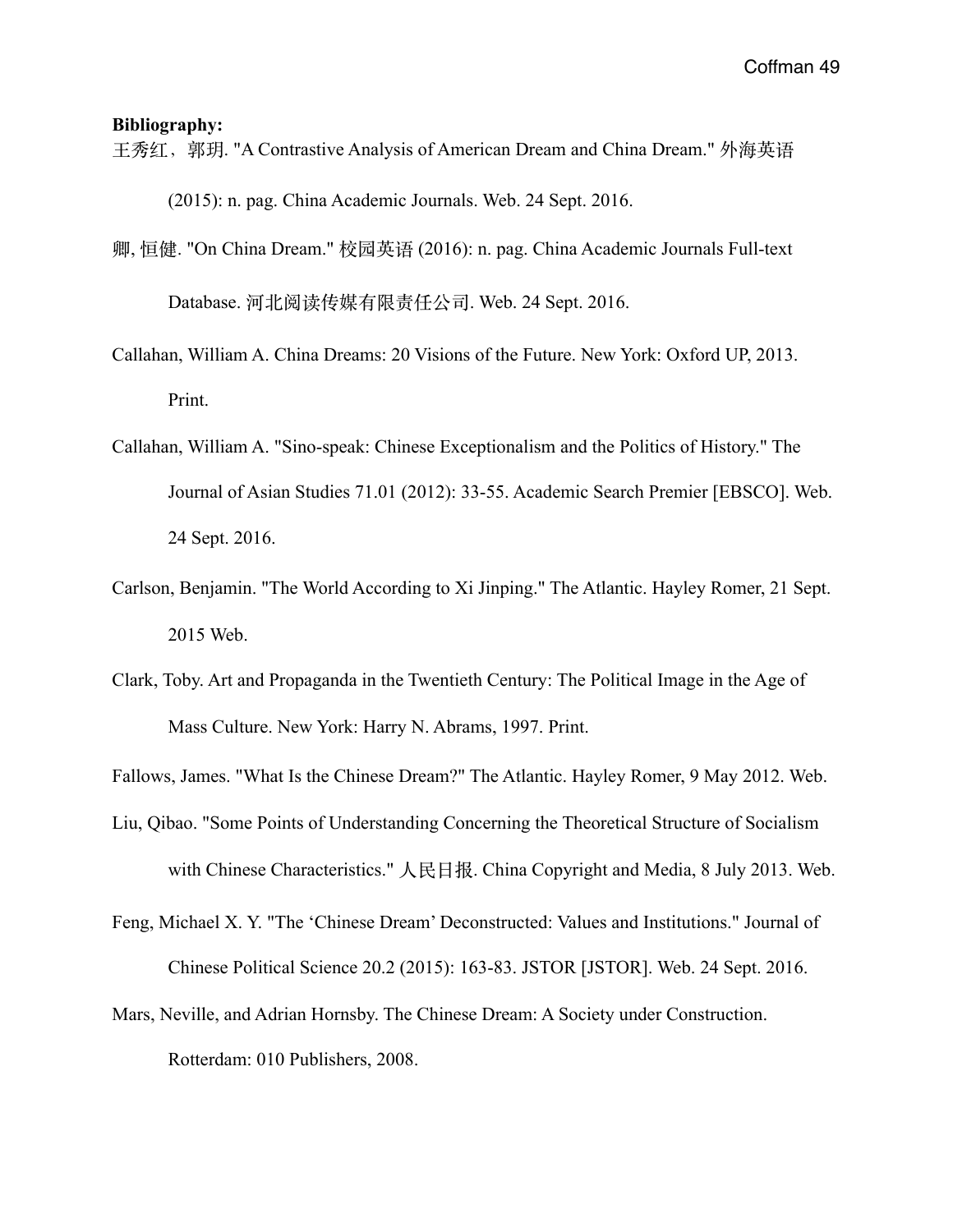#### **Bibliography:**

- 王秀红,郭玥. "A Contrastive Analysis of American Dream and China Dream." 外海英语 (2015): n. pag. China Academic Journals. Web. 24 Sept. 2016.
- 卿, 恒健. "On China Dream." 校园英语 (2016): n. pag. China Academic Journals Full-text Database. 河北阅读传媒有限责任公司. Web. 24 Sept. 2016.
- Callahan, William A. China Dreams: 20 Visions of the Future. New York: Oxford UP, 2013. Print.
- Callahan, William A. "Sino-speak: Chinese Exceptionalism and the Politics of History." The Journal of Asian Studies 71.01 (2012): 33-55. Academic Search Premier [EBSCO]. Web. 24 Sept. 2016.
- Carlson, Benjamin. "The World According to Xi Jinping." The Atlantic. Hayley Romer, 21 Sept. 2015 Web.
- Clark, Toby. Art and Propaganda in the Twentieth Century: The Political Image in the Age of Mass Culture. New York: Harry N. Abrams, 1997. Print.

- Liu, Qibao. "Some Points of Understanding Concerning the Theoretical Structure of Socialism with Chinese Characteristics." 人民日报. China Copyright and Media, 8 July 2013. Web.
- Feng, Michael X. Y. "The 'Chinese Dream' Deconstructed: Values and Institutions." Journal of Chinese Political Science 20.2 (2015): 163-83. JSTOR [JSTOR]. Web. 24 Sept. 2016.
- Mars, Neville, and Adrian Hornsby. The Chinese Dream: A Society under Construction. Rotterdam: 010 Publishers, 2008.

Fallows, James. "What Is the Chinese Dream?" The Atlantic. Hayley Romer, 9 May 2012. Web.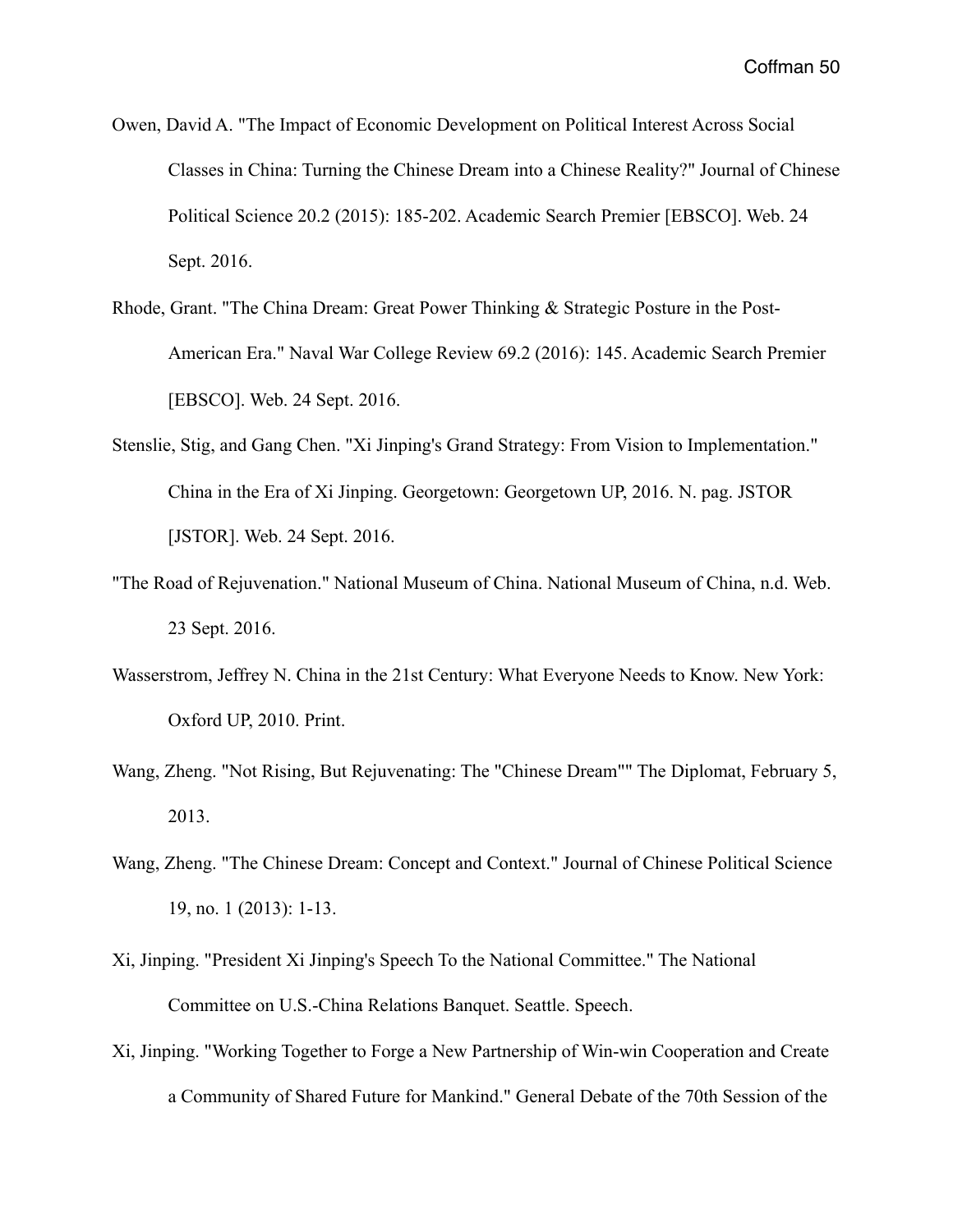- Owen, David A. "The Impact of Economic Development on Political Interest Across Social Classes in China: Turning the Chinese Dream into a Chinese Reality?" Journal of Chinese Political Science 20.2 (2015): 185-202. Academic Search Premier [EBSCO]. Web. 24 Sept. 2016.
- Rhode, Grant. "The China Dream: Great Power Thinking & Strategic Posture in the Post- American Era." Naval War College Review 69.2 (2016): 145. Academic Search Premier [EBSCO]. Web. 24 Sept. 2016.
- Stenslie, Stig, and Gang Chen. "Xi Jinping's Grand Strategy: From Vision to Implementation." China in the Era of Xi Jinping. Georgetown: Georgetown UP, 2016. N. pag. JSTOR [JSTOR]. Web. 24 Sept. 2016.
- "The Road of Rejuvenation." National Museum of China. National Museum of China, n.d. Web. 23 Sept. 2016.
- Wasserstrom, Jeffrey N. China in the 21st Century: What Everyone Needs to Know. New York: Oxford UP, 2010. Print.
- Wang, Zheng. "Not Rising, But Rejuvenating: The "Chinese Dream"" The Diplomat, February 5, 2013.
- Wang, Zheng. "The Chinese Dream: Concept and Context." Journal of Chinese Political Science 19, no. 1 (2013): 1-13.
- Xi, Jinping. "President Xi Jinping's Speech To the National Committee." The National Committee on U.S.-China Relations Banquet. Seattle. Speech.
- Xi, Jinping. "Working Together to Forge a New Partnership of Win-win Cooperation and Create a Community of Shared Future for Mankind." General Debate of the 70th Session of the